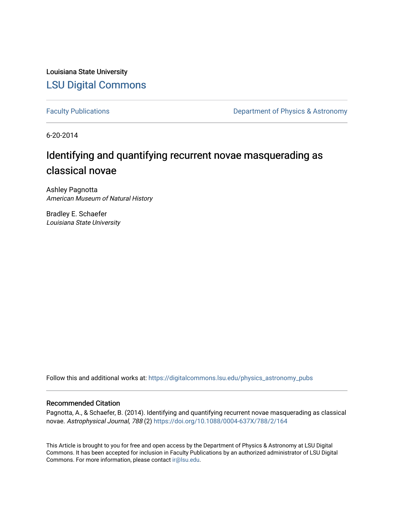Louisiana State University [LSU Digital Commons](https://digitalcommons.lsu.edu/)

[Faculty Publications](https://digitalcommons.lsu.edu/physics_astronomy_pubs) **Exercise 2 and Table 2 and Table 2 and Table 2 and Table 2 and Table 2 and Table 2 and Table 2 and Table 2 and Table 2 and Table 2 and Table 2 and Table 2 and Table 2 and Table 2 and Table 2 and Table** 

6-20-2014

# Identifying and quantifying recurrent novae masquerading as classical novae

Ashley Pagnotta American Museum of Natural History

Bradley E. Schaefer Louisiana State University

Follow this and additional works at: [https://digitalcommons.lsu.edu/physics\\_astronomy\\_pubs](https://digitalcommons.lsu.edu/physics_astronomy_pubs?utm_source=digitalcommons.lsu.edu%2Fphysics_astronomy_pubs%2F4655&utm_medium=PDF&utm_campaign=PDFCoverPages) 

## Recommended Citation

Pagnotta, A., & Schaefer, B. (2014). Identifying and quantifying recurrent novae masquerading as classical novae. Astrophysical Journal, 788 (2) <https://doi.org/10.1088/0004-637X/788/2/164>

This Article is brought to you for free and open access by the Department of Physics & Astronomy at LSU Digital Commons. It has been accepted for inclusion in Faculty Publications by an authorized administrator of LSU Digital Commons. For more information, please contact [ir@lsu.edu](mailto:ir@lsu.edu).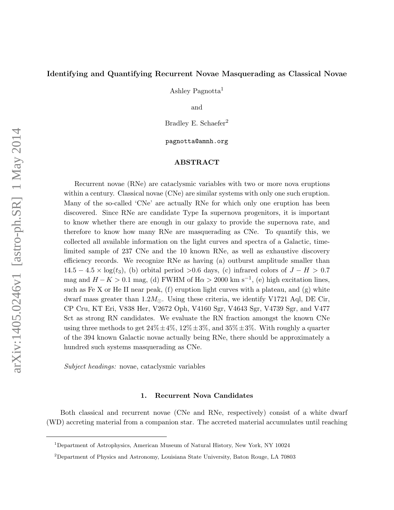## <span id="page-1-0"></span>Identifying and Quantifying Recurrent Novae Masquerading as Classical Novae

Ashley Pagnotta<sup>1</sup>

and

Bradley E. Schaefer<sup>2</sup>

pagnotta@amnh.org

## ABSTRACT

Recurrent novae (RNe) are cataclysmic variables with two or more nova eruptions within a century. Classical novae (CNe) are similar systems with only one such eruption. Many of the so-called 'CNe' are actually RNe for which only one eruption has been discovered. Since RNe are candidate Type Ia supernova progenitors, it is important to know whether there are enough in our galaxy to provide the supernova rate, and therefore to know how many RNe are masquerading as CNe. To quantify this, we collected all available information on the light curves and spectra of a Galactic, timelimited sample of 237 CNe and the 10 known RNe, as well as exhaustive discovery efficiency records. We recognize RNe as having (a) outburst amplitude smaller than  $14.5 - 4.5 \times \log(t_3)$ , (b) orbital period >0.6 days, (c) infrared colors of  $J - H > 0.7$ mag and  $H - K > 0.1$  mag, (d) FWHM of H $\alpha > 2000$  km s<sup>-1</sup>, (e) high excitation lines, such as Fe X or He II near peak,  $(f)$  eruption light curves with a plateau, and  $(g)$  white dwarf mass greater than  $1.2M_{\odot}$ . Using these criteria, we identify V1721 Aql, DE Cir, CP Cru, KT Eri, V838 Her, V2672 Oph, V4160 Sgr, V4643 Sgr, V4739 Sgr, and V477 Sct as strong RN candidates. We evaluate the RN fraction amongst the known CNe using three methods to get  $24\% \pm 4\%$ ,  $12\% \pm 3\%$ , and  $35\% \pm 3\%$ . With roughly a quarter of the 394 known Galactic novae actually being RNe, there should be approximately a hundred such systems masquerading as CNe.

Subject headings: novae, cataclysmic variables

#### 1. Recurrent Nova Candidates

Both classical and recurrent novae (CNe and RNe, respectively) consist of a white dwarf (WD) accreting material from a companion star. The accreted material accumulates until reaching

<sup>1</sup>Department of Astrophysics, American Museum of Natural History, New York, NY 10024

<sup>2</sup>Department of Physics and Astronomy, Louisiana State University, Baton Rouge, LA 70803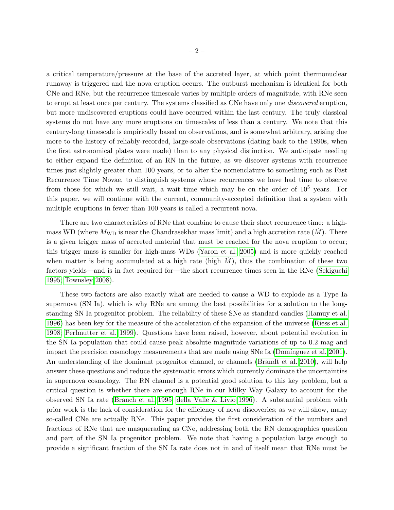a critical temperature/pressure at the base of the accreted layer, at which point thermonuclear runaway is triggered and the nova eruption occurs. The outburst mechanism is identical for both CNe and RNe, but the recurrence timescale varies by multiple orders of magnitude, with RNe seen to erupt at least once per century. The systems classified as CNe have only one *discovered* eruption, but more undiscovered eruptions could have occurred within the last century. The truly classical systems do not have any more eruptions on timescales of less than a century. We note that this century-long timescale is empirically based on observations, and is somewhat arbitrary, arising due more to the history of reliably-recorded, large-scale observations (dating back to the 1890s, when the first astronomical plates were made) than to any physical distinction. We anticipate needing to either expand the definition of an RN in the future, as we discover systems with recurrence times just slightly greater than 100 years, or to alter the nomenclature to something such as Fast Recurrence Time Novae, to distinguish systems whose recurrences we have had time to observe from those for which we still wait, a wait time which may be on the order of  $10^5$  years. For this paper, we will continue with the current, community-accepted definition that a system with multiple eruptions in fewer than 100 years is called a recurrent nova.

There are two characteristics of RNe that combine to cause their short recurrence time: a highmass WD (where  $M_{\text{WD}}$  is near the Chandrasekhar mass limit) and a high accretion rate  $(M)$ . There is a given trigger mass of accreted material that must be reached for the nova eruption to occur; this trigger mass is smaller for high-mass WDs [\(Yaron et al. 2005\)](#page-52-0) and is more quickly reached when matter is being accumulated at a high rate (high  $M$ ), thus the combination of these two factors yields—and is in fact required for—the short recurrence times seen in the RNe [\(Sekiguchi](#page-49-0) [1995;](#page-49-0) [Townsley 2008\)](#page-51-0).

These two factors are also exactly what are needed to cause a WD to explode as a Type Ia supernova (SN Ia), which is why RNe are among the best possibilities for a solution to the longstanding SN Ia progenitor problem. The reliability of these SNe as standard candles [\(Hamuy et al.](#page-45-0) [1996\)](#page-45-0) has been key for the measure of the acceleration of the expansion of the universe [\(Riess et al.](#page-49-1) [1998;](#page-49-1) [Perlmutter et al. 1999\)](#page-48-0). Questions have been raised, however, about potential evolution in the SN Ia population that could cause peak absolute magnitude variations of up to 0.2 mag and impact the precision cosmology measurements that are made using SNe Ia (Domínguez et al. 2001). An understanding of the dominant progenitor channel, or channels [\(Brandt et al. 2010\)](#page-37-0), will help answer these questions and reduce the systematic errors which currently dominate the uncertainties in supernova cosmology. The RN channel is a potential good solution to this key problem, but a critical question is whether there are enough RNe in our Milky Way Galaxy to account for the observed SN Ia rate [\(Branch et al. 1995;](#page-37-1) [della Valle & Livio 1996\)](#page-44-1). A substantial problem with prior work is the lack of consideration for the efficiency of nova discoveries; as we will show, many so-called CNe are actually RNe. This paper provides the first consideration of the numbers and fractions of RNe that are masquerading as CNe, addressing both the RN demographics question and part of the SN Ia progenitor problem. We note that having a population large enough to provide a significant fraction of the SN Ia rate does not in and of itself mean that RNe must be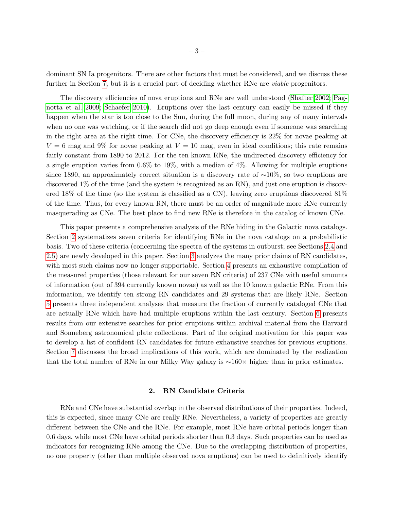dominant SN Ia progenitors. There are other factors that must be considered, and we discuss these further in Section [7,](#page-27-0) but it is a crucial part of deciding whether RNe are *viable* progenitors.

The discovery efficiencies of nova eruptions and RNe are well understood [\(Shafter 2002;](#page-50-0) [Pag](#page-48-1)[notta et al. 2009;](#page-48-1) [Schaefer 2010\)](#page-49-2). Eruptions over the last century can easily be missed if they happen when the star is too close to the Sun, during the full moon, during any of many intervals when no one was watching, or if the search did not go deep enough even if someone was searching in the right area at the right time. For CNe, the discovery efficiency is 22% for novae peaking at  $V = 6$  mag and 9% for novae peaking at  $V = 10$  mag, even in ideal conditions; this rate remains fairly constant from 1890 to 2012. For the ten known RNe, the undirected discovery efficiency for a single eruption varies from 0.6% to 19%, with a median of 4%. Allowing for multiple eruptions since 1890, an approximately correct situation is a discovery rate of  $\sim 10\%$ , so two eruptions are discovered 1% of the time (and the system is recognized as an RN), and just one eruption is discovered 18% of the time (so the system is classified as a CN), leaving zero eruptions discovered 81% of the time. Thus, for every known RN, there must be an order of magnitude more RNe currently masquerading as CNe. The best place to find new RNe is therefore in the catalog of known CNe.

This paper presents a comprehensive analysis of the RNe hiding in the Galactic nova catalogs. Section [2](#page-3-0) systematizes seven criteria for identifying RNe in the nova catalogs on a probabilistic basis. Two of these criteria (concerning the spectra of the systems in outburst; see Sections [2.4](#page-7-0) and [2.5\)](#page-8-0) are newly developed in this paper. Section [3](#page-11-0) analyzes the many prior claims of RN candidates, with most such claims now no longer supportable. Section [4](#page-16-0) presents an exhaustive compilation of the measured properties (those relevant for our seven RN criteria) of 237 CNe with useful amounts of information (out of 394 currently known novae) as well as the 10 known galactic RNe. From this information, we identify ten strong RN candidates and 29 systems that are likely RNe. Section [5](#page-17-0) presents three independent analyses that measure the fraction of currently cataloged CNe that are actually RNe which have had multiple eruptions within the last century. Section [6](#page-26-0) presents results from our extensive searches for prior eruptions within archival material from the Harvard and Sonneberg astronomical plate collections. Part of the original motivation for this paper was to develop a list of confident RN candidates for future exhaustive searches for previous eruptions. Section [7](#page-27-0) discusses the broad implications of this work, which are dominated by the realization that the total number of RNe in our Milky Way galaxy is  $\sim 160 \times$  higher than in prior estimates.

#### 2. RN Candidate Criteria

<span id="page-3-0"></span>RNe and CNe have substantial overlap in the observed distributions of their properties. Indeed, this is expected, since many CNe are really RNe. Nevertheless, a variety of properties are greatly different between the CNe and the RNe. For example, most RNe have orbital periods longer than 0.6 days, while most CNe have orbital periods shorter than 0.3 days. Such properties can be used as indicators for recognizing RNe among the CNe. Due to the overlapping distribution of properties, no one property (other than multiple observed nova eruptions) can be used to definitively identify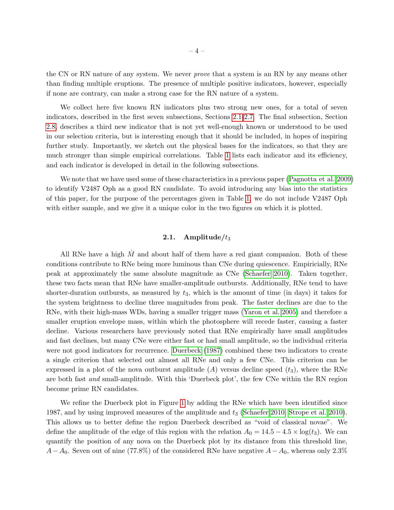the CN or RN nature of any system. We never prove that a system is an RN by any means other than finding multiple eruptions. The presence of multiple positive indicators, however, especially if none are contrary, can make a strong case for the RN nature of a system.

We collect here five known RN indicators plus two strong new ones, for a total of seven indicators, described in the first seven subsections, Sections [2.1-](#page-4-0)[2.7.](#page-10-0) The final subsection, Section [2.8,](#page-10-1) describes a third new indicator that is not yet well-enough known or understood to be used in our selection criteria, but is interesting enough that it should be included, in hopes of inspiring further study. Importantly, we sketch out the physical bases for the indicators, so that they are much stronger than simple empirical correlations. Table [1](#page-30-0) lists each indicator and its efficiency, and each indicator is developed in detail in the following subsections.

We note that we have used some of these characteristics in a previous paper [\(Pagnotta et al. 2009\)](#page-48-1) to identify V2487 Oph as a good RN candidate. To avoid introducing any bias into the statistics of this paper, for the purpose of the percentages given in Table [1,](#page-30-0) we do not include V2487 Oph with either sample, and we give it a unique color in the two figures on which it is plotted.

## 2.1. Amplitude/ $t_3$

<span id="page-4-0"></span>All RNe have a high  $\dot{M}$  and about half of them have a red giant companion. Both of these conditions contribute to RNe being more luminous than CNe during quiescence. Empiricially, RNe peak at approximately the same absolute magnitude as CNe [\(Schaefer 2010\)](#page-49-2). Taken together, these two facts mean that RNe have smaller-amplitude outbursts. Additionally, RNe tend to have shorter-duration outbursts, as measured by  $t_3$ , which is the amount of time (in days) it takes for the system brightness to decline three magnitudes from peak. The faster declines are due to the RNe, with their high-mass WDs, having a smaller trigger mass [\(Yaron et al. 2005\)](#page-52-0) and therefore a smaller eruption envelope mass, within which the photosphere will recede faster, causing a faster decline. Various researchers have previously noted that RNe empirically have small amplitudes and fast declines, but many CNe were either fast or had small amplitude, so the individual criteria were not good indicators for recurrence. [Duerbeck](#page-44-2) [\(1987\)](#page-44-2) combined these two indicators to create a single criterion that selected out almost all RNe and only a few CNe. This criterion can be expressed in a plot of the nova outburst amplitude  $(A)$  versus decline speed  $(t_3)$ , where the RNe are both fast and small-amplitude. With this 'Duerbeck plot', the few CNe within the RN region become prime RN candidates.

We refine the Duerbeck plot in Figure [1](#page-41-0) by adding the RNe which have been identified since 1987, and by using improved measures of the amplitude and  $t_3$  [\(Schaefer 2010;](#page-49-2) [Strope et al. 2010\)](#page-50-1). This allows us to better define the region Duerbeck described as "void of classical novae". We define the amplitude of the edge of this region with the relation  $A_0 = 14.5 - 4.5 \times \log(t_3)$ . We can quantify the position of any nova on the Duerbeck plot by its distance from this threshold line,  $A-A_0$ . Seven out of nine (77.8%) of the considered RNe have negative  $A-A_0$ , whereas only 2.3%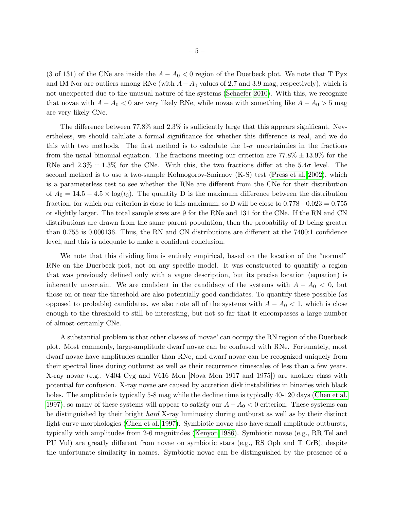(3 of 131) of the CNe are inside the  $A - A_0 < 0$  region of the Duerbeck plot. We note that T Pyx and IM Nor are outliers among RNe (with  $A-A_0$  values of 2.7 and 3.9 mag, respectively), which is not unexpected due to the unusual nature of the systems [\(Schaefer 2010\)](#page-49-2). With this, we recognize that novae with  $A - A_0 < 0$  are very likely RNe, while novae with something like  $A - A_0 > 5$  mag are very likely CNe.

The difference between 77.8% and 2.3% is sufficiently large that this appears significant. Nevertheless, we should calulate a formal significance for whether this difference is real, and we do this with two methods. The first method is to calculate the  $1-\sigma$  uncertainties in the fractions from the usual binomial equation. The fractions meeting our criterion are  $77.8\% \pm 13.9\%$  for the RNe and  $2.3\% \pm 1.3\%$  for the CNe. With this, the two fractions differ at the 5.4 $\sigma$  level. The second method is to use a two-sample Kolmogorov-Smirnov (K-S) test [\(Press et al. 2002\)](#page-49-3), which is a parameterless test to see whether the RNe are different from the CNe for their distribution of  $A_0 = 14.5 - 4.5 \times \log(t_3)$ . The quantity D is the maximum difference between the distribution fraction, for which our criterion is close to this maximum, so D will be close to 0.778−0.023 = 0.755 or slightly larger. The total sample sizes are 9 for the RNe and 131 for the CNe. If the RN and CN distributions are drawn from the same parent population, then the probability of D being greater than 0.755 is 0.000136. Thus, the RN and CN distributions are different at the 7400:1 confidence level, and this is adequate to make a confident conclusion.

We note that this dividing line is entirely empirical, based on the location of the "normal" RNe on the Duerbeck plot, not on any specific model. It was constructed to quantify a region that was previously defined only with a vague description, but its precise location (equation) is inherently uncertain. We are confident in the candidacy of the systems with  $A - A_0 < 0$ , but those on or near the threshold are also potentially good candidates. To quantify these possible (as opposed to probable) candidates, we also note all of the systems with  $A - A_0 < 1$ , which is close enough to the threshold to still be interesting, but not so far that it encompasses a large number of almost-certainly CNe.

A substantial problem is that other classes of 'novae' can occupy the RN region of the Duerbeck plot. Most commonly, large-amplitude dwarf novae can be confused with RNe. Fortunately, most dwarf novae have amplitudes smaller than RNe, and dwarf novae can be recognized uniquely from their spectral lines during outburst as well as their recurrence timescales of less than a few years. X-ray novae (e.g., V404 Cyg and V616 Mon [Nova Mon 1917 and 1975]) are another class with potential for confusion. X-ray novae are caused by accretion disk instabilities in binaries with black holes. The amplitude is typically 5-8 mag while the decline time is typically 40-120 days [\(Chen et al.](#page-37-2) [1997\)](#page-37-2), so many of these systems will appear to satisfy our  $A-A_0 < 0$  criterion. These systems can be distinguished by their bright hard X-ray luminosity during outburst as well as by their distinct light curve morphologies [\(Chen et al. 1997\)](#page-37-2). Symbiotic novae also have small amplitude outbursts, typically with amplitudes from 2-6 magnitudes [\(Kenyon 1986\)](#page-47-0). Symbiotic novae (e.g., RR Tel and PU Vul) are greatly different from novae on symbiotic stars (e.g., RS Oph and T CrB), despite the unfortunate similarity in names. Symbiotic novae can be distinguished by the presence of a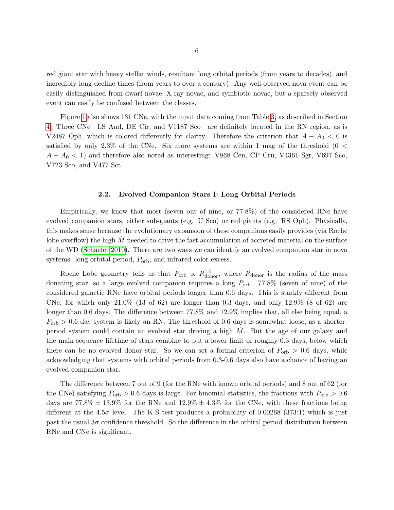red giant star with heavy stellar winds, resultant long orbital periods (from years to decades), and incredibly long decline times (from years to over a century). Any well-observed nova event can be easily distinguished from dwarf novae, X-ray novae, and symbiotic novae, but a sparsely observed event can easily be confused between the classes.

Figure [1](#page-41-0) also shows 131 CNe, with the input data coming from Table [3,](#page-38-0) as described in Section [4.](#page-16-0) Three CNe—LS And, DE Cir, and V1187 Sco—are definitely located in the RN region, as is V2487 Oph, which is colored differently for clarity. Therefore the criterion that  $A - A_0 < 0$  is satisfied by only 2.3% of the CNe. Six more systems are within 1 mag of the threshold  $(0 \lt$  $A - A_0 < 1$ ) and therefore also noted as interesting: V868 Cen, CP Cru, V4361 Sgr, V697 Sco, V723 Sco, and V477 Sct.

## 2.2. Evolved Companion Stars I: Long Orbital Periods

Empirically, we know that most (seven out of nine, or 77.8%) of the considered RNe have evolved companion stars, either sub-giants (e.g. U Sco) or red giants (e.g. RS Oph). Physically, this makes sense because the evolutionary expansion of these companions easily provides (via Roche lobe overflow) the high  $M$  needed to drive the fast accumulation of accreted material on the surface of the WD [\(Schaefer 2010\)](#page-49-2). There are two ways we can identify an evolved companion star in nova systems: long orbital period,  $P_{\text{orb}}$ , and infrared color excess.

Roche Lobe geometry tells us that  $P_{\text{orb}} \propto R_{\text{donor}}^{1.5}$ , where  $R_{\text{donor}}$  is the radius of the mass donating star, so a large evolved companion requires a long  $P_{\rm orb}$ . 77.8% (seven of nine) of the considered galactic RNe have orbital periods longer than 0.6 days. This is starkly different from CNe, for which only  $21.0\%$  (13 of 62) are longer than 0.3 days, and only  $12.9\%$  (8 of 62) are longer than 0.6 days. The difference between 77.8% and 12.9% implies that, all else being equal, a  $P_{\rm orb} > 0.6$  day system is likely an RN. The threshold of 0.6 days is somewhat loose, as a shorterperiod system could contain an evolved star driving a high  $\dot{M}$ . But the age of our galaxy and the main sequence lifetime of stars combine to put a lower limit of roughly 0.3 days, below which there can be no evolved donor star. So we can set a formal criterion of  $P_{\rm orb} > 0.6$  days, while acknowledging that systems with orbital periods from 0.3-0.6 days also have a chance of having an evolved companion star.

The difference between 7 out of 9 (for the RNe with known orbital periods) and 8 out of 62 (for the CNe) satisfying  $P_{\rm orb} > 0.6$  days is large. For binomial statistics, the fractions with  $P_{\rm orb} > 0.6$ days are  $77.8\% \pm 13.9\%$  for the RNe and  $12.9\% \pm 4.3\%$  for the CNe, with these fractions being different at the 4.5 $\sigma$  level. The K-S test produces a probability of 0.00268 (373:1) which is just past the usual  $3\sigma$  confidence threshold. So the difference in the orbital period distribution between RNe and CNe is significant.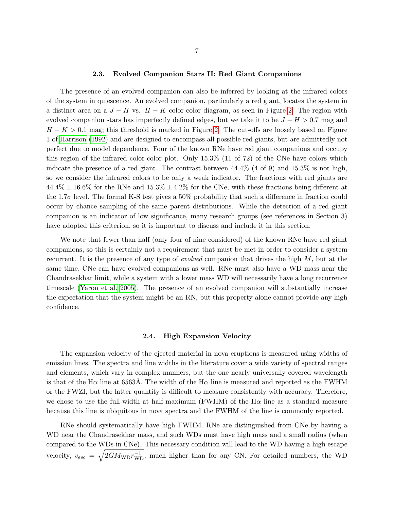#### 2.3. Evolved Companion Stars II: Red Giant Companions

The presence of an evolved companion can also be inferred by looking at the infrared colors of the system in quiescence. An evolved companion, particularly a red giant, locates the system in a distinct area on a  $J - H$  vs.  $H - K$  color-color diagram, as seen in Figure [2.](#page-42-0) The region with evolved companion stars has imperfectly defined edges, but we take it to be  $J - H > 0.7$  mag and  $H - K > 0.1$  mag; this threshold is marked in Figure [2.](#page-42-0) The cut-offs are loosely based on Figure 1 of [Harrison](#page-45-1) [\(1992\)](#page-45-1) and are designed to encompass all possible red giants, but are admittedly not perfect due to model dependence. Four of the known RNe have red giant companions and occupy this region of the infrared color-color plot. Only 15.3% (11 of 72) of the CNe have colors which indicate the presence of a red giant. The contrast between 44.4% (4 of 9) and 15.3% is not high, so we consider the infrared colors to be only a weak indicator. The fractions with red giants are  $44.4\% \pm 16.6\%$  for the RNe and  $15.3\% \pm 4.2\%$  for the CNe, with these fractions being different at the 1.7 $\sigma$  level. The formal K-S test gives a 50% probability that such a difference in fraction could occur by chance sampling of the same parent distributions. While the detection of a red giant companion is an indicator of low significance, many research groups (see references in Section 3) have adopted this criterion, so it is important to discuss and include it in this section.

We note that fewer than half (only four of nine considered) of the known RNe have red giant companions, so this is certainly not a requirement that must be met in order to consider a system recurrent. It is the presence of any type of *evolved* companion that drives the high  $\dot{M}$ , but at the same time, CNe can have evolved companions as well. RNe must also have a WD mass near the Chandrasekhar limit, while a system with a lower mass WD will necessarily have a long recurrence timescale [\(Yaron et al. 2005\)](#page-52-0). The presence of an evolved companion will substantially increase the expectation that the system might be an RN, but this property alone cannot provide any high confidence.

#### 2.4. High Expansion Velocity

<span id="page-7-0"></span>The expansion velocity of the ejected material in nova eruptions is measured using widths of emission lines. The spectra and line widths in the literature cover a wide variety of spectral ranges and elements, which vary in complex manners, but the one nearly universally covered wavelength is that of the H $\alpha$  line at 6563Å. The width of the H $\alpha$  line is measured and reported as the FWHM or the FWZI, but the latter quantity is difficult to measure consistently with accuracy. Therefore, we chose to use the full-width at half-maximum (FWHM) of the  $H\alpha$  line as a standard measure because this line is ubiquitous in nova spectra and the FWHM of the line is commonly reported.

RNe should systematically have high FWHM. RNe are distinguished from CNe by having a WD near the Chandrasekhar mass, and such WDs must have high mass and a small radius (when compared to the WDs in CNe). This necessary condition will lead to the WD having a high escape velocity,  $v_{esc} = \sqrt{2GM_{WD}r_{WD}^{-1}}$ , much higher than for any CN. For detailed numbers, the WD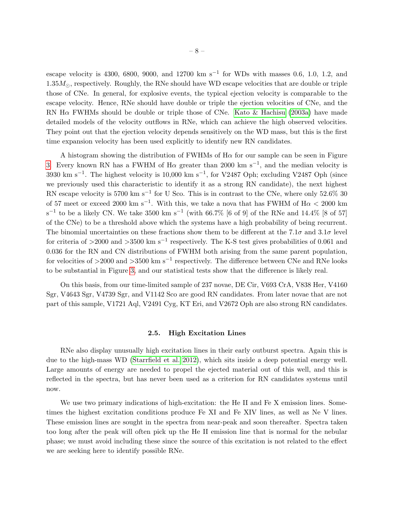escape velocity is 4300, 6800, 9000, and 12700 km s<sup>-1</sup> for WDs with masses 0.6, 1.0, 1.2, and  $1.35M_{\odot}$ , respectively. Roughly, the RNe should have WD escape velocities that are double or triple those of CNe. In general, for explosive events, the typical ejection velocity is comparable to the escape velocity. Hence, RNe should have double or triple the ejection velocities of CNe, and the RN H $\alpha$  FWHMs should be double or triple those of CNe. [Kato & Hachisu](#page-46-0) [\(2003a\)](#page-46-0) have made detailed models of the velocity outflows in RNe, which can achieve the high observed velocities. They point out that the ejection velocity depends sensitively on the WD mass, but this is the first time expansion velocity has been used explicitly to identify new RN candidates.

A histogram showing the distribution of FWHMs of  $H\alpha$  for our sample can be seen in Figure [3.](#page-43-0) Every known RN has a FWHM of H $\alpha$  greater than 2000 km s<sup>-1</sup>, and the median velocity is 3930 km s<sup>-1</sup>. The highest velocity is 10,000 km s<sup>-1</sup>, for V2487 Oph; excluding V2487 Oph (since we previously used this characteristic to identify it as a strong RN candidate), the next highest RN escape velocity is 5700 km s<sup>-1</sup> for U Sco. This is in contrast to the CNe, where only 52.6% 30 of 57 meet or exceed 2000 km s<sup>-1</sup>. With this, we take a nova that has FWHM of  $H\alpha < 2000$  km s<sup>-1</sup> to be a likely CN. We take 3500 km s<sup>-1</sup> (with 66.7% [6 of 9] of the RNe and 14.4% [8 of 57] of the CNe) to be a threshold above which the systems have a high probability of being recurrent. The binomial uncertainties on these fractions show them to be different at the 7.1 $\sigma$  and 3.1 $\sigma$  level for criteria of >2000 and >3500 km s<sup>-1</sup> respectively. The K-S test gives probabilities of 0.061 and 0.036 for the RN and CN distributions of FWHM both arising from the same parent population, for velocities of >2000 and >3500 km s<sup>-1</sup> respectively. The difference between CNe and RNe looks to be substantial in Figure [3,](#page-43-0) and our statistical tests show that the difference is likely real.

On this basis, from our time-limited sample of 237 novae, DE Cir, V693 CrA, V838 Her, V4160 Sgr, V4643 Sgr, V4739 Sgr, and V1142 Sco are good RN candidates. From later novae that are not part of this sample, V1721 Aql, V2491 Cyg, KT Eri, and V2672 Oph are also strong RN candidates.

#### 2.5. High Excitation Lines

<span id="page-8-0"></span>RNe also display unusually high excitation lines in their early outburst spectra. Again this is due to the high-mass WD [\(Starrfield et al. 2012\)](#page-50-2), which sits inside a deep potential energy well. Large amounts of energy are needed to propel the ejected material out of this well, and this is reflected in the spectra, but has never been used as a criterion for RN candidates systems until now.

We use two primary indications of high-excitation: the He II and Fe X emission lines. Sometimes the highest excitation conditions produce Fe XI and Fe XIV lines, as well as Ne V lines. These emission lines are sought in the spectra from near-peak and soon thereafter. Spectra taken too long after the peak will often pick up the He II emission line that is normal for the nebular phase; we must avoid including these since the source of this excitation is not related to the effect we are seeking here to identify possible RNe.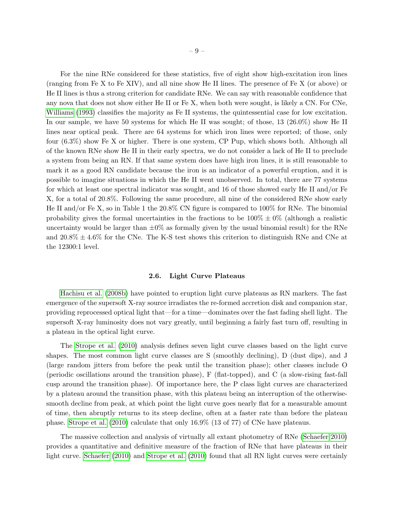For the nine RNe considered for these statistics, five of eight show high-excitation iron lines (ranging from Fe X to Fe XIV), and all nine show He II lines. The presence of Fe X (or above) or He II lines is thus a strong criterion for candidate RNe. We can say with reasonable confidence that any nova that does not show either He II or Fe X, when both were sought, is likely a CN. For CNe, [Williams](#page-51-1) [\(1993\)](#page-51-1) classifies the majority as Fe II systems, the quintessential case for low excitation. In our sample, we have 50 systems for which He II was sought; of those, 13 (26.0%) show He II lines near optical peak. There are 64 systems for which iron lines were reported; of those, only four (6.3%) show Fe X or higher. There is one system, CP Pup, which shows both. Although all of the known RNe show He II in their early spectra, we do not consider a lack of He II to preclude a system from being an RN. If that same system does have high iron lines, it is still reasonable to mark it as a good RN candidate because the iron is an indicator of a powerful eruption, and it is possible to imagine situations in which the He II went unobserved. In total, there are 77 systems for which at least one spectral indicator was sought, and 16 of those showed early He II and/or Fe X, for a total of 20.8%. Following the same procedure, all nine of the considered RNe show early He II and/or Fe X, so in Table 1 the 20.8% CN figure is compared to 100% for RNe. The binomial probability gives the formal uncertainties in the fractions to be  $100\% \pm 0\%$  (although a realistic uncertainty would be larger than  $\pm 0\%$  as formally given by the usual binomial result) for the RNe and  $20.8\% \pm 4.6\%$  for the CNe. The K-S test shows this criterion to distinguish RNe and CNe at the 12300:1 level.

## 2.6. Light Curve Plateaus

[Hachisu et al.](#page-45-2) [\(2008b\)](#page-45-2) have pointed to eruption light curve plateaus as RN markers. The fast emergence of the supersoft X-ray source irradiates the re-formed accretion disk and companion star, providing reprocessed optical light that—for a time—dominates over the fast fading shell light. The supersoft X-ray luminosity does not vary greatly, until beginning a fairly fast turn off, resulting in a plateau in the optical light curve.

The [Strope et al.](#page-50-1) [\(2010\)](#page-50-1) analysis defines seven light curve classes based on the light curve shapes. The most common light curve classes are S (smoothly declining), D (dust dips), and J (large random jitters from before the peak until the transition phase); other classes include O (periodic oscillations around the transition phase), F (flat-topped), and C (a slow-rising fast-fall cusp around the transition phase). Of importance here, the P class light curves are characterized by a plateau around the transition phase, with this plateau being an interruption of the otherwisesmooth decline from peak, at which point the light curve goes nearly flat for a measurable amount of time, then abruptly returns to its steep decline, often at a faster rate than before the plateau phase. [Strope et al.](#page-50-1) [\(2010\)](#page-50-1) calculate that only 16.9% (13 of 77) of CNe have plateaus.

The massive collection and analysis of virtually all extant photometry of RNe [\(Schaefer 2010\)](#page-49-2) provides a quantitative and definitive measure of the fraction of RNe that have plateaus in their light curve. [Schaefer](#page-49-2) [\(2010\)](#page-49-2) and [Strope et al.](#page-50-1) [\(2010\)](#page-50-1) found that all RN light curves were certainly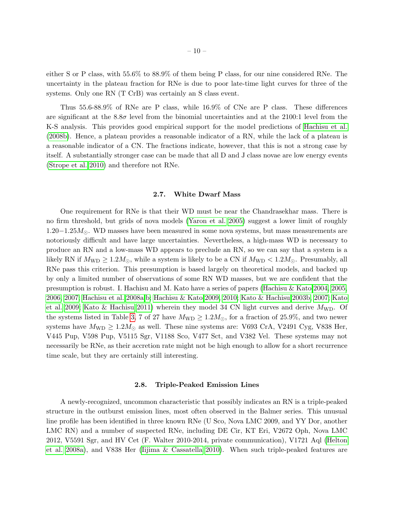either S or P class, with 55.6% to 88.9% of them being P class, for our nine considered RNe. The uncertainty in the plateau fraction for RNe is due to poor late-time light curves for three of the systems. Only one RN (T CrB) was certainly an S class event.

Thus 55.6-88.9% of RNe are P class, while 16.9% of CNe are P class. These differences are significant at the  $8.8\sigma$  level from the binomial uncertainties and at the 2100:1 level from the K-S analysis. This provides good empirical support for the model predictions of [Hachisu et al.](#page-45-2) [\(2008b\)](#page-45-2). Hence, a plateau provides a reasonable indicator of a RN, while the lack of a plateau is a reasonable indicator of a CN. The fractions indicate, however, that this is not a strong case by itself. A substantially stronger case can be made that all D and J class novae are low energy events [\(Strope et al. 2010\)](#page-50-1) and therefore not RNe.

#### 2.7. White Dwarf Mass

<span id="page-10-0"></span>One requirement for RNe is that their WD must be near the Chandrasekhar mass. There is no firm threshold, but grids of nova models [\(Yaron et al. 2005\)](#page-52-0) suggest a lower limit of roughly  $1.20-1.25M_{\odot}$ . WD masses have been measured in some nova systems, but mass measurements are notoriously difficult and have large uncertainties. Nevertheless, a high-mass WD is necessary to produce an RN and a low-mass WD appears to preclude an RN, so we can say that a system is a likely RN if  $M_{\text{WD}} \geq 1.2 M_{\odot}$ , while a system is likely to be a CN if  $M_{\text{WD}} < 1.2 M_{\odot}$ . Presumably, all RNe pass this criterion. This presumption is based largely on theoretical models, and backed up by only a limited number of observations of some RN WD masses, but we are confident that the presumption is robust. I. Hachisu and M. Kato have a series of papers [\(Hachisu & Kato 2004,](#page-45-3) [2005,](#page-45-4) [2006,](#page-45-5) [2007;](#page-45-6) [Hachisu et al. 2008a,](#page-45-7)[b;](#page-45-2) [Hachisu & Kato 2009,](#page-45-8) [2010;](#page-45-9) [Kato & Hachisu 2003b,](#page-46-1) [2007;](#page-46-2) [Kato](#page-46-3) [et al. 2009;](#page-46-3) [Kato & Hachisu 2011\)](#page-46-4) wherein they model 34 CN light curves and derive  $M_{\text{WD}}$ . Of the systems listed in Table [3,](#page-38-0) 7 of 27 have  $M_{WD} \geq 1.2 M_{\odot}$ , for a fraction of 25.9%, and two newer systems have  $M_{\text{WD}} \geq 1.2 M_{\odot}$  as well. These nine systems are: V693 CrA, V2491 Cyg, V838 Her, V445 Pup, V598 Pup, V5115 Sgr, V1188 Sco, V477 Sct, and V382 Vel. These systems may not necessarily be RNe, as their accretion rate might not be high enough to allow for a short recurrence time scale, but they are certainly still interesting.

#### 2.8. Triple-Peaked Emission Lines

<span id="page-10-1"></span>A newly-recognized, uncommon characteristic that possibly indicates an RN is a triple-peaked structure in the outburst emission lines, most often observed in the Balmer series. This unusual line profile has been identified in three known RNe (U Sco, Nova LMC 2009, and YY Dor, another LMC RN) and a number of suspected RNe, including DE Cir, KT Eri, V2672 Oph, Nova LMC 2012, V5591 Sgr, and HV Cet (F. Walter 2010-2014, private communication), V1721 Aql [\(Helton](#page-46-5) [et al. 2008a\)](#page-46-5), and V838 Her [\(Iijima & Cassatella 2010\)](#page-46-6). When such triple-peaked features are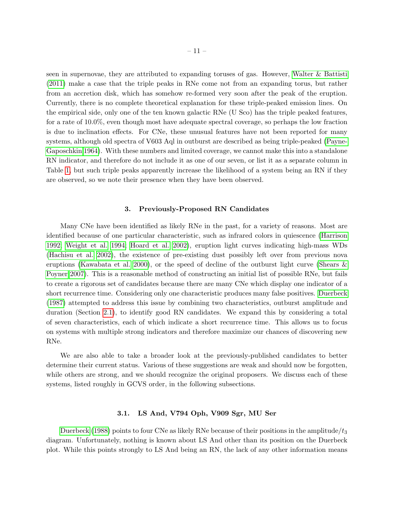seen in supernovae, they are attributed to expanding toruses of gas. However, [Walter & Battisti](#page-51-2) [\(2011\)](#page-51-2) make a case that the triple peaks in RNe come not from an expanding torus, but rather from an accretion disk, which has somehow re-formed very soon after the peak of the eruption. Currently, there is no complete theoretical explanation for these triple-peaked emission lines. On the empirical side, only one of the ten known galactic RNe (U Sco) has the triple peaked features, for a rate of 10.0%, even though most have adequate spectral coverage, so perhaps the low fraction is due to inclination effects. For CNe, these unusual features have not been reported for many systems, although old spectra of V603 Aql in outburst are described as being triple-peaked [\(Payne-](#page-48-2)[Gaposchkin 1964\)](#page-48-2). With these numbers and limited coverage, we cannot make this into a standalone RN indicator, and therefore do not include it as one of our seven, or list it as a separate column in Table [1,](#page-30-0) but such triple peaks apparently increase the likelihood of a system being an RN if they are observed, so we note their presence when they have been observed.

#### 3. Previously-Proposed RN Candidates

<span id="page-11-0"></span>Many CNe have been identified as likely RNe in the past, for a variety of reasons. Most are identified because of one particular characteristic, such as infrared colors in quiescence [\(Harrison](#page-45-1) [1992;](#page-45-1) [Weight et al. 1994;](#page-51-3) [Hoard et al. 2002\)](#page-46-7), eruption light curves indicating high-mass WDs [\(Hachisu et al. 2002\)](#page-45-10), the existence of pre-existing dust possibly left over from previous nova eruptions [\(Kawabata et al. 2000\)](#page-47-1), or the speed of decline of the outburst light curve [\(Shears &](#page-50-3) [Poyner 2007\)](#page-50-3). This is a reasonable method of constructing an initial list of possible RNe, but fails to create a rigorous set of candidates because there are many CNe which display one indicator of a short recurrence time. Considering only one characteristic produces many false positives. [Duerbeck](#page-44-2) [\(1987\)](#page-44-2) attempted to address this issue by combining two characteristics, outburst amplitude and duration (Section [2.1\)](#page-4-0), to identify good RN candidates. We expand this by considering a total of seven characteristics, each of which indicate a short recurrence time. This allows us to focus on systems with multiple strong indicators and therefore maximize our chances of discovering new RNe.

We are also able to take a broader look at the previously-published candidates to better determine their current status. Various of these suggestions are weak and should now be forgotten, while others are strong, and we should recognize the original proposers. We discuss each of these systems, listed roughly in GCVS order, in the following subsections.

## 3.1. LS And, V794 Oph, V909 Sgr, MU Ser

[Duerbeck](#page-44-3) [\(1988\)](#page-44-3) points to four CNe as likely RNe because of their positions in the amplitude/ $t_3$ diagram. Unfortunately, nothing is known about LS And other than its position on the Duerbeck plot. While this points strongly to LS And being an RN, the lack of any other information means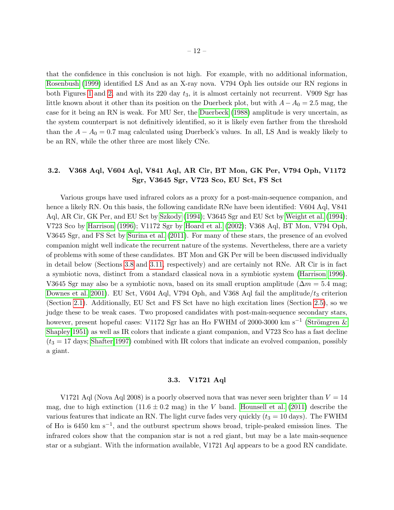that the confidence in this conclusion is not high. For example, with no additional information, [Rosenbush](#page-49-4) [\(1999\)](#page-49-4) identified LS And as an X-ray nova. V794 Oph lies outside our RN regions in both Figures [1](#page-41-0) and [2,](#page-42-0) and with its 220 day  $t_3$ , it is almost certainly not recurrent. V909 Sgr has little known about it other than its position on the Duerbeck plot, but with  $A - A_0 = 2.5$  mag, the case for it being an RN is weak. For MU Ser, the [Duerbeck](#page-44-3) [\(1988\)](#page-44-3) amplitude is very uncertain, as the system counterpart is not definitively identified, so it is likely even farther from the threshold than the  $A - A_0 = 0.7$  mag calculated using Duerbeck's values. In all, LS And is weakly likely to be an RN, while the other three are most likely CNe.

## 3.2. V368 Aql, V604 Aql, V841 Aql, AR Cir, BT Mon, GK Per, V794 Oph, V1172 Sgr, V3645 Sgr, V723 Sco, EU Sct, FS Sct

Various groups have used infrared colors as a proxy for a post-main-sequence companion, and hence a likely RN. On this basis, the following candidate RNe have been identified: V604 Aql, V841 Aql, AR Cir, GK Per, and EU Sct by [Szkody](#page-50-4) [\(1994\)](#page-50-4); V3645 Sgr and EU Sct by [Weight et al.](#page-51-3) [\(1994\)](#page-51-3); V723 Sco by [Harrison](#page-45-11) [\(1996\)](#page-45-11); V1172 Sgr by [Hoard et al.](#page-46-7) [\(2002\)](#page-46-7); V368 Aql, BT Mon, V794 Oph, V3645 Sgr, and FS Sct by [Surina et al.](#page-50-5) [\(2011\)](#page-50-5). For many of these stars, the presence of an evolved companion might well indicate the recurrent nature of the systems. Nevertheless, there are a variety of problems with some of these candidates. BT Mon and GK Per will be been discussed individually in detail below (Sections [3.8](#page-14-0) and [3.11,](#page-15-0) respectively) and are certainly not RNe. AR Cir is in fact a symbiotic nova, distinct from a standard classical nova in a symbiotic system [\(Harrison 1996\)](#page-45-11). V3645 Sgr may also be a symbiotic nova, based on its small eruption amplitude ( $\Delta m = 5.4$  mag; [Downes et al. 2001\)](#page-44-4). EU Sct, V604 Aql, V794 Oph, and V368 Aql fail the amplitude/ $t_3$  criterion (Section [2.1\)](#page-4-0). Additionally, EU Sct and FS Sct have no high excitation lines (Section [2.5\)](#page-8-0), so we judge these to be weak cases. Two proposed candidates with post-main-sequence secondary stars, however, present hopeful cases: V1172 Sgr has an H $\alpha$  FWHM of 2000-3000 km s<sup>-1</sup> (Strömgren & [Shapley 1951\)](#page-50-6) as well as IR colors that indicate a giant companion, and V723 Sco has a fast decline  $(t_3 = 17 \text{ days};$  [Shafter 1997\)](#page-50-7) combined with IR colors that indicate an evolved companion, possibly a giant.

#### 3.3. V1721 Aql

V1721 Aql (Nova Aql 2008) is a poorly observed nova that was never seen brighter than  $V = 14$ mag, due to high extinction  $(11.6 \pm 0.2 \text{ mag})$  in the V band. [Hounsell et al.](#page-46-8) [\(2011\)](#page-46-8) describe the various features that indicate an RN. The light curve fades very quickly  $(t_3 = 10 \text{ days})$ . The FWHM of H $\alpha$  is 6450 km s<sup>-1</sup>, and the outburst spectrum shows broad, triple-peaked emission lines. The infrared colors show that the companion star is not a red giant, but may be a late main-sequence star or a subgiant. With the information available, V1721 Aql appears to be a good RN candidate.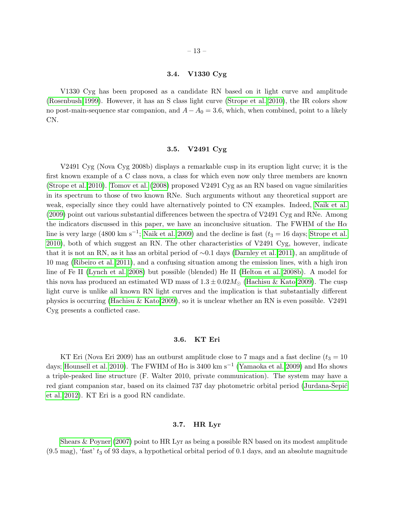## 3.4. V1330 Cyg

V1330 Cyg has been proposed as a candidate RN based on it light curve and amplitude [\(Rosenbush 1999\)](#page-49-4). However, it has an S class light curve [\(Strope et al. 2010\)](#page-50-1), the IR colors show no post-main-sequence star companion, and  $A - A_0 = 3.6$ , which, when combined, point to a likely CN.

#### 3.5. V2491 Cyg

V2491 Cyg (Nova Cyg 2008b) displays a remarkable cusp in its eruption light curve; it is the first known example of a C class nova, a class for which even now only three members are known [\(Strope et al. 2010\)](#page-50-1). [Tomov et al.](#page-50-8) [\(2008\)](#page-50-8) proposed V2491 Cyg as an RN based on vague similarities in its spectrum to those of two known RNe. Such arguments without any theoretical support are weak, especially since they could have alternatively pointed to CN examples. Indeed, [Naik et al.](#page-48-3) [\(2009\)](#page-48-3) point out various substantial differences between the spectra of V2491 Cyg and RNe. Among the indicators discussed in this paper, we have an inconclusive situation. The FWHM of the  $H\alpha$ line is very large (4800 km s<sup>-1</sup>; [Naik et al. 2009\)](#page-48-3) and the decline is fast ( $t_3 = 16$  days; [Strope et al.](#page-50-1) [2010\)](#page-50-1), both of which suggest an RN. The other characteristics of V2491 Cyg, however, indicate that it is not an RN, as it has an orbital period of ∼0.1 days [\(Darnley et al. 2011\)](#page-37-3), an amplitude of 10 mag [\(Ribeiro et al. 2011\)](#page-49-5), and a confusing situation among the emission lines, with a high iron line of Fe II [\(Lynch et al. 2008\)](#page-47-2) but possible (blended) He II [\(Helton et al. 2008b\)](#page-46-9). A model for this nova has produced an estimated WD mass of  $1.3 \pm 0.02 M_{\odot}$  [\(Hachisu & Kato 2009\)](#page-45-8). The cusp light curve is unlike all known RN light curves and the implication is that substantially different physics is occurring [\(Hachisu & Kato 2009\)](#page-45-8), so it is unclear whether an RN is even possible. V2491 Cyg presents a conflicted case.

## 3.6. KT Eri

KT Eri (Nova Eri 2009) has an outburst amplitude close to 7 mags and a fast decline  $(t_3 = 10$ days; [Hounsell et al. 2010\)](#page-46-10). The FWHM of H $\alpha$  is 3400 km s<sup>-1</sup> [\(Yamaoka et al. 2009\)](#page-51-4) and H $\alpha$  shows a triple-peaked line structure (F. Walter 2010, private communication). The system may have a red giant companion star, based on its claimed 737 day photometric orbital period (Jurdana-Sepić [et al. 2012\)](#page-46-11). KT Eri is a good RN candidate.

#### 3.7. HR Lyr

[Shears & Poyner](#page-50-3) [\(2007\)](#page-50-3) point to HR Lyr as being a possible RN based on its modest amplitude  $(9.5 \text{ mag})$ , 'fast'  $t_3$  of 93 days, a hypothetical orbital period of 0.1 days, and an absolute magnitude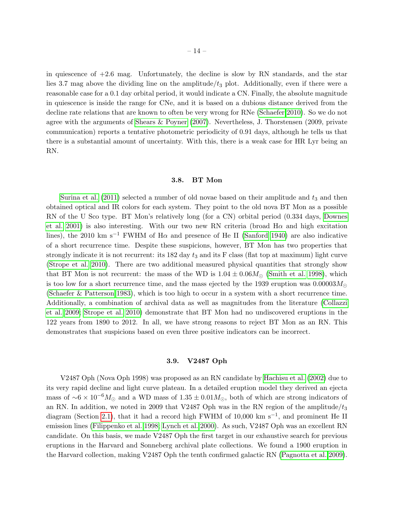in quiescence of  $+2.6$  mag. Unfortunately, the decline is slow by RN standards, and the star lies 3.7 mag above the dividing line on the amplitude/ $t_3$  plot. Additionally, even if there were a reasonable case for a 0.1 day orbital period, it would indicate a CN. Finally, the absolute magnitude in quiescence is inside the range for CNe, and it is based on a dubious distance derived from the decline rate relations that are known to often be very wrong for RNe [\(Schaefer 2010\)](#page-49-2). So we do not agree with the arguments of [Shears & Poyner](#page-50-3) [\(2007\)](#page-50-3). Nevertheless, J. Thorstensen (2009, private communication) reports a tentative photometric periodicity of 0.91 days, although he tells us that there is a substantial amount of uncertainty. With this, there is a weak case for HR Lyr being an RN.

## 3.8. BT Mon

<span id="page-14-0"></span>[Surina et al.](#page-50-5)  $(2011)$  selected a number of old novae based on their amplitude and  $t<sub>3</sub>$  and then obtained optical and IR colors for each system. They point to the old nova BT Mon as a possible RN of the U Sco type. BT Mon's relatively long (for a CN) orbital period (0.334 days, [Downes](#page-44-4) [et al. 2001\)](#page-44-4) is also interesting. With our two new RN criteria (broad  $H\alpha$  and high excitation lines), the 2010 km s<sup>-1</sup> FWHM of H $\alpha$  and presence of He II [\(Sanford 1940\)](#page-49-6) are also indicative of a short recurrence time. Despite these suspicions, however, BT Mon has two properties that strongly indicate it is not recurrent: its  $182 \text{ day } t_3$  and its F class (flat top at maximum) light curve [\(Strope et al. 2010\)](#page-50-1). There are two additional measured physical quantities that strongly show that BT Mon is not recurrent: the mass of the WD is  $1.04 \pm 0.06 M_{\odot}$  [\(Smith et al. 1998\)](#page-50-9), which is too low for a short recurrence time, and the mass ejected by the 1939 eruption was  $0.00003M_{\odot}$ [\(Schaefer & Patterson 1983\)](#page-49-7), which is too high to occur in a system with a short recurrence time. Additionally, a combination of archival data as well as magnitudes from the literature [\(Collazzi](#page-37-4) [et al. 2009;](#page-37-4) [Strope et al. 2010\)](#page-50-1) demonstrate that BT Mon had no undiscovered eruptions in the 122 years from 1890 to 2012. In all, we have strong reasons to reject BT Mon as an RN. This demonstrates that suspicions based on even three positive indicators can be incorrect.

## 3.9. V2487 Oph

V2487 Oph (Nova Oph 1998) was proposed as an RN candidate by [Hachisu et al.](#page-45-10) [\(2002\)](#page-45-10) due to its very rapid decline and light curve plateau. In a detailed eruption model they derived an ejecta mass of  $\sim 6 \times 10^{-6} M_{\odot}$  and a WD mass of  $1.35 \pm 0.01 M_{\odot}$ , both of which are strong indicators of an RN. In addition, we noted in 2009 that V2487 Oph was in the RN region of the amplitude/ $t_3$ diagram (Section [2.1\)](#page-4-0), that it had a record high FWHM of 10,000 km s−<sup>1</sup> , and prominent He II emission lines [\(Filippenko et al. 1998;](#page-44-5) [Lynch et al. 2000\)](#page-47-3). As such, V2487 Oph was an excellent RN candidate. On this basis, we made V2487 Oph the first target in our exhaustive search for previous eruptions in the Harvard and Sonneberg archival plate collections. We found a 1900 eruption in the Harvard collection, making V2487 Oph the tenth confirmed galactic RN [\(Pagnotta et al. 2009\)](#page-48-1).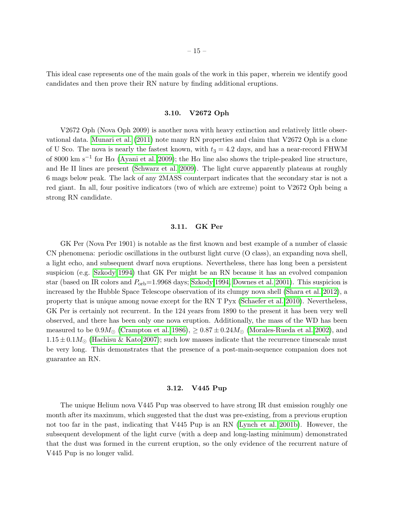This ideal case represents one of the main goals of the work in this paper, wherein we identify good candidates and then prove their RN nature by finding additional eruptions.

## 3.10. V2672 Oph

V2672 Oph (Nova Oph 2009) is another nova with heavy extinction and relatively little observational data. [Munari et al.](#page-48-4) [\(2011\)](#page-48-4) note many RN properties and claim that V2672 Oph is a clone of U Sco. The nova is nearly the fastest known, with  $t_3 = 4.2$  days, and has a near-record FHWM of 8000 km s<sup>-1</sup> for H $\alpha$  [\(Ayani et al. 2009\)](#page-37-5); the H $\alpha$  line also shows the triple-peaked line structure, and He II lines are present [\(Schwarz et al. 2009\)](#page-49-8). The light curve apparently plateaus at roughly 6 mags below peak. The lack of any 2MASS counterpart indicates that the secondary star is not a red giant. In all, four positive indicators (two of which are extreme) point to V2672 Oph being a strong RN candidate.

## 3.11. GK Per

<span id="page-15-0"></span>GK Per (Nova Per 1901) is notable as the first known and best example of a number of classic CN phenomena: periodic oscillations in the outburst light curve (O class), an expanding nova shell, a light echo, and subsequent dwarf nova eruptions. Nevertheless, there has long been a persistent suspicion (e.g. [Szkody 1994\)](#page-50-4) that GK Per might be an RN because it has an evolved companion star (based on IR colors and  $P_{\rm orb}=1.9968$  days; [Szkody 1994,](#page-50-4) [Downes et al. 2001\)](#page-44-4). This suspicion is increased by the Hubble Space Telescope observation of its clumpy nova shell [\(Shara et al. 2012\)](#page-50-10), a property that is unique among novae except for the RN T Pyx [\(Schaefer et al. 2010\)](#page-49-9). Nevertheless, GK Per is certainly not recurrent. In the 124 years from 1890 to the present it has been very well observed, and there has been only one nova eruption. Additionally, the mass of the WD has been measured to be  $0.9M_{\odot}$  [\(Crampton et al. 1986\)](#page-37-6),  $\geq 0.87 \pm 0.24M_{\odot}$  [\(Morales-Rueda et al. 2002\)](#page-48-5), and  $1.15 \pm 0.1 M_{\odot}$  [\(Hachisu & Kato 2007\)](#page-45-6); such low masses indicate that the recurrence timescale must be very long. This demonstrates that the presence of a post-main-sequence companion does not guarantee an RN.

#### 3.12. V445 Pup

The unique Helium nova V445 Pup was observed to have strong IR dust emission roughly one month after its maximum, which suggested that the dust was pre-existing, from a previous eruption not too far in the past, indicating that V445 Pup is an RN [\(Lynch et al. 2001b\)](#page-47-4). However, the subsequent development of the light curve (with a deep and long-lasting minimum) demonstrated that the dust was formed in the current eruption, so the only evidence of the recurrent nature of V445 Pup is no longer valid.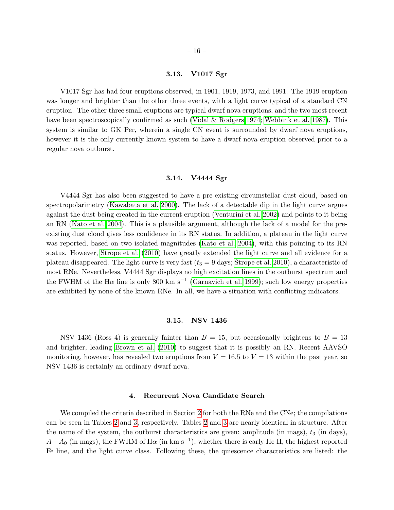#### 3.13. V1017 Sgr

V1017 Sgr has had four eruptions observed, in 1901, 1919, 1973, and 1991. The 1919 eruption was longer and brighter than the other three events, with a light curve typical of a standard CN eruption. The other three small eruptions are typical dwarf nova eruptions, and the two most recent have been spectroscopically confirmed as such [\(Vidal & Rodgers 1974;](#page-51-5) [Webbink et al. 1987\)](#page-51-6). This system is similar to GK Per, wherein a single CN event is surrounded by dwarf nova eruptions, however it is the only currently-known system to have a dwarf nova eruption observed prior to a regular nova outburst.

#### 3.14. V4444 Sgr

V4444 Sgr has also been suggested to have a pre-existing circumstellar dust cloud, based on spectropolarimetry [\(Kawabata et al. 2000\)](#page-47-1). The lack of a detectable dip in the light curve argues against the dust being created in the current eruption [\(Venturini et al. 2002\)](#page-51-7) and points to it being an RN [\(Kato et al. 2004\)](#page-47-5). This is a plausible argument, although the lack of a model for the preexisting dust cloud gives less confidence in its RN status. In addition, a plateau in the light curve was reported, based on two isolated magnitudes [\(Kato et al. 2004\)](#page-47-5), with this pointing to its RN status. However, [Strope et al.](#page-50-1) [\(2010\)](#page-50-1) have greatly extended the light curve and all evidence for a plateau disappeared. The light curve is very fast  $(t_3 = 9$  days; [Strope et al. 2010\)](#page-50-1), a characteristic of most RNe. Nevertheless, V4444 Sgr displays no high excitation lines in the outburst spectrum and the FWHM of the H $\alpha$  line is only 800 km s<sup>-1</sup> [\(Garnavich et al. 1999\)](#page-45-12); such low energy properties are exhibited by none of the known RNe. In all, we have a situation with conflicting indicators.

#### 3.15. NSV 1436

NSV 1436 (Ross 4) is generally fainter than  $B = 15$ , but occasionally brightens to  $B = 13$ and brighter, leading [Brown et al.](#page-37-7) [\(2010\)](#page-37-7) to suggest that it is possibly an RN. Recent AAVSO monitoring, however, has revealed two eruptions from  $V = 16.5$  to  $V = 13$  within the past year, so NSV 1436 is certainly an ordinary dwarf nova.

#### 4. Recurrent Nova Candidate Search

<span id="page-16-0"></span>We compiled the criteria described in Section [2](#page-3-0) for both the RNe and the CNe; the compilations can be seen in Tables [2](#page-31-0) and [3,](#page-38-0) respectively. Tables [2](#page-31-0) and [3](#page-38-0) are nearly identical in structure. After the name of the system, the outburst characteristics are given: amplitude (in mags),  $t_3$  (in days),  $A-A_0$  (in mags), the FWHM of H $\alpha$  (in km s<sup>-1</sup>), whether there is early He II, the highest reported Fe line, and the light curve class. Following these, the quiescence characteristics are listed: the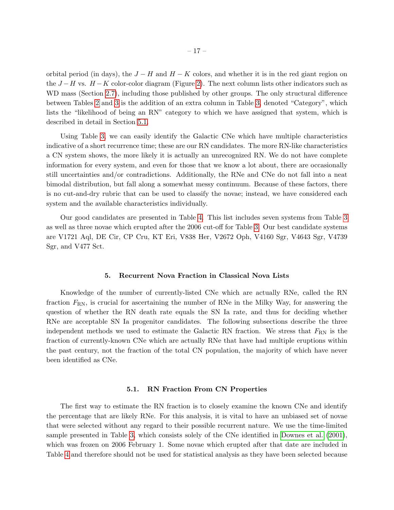orbital period (in days), the  $J-H$  and  $H-K$  colors, and whether it is in the red giant region on the  $J-H$  vs.  $H-K$  color-color diagram (Figure [2\)](#page-42-0). The next column lists other indicators such as WD mass (Section [2.7\)](#page-10-0), including those published by other groups. The only structural difference between Tables [2](#page-31-0) and [3](#page-38-0) is the addition of an extra column in Table [3,](#page-38-0) denoted "Category", which lists the "likelihood of being an RN" category to which we have assigned that system, which is described in detail in Section [5.1.](#page-17-1)

Using Table [3,](#page-38-0) we can easily identify the Galactic CNe which have multiple characteristics indicative of a short recurrence time; these are our RN candidates. The more RN-like characteristics a CN system shows, the more likely it is actually an unrecognized RN. We do not have complete information for every system, and even for those that we know a lot about, there are occasionally still uncertainties and/or contradictions. Additionally, the RNe and CNe do not fall into a neat bimodal distribution, but fall along a somewhat messy continuum. Because of these factors, there is no cut-and-dry rubric that can be used to classify the novae; instead, we have considered each system and the available characteristics individually.

Our good candidates are presented in Table [4.](#page-39-0) This list includes seven systems from Table [3](#page-38-0) as well as three novae which erupted after the 2006 cut-off for Table [3.](#page-38-0) Our best candidate systems are V1721 Aql, DE Cir, CP Cru, KT Eri, V838 Her, V2672 Oph, V4160 Sgr, V4643 Sgr, V4739 Sgr, and V477 Sct.

#### 5. Recurrent Nova Fraction in Classical Nova Lists

<span id="page-17-0"></span>Knowledge of the number of currently-listed CNe which are actually RNe, called the RN fraction  $F_{\rm RN}$ , is crucial for ascertaining the number of RNe in the Milky Way, for answering the question of whether the RN death rate equals the SN Ia rate, and thus for deciding whether RNe are acceptable SN Ia progenitor candidates. The following subsections describe the three independent methods we used to estimate the Galactic RN fraction. We stress that  $F_{\rm RN}$  is the fraction of currently-known CNe which are actually RNe that have had multiple eruptions within the past century, not the fraction of the total CN population, the majority of which have never been identified as CNe.

## 5.1. RN Fraction From CN Properties

<span id="page-17-1"></span>The first way to estimate the RN fraction is to closely examine the known CNe and identify the percentage that are likely RNe. For this analysis, it is vital to have an unbiased set of novae that were selected without any regard to their possible recurrent nature. We use the time-limited sample presented in Table [3,](#page-38-0) which consists solely of the CNe identified in [Downes et al.](#page-44-4) [\(2001\)](#page-44-4), which was frozen on 2006 February 1. Some novae which erupted after that date are included in Table [4](#page-39-0) and therefore should not be used for statistical analysis as they have been selected because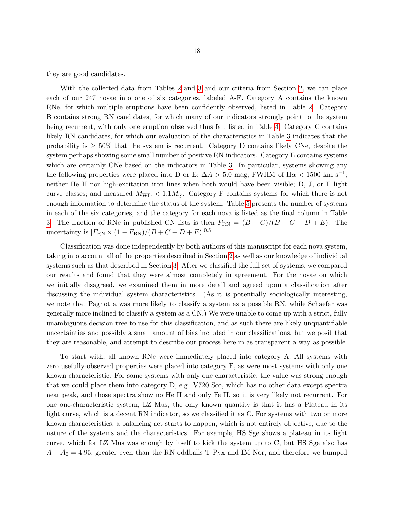they are good candidates.

With the collected data from Tables [2](#page-31-0) and [3](#page-38-0) and our criteria from Section [2,](#page-3-0) we can place each of our 247 novae into one of six categories, labeled A-F. Category A contains the known RNe, for which multiple eruptions have been confidently observed, listed in Table [2.](#page-31-0) Category B contains strong RN candidates, for which many of our indicators strongly point to the system being recurrent, with only one eruption observed thus far, listed in Table [4.](#page-39-0) Category C contains likely RN candidates, for which our evaluation of the characteristics in Table [3](#page-38-0) indicates that the probability is  $\geq 50\%$  that the system is recurrent. Category D contains likely CNe, despite the system perhaps showing some small number of positive RN indicators. Category E contains systems which are certainly CNe based on the indicators in Table [3.](#page-38-0) In particular, systems showing any the following properties were placed into D or E:  $\Delta A > 5.0$  mag; FWHM of H $\alpha < 1500$  km s<sup>-1</sup>; neither He II nor high-excitation iron lines when both would have been visible; D, J, or F light curve classes; and measured  $M_{\text{WD}} < 1.1 M_{\odot}$ . Category F contains systems for which there is not enough information to determine the status of the system. Table [5](#page-39-1) presents the number of systems in each of the six categories, and the category for each nova is listed as the final column in Table [3.](#page-38-0) The fraction of RNe in published CN lists is then  $F_{\rm RN} = (B+C)/(B+C+D+E)$ . The uncertainty is  $[F_{RN} \times (1 - F_{RN})/(B + C + D + E)]^{0.5}$ .

Classification was done independently by both authors of this manuscript for each nova system, taking into account all of the properties described in Section [2](#page-3-0) as well as our knowledge of individual systems such as that described in Section [3.](#page-11-0) After we classified the full set of systems, we compared our results and found that they were almost completely in agreement. For the novae on which we initially disagreed, we examined them in more detail and agreed upon a classification after discussing the individual system characteristics. (As it is potentially sociologically interesting, we note that Pagnotta was more likely to classify a system as a possible RN, while Schaefer was generally more inclined to classify a system as a CN.) We were unable to come up with a strict, fully unambiguous decision tree to use for this classification, and as such there are likely unquantifiable uncertainties and possibly a small amount of bias included in our classifications, but we posit that they are reasonable, and attempt to describe our process here in as transparent a way as possible.

To start with, all known RNe were immediately placed into category A. All systems with zero usefully-observed properties were placed into category F, as were most systems with only one known characteristic. For some systems with only one characteristic, the value was strong enough that we could place them into category D, e.g. V720 Sco, which has no other data except spectra near peak, and those spectra show no He II and only Fe II, so it is very likely not recurrent. For one one-characteristic system, LZ Mus, the only known quantity is that it has a Plateau in its light curve, which is a decent RN indicator, so we classified it as C. For systems with two or more known characteristics, a balancing act starts to happen, which is not entirely objective, due to the nature of the systems and the characteristics. For example, HS Sge shows a plateau in its light curve, which for LZ Mus was enough by itself to kick the system up to C, but HS Sge also has  $A - A_0 = 4.95$ , greater even than the RN oddballs T Pyx and IM Nor, and therefore we bumped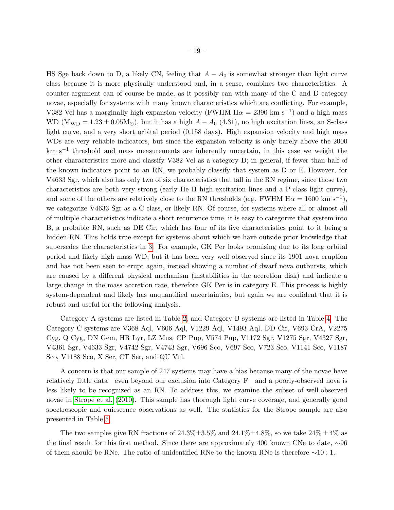HS Sge back down to D, a likely CN, feeling that  $A - A_0$  is somewhat stronger than light curve class because it is more physically understood and, in a sense, combines two characteristics. A counter-argument can of course be made, as it possibly can with many of the C and D category novae, especially for systems with many known characteristics which are conflicting. For example, V382 Vel has a marginally high expansion velocity (FWHM  $H\alpha = 2390 \text{ km s}^{-1}$ ) and a high mass WD ( $M_{WD} = 1.23 \pm 0.05 M_{\odot}$ ), but it has a high  $A - A_0$  (4.31), no high excitation lines, an S-class light curve, and a very short orbital period (0.158 days). High expansion velocity and high mass WDs are very reliable indicators, but since the expansion velocity is only barely above the 2000 km s−<sup>1</sup> threshold and mass measurements are inherently uncertain, in this case we weight the other characteristics more and classify V382 Vel as a category D; in general, if fewer than half of the known indicators point to an RN, we probably classify that system as D or E. However, for V4633 Sgr, which also has only two of six characteristics that fall in the RN regime, since those two characteristics are both very strong (early He II high excitation lines and a P-class light curve), and some of the others are relatively close to the RN thresholds (e.g. FWHM  $H\alpha = 1600 \text{ km s}^{-1}$ ), we categorize V4633 Sgr as a C class, or likely RN. Of course, for systems where all or almost all of multiple characteristics indicate a short recurrence time, it is easy to categorize that system into B, a probable RN, such as DE Cir, which has four of its five characteristics point to it being a hidden RN. This holds true except for systems about which we have outside prior knowledge that supersedes the characteristics in [3.](#page-38-0) For example, GK Per looks promising due to its long orbital period and likely high mass WD, but it has been very well observed since its 1901 nova eruption and has not been seen to erupt again, instead showing a number of dwarf nova outbursts, which are caused by a different physical mechanism (instabilities in the accretion disk) and indicate a large change in the mass accretion rate, therefore GK Per is in category E. This process is highly system-dependent and likely has unquantified uncertainties, but again we are confident that it is robust and useful for the following analysis.

Category A systems are listed in Table [2,](#page-31-0) and Category B systems are listed in Table [4.](#page-39-0) The Category C systems are V368 Aql, V606 Aql, V1229 Aql, V1493 Aql, DD Cir, V693 CrA, V2275 Cyg, Q Cyg, DN Gem, HR Lyr, LZ Mus, CP Pup, V574 Pup, V1172 Sgr, V1275 Sgr, V4327 Sgr, V4361 Sgr, V4633 Sgr, V4742 Sgr, V4743 Sgr, V696 Sco, V697 Sco, V723 Sco, V1141 Sco, V1187 Sco, V1188 Sco, X Ser, CT Ser, and QU Vul.

A concern is that our sample of 247 systems may have a bias because many of the novae have relatively little data—even beyond our exclusion into Category F—and a poorly-observed nova is less likely to be recognized as an RN. To address this, we examine the subset of well-observed novae in [Strope et al.](#page-50-1) [\(2010\)](#page-50-1). This sample has thorough light curve coverage, and generally good spectroscopic and quiescence observations as well. The statistics for the Strope sample are also presented in Table [5.](#page-39-1)

The two samples give RN fractions of  $24.3\% \pm 3.5\%$  and  $24.1\% \pm 4.8\%$ , so we take  $24\% \pm 4\%$  as the final result for this first method. Since there are approximately 400 known CNe to date, ∼96 of them should be RNe. The ratio of unidentified RNe to the known RNe is therefore ∼10 : 1.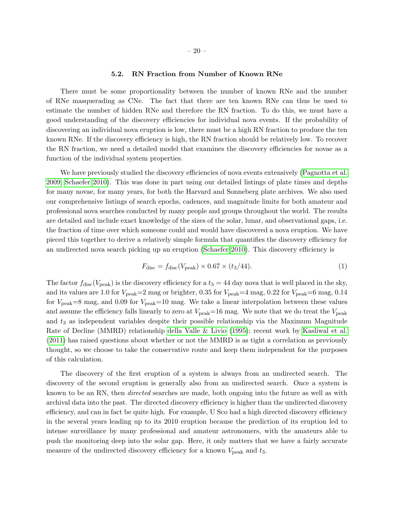#### 5.2. RN Fraction from Number of Known RNe

There must be some proportionality between the number of known RNe and the number of RNe masquerading as CNe. The fact that there are ten known RNe can thus be used to estimate the number of hidden RNe and therefore the RN fraction. To do this, we must have a good understanding of the discovery efficiencies for individual nova events. If the probability of discovering an individual nova eruption is low, there must be a high RN fraction to produce the ten known RNe. If the discovery efficiency is high, the RN fraction should be relatively low. To recover the RN fraction, we need a detailed model that examines the discovery efficiencies for novae as a function of the individual system properties.

We have previously studied the discovery efficiencies of nova events extensively [\(Pagnotta et al.](#page-48-1) [2009;](#page-48-1) [Schaefer 2010\)](#page-49-2). This was done in part using our detailed listings of plate times and depths for many novae, for many years, for both the Harvard and Sonneberg plate archives. We also used our comprehensive listings of search epochs, cadences, and magnitude limits for both amateur and professional nova searches conducted by many people and groups throughout the world. The results are detailed and include exact knowledge of the sizes of the solar, lunar, and observational gaps, i.e. the fraction of time over which someone could and would have discovered a nova eruption. We have pieced this together to derive a relatively simple formula that quantifies the discovery efficiency for an undirected nova search picking up an eruption [\(Schaefer 2010\)](#page-49-2). This discovery efficiency is

$$
F_{\rm disc} = f_{\rm disc}(V_{\rm peak}) \times 0.67 \times (t_3/44). \tag{1}
$$

The factor  $f_{\text{disc}}(V_{\text{peak}})$  is the discovery efficiency for a  $t_3 = 44$  day nova that is well placed in the sky, and its values are 1.0 for  $V_{\text{peak}}=2 \text{ mag}$  or brighter, 0.35 for  $V_{\text{peak}}=4 \text{ mag}$ , 0.22 for  $V_{\text{peak}}=6 \text{ mag}$ , 0.14 for  $V_{\text{peak}}=8$  mag, and 0.09 for  $V_{\text{peak}}=10$  mag. We take a linear interpolation between these values and assume the efficiency falls linearly to zero at  $V_{\text{peak}}=16$  mag. We note that we do treat the  $V_{\text{peak}}$ and  $t_3$  as independent variables despite their possible relationship via the Maximum Magnitude Rate of Decline (MMRD) relationship [della Valle & Livio](#page-44-6) [\(1995\)](#page-44-6); recent work by [Kasliwal et al.](#page-46-12) [\(2011\)](#page-46-12) has raised questions about whether or not the MMRD is as tight a correlation as previously thought, so we choose to take the conservative route and keep them independent for the purposes of this calculation.

The discovery of the first eruption of a system is always from an undirected search. The discovery of the second eruption is generally also from an undirected search. Once a system is known to be an RN, then *directed* searches are made, both ongoing into the future as well as with archival data into the past. The directed discovery efficiency is higher than the undirected discovery efficiency, and can in fact be quite high. For example, U Sco had a high directed discovery efficiency in the several years leading up to its 2010 eruption because the prediction of its eruption led to intense surveillance by many professional and amateur astronomers, with the amateurs able to push the monitoring deep into the solar gap. Here, it only matters that we have a fairly accurate measure of the undirected discovery efficiency for a known  $V_{\text{peak}}$  and  $t_3$ .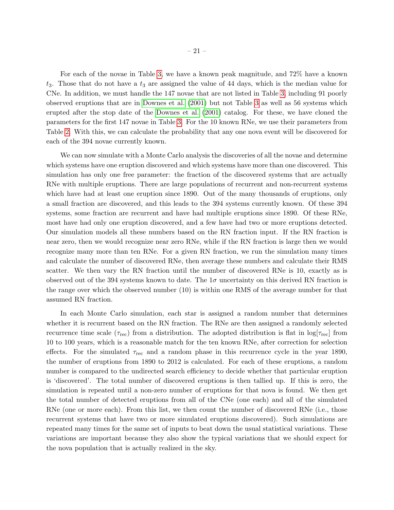For each of the novae in Table [3,](#page-38-0) we have a known peak magnitude, and 72% have a known  $t_3$ . Those that do not have a  $t_3$  are assigned the value of 44 days, which is the median value for CNe. In addition, we must handle the 147 novae that are not listed in Table [3,](#page-38-0) including 91 poorly observed eruptions that are in [Downes et al.](#page-44-4) [\(2001\)](#page-44-4) but not Table [3](#page-38-0) as well as 56 systems which erupted after the stop date of the [Downes et al.](#page-44-4) [\(2001\)](#page-44-4) catalog. For these, we have cloned the parameters for the first 147 novae in Table [3.](#page-38-0) For the 10 known RNe, we use their parameters from Table [2.](#page-31-0) With this, we can calculate the probability that any one nova event will be discovered for each of the 394 novae currently known.

We can now simulate with a Monte Carlo analysis the discoveries of all the novae and determine which systems have one eruption discovered and which systems have more than one discovered. This simulation has only one free parameter: the fraction of the discovered systems that are actually RNe with multiple eruptions. There are large populations of recurrent and non-recurrent systems which have had at least one eruption since 1890. Out of the many thousands of eruptions, only a small fraction are discovered, and this leads to the 394 systems currently known. Of these 394 systems, some fraction are recurrent and have had multiple eruptions since 1890. Of these RNe, most have had only one eruption discovered, and a few have had two or more eruptions detected. Our simulation models all these numbers based on the RN fraction input. If the RN fraction is near zero, then we would recognize near zero RNe, while if the RN fraction is large then we would recognize many more than ten RNe. For a given RN fraction, we run the simulation many times and calculate the number of discovered RNe, then average these numbers and calculate their RMS scatter. We then vary the RN fraction until the number of discovered RNe is 10, exactly as is observed out of the 394 systems known to date. The  $1\sigma$  uncertainty on this derived RN fraction is the range over which the observed number (10) is within one RMS of the average number for that assumed RN fraction.

In each Monte Carlo simulation, each star is assigned a random number that determines whether it is recurrent based on the RN fraction. The RNe are then assigned a randomly selected recurrence time scale ( $\tau_{\text{rec}}$ ) from a distribution. The adopted distribution is flat in  $\log[\tau_{\text{rec}}]$  from 10 to 100 years, which is a reasonable match for the ten known RNe, after correction for selection effects. For the simulated  $\tau_{\text{rec}}$  and a random phase in this recurrence cycle in the year 1890, the number of eruptions from 1890 to 2012 is calculated. For each of these eruptions, a random number is compared to the undirected search efficiency to decide whether that particular eruption is 'discovered'. The total number of discovered eruptions is then tallied up. If this is zero, the simulation is repeated until a non-zero number of eruptions for that nova is found. We then get the total number of detected eruptions from all of the CNe (one each) and all of the simulated RNe (one or more each). From this list, we then count the number of discovered RNe (i.e., those recurrent systems that have two or more simulated eruptions discovered). Such simulations are repeated many times for the same set of inputs to beat down the usual statistical variations. These variations are important because they also show the typical variations that we should expect for the nova population that is actually realized in the sky.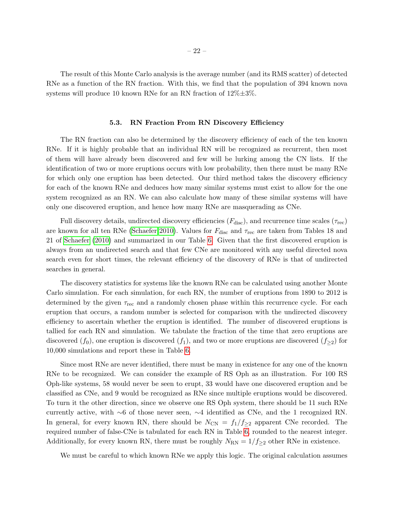The result of this Monte Carlo analysis is the average number (and its RMS scatter) of detected RNe as a function of the RN fraction. With this, we find that the population of 394 known nova systems will produce 10 known RNe for an RN fraction of  $12\% \pm 3\%$ .

#### 5.3. RN Fraction From RN Discovery Efficiency

<span id="page-22-0"></span>The RN fraction can also be determined by the discovery efficiency of each of the ten known RNe. If it is highly probable that an individual RN will be recognized as recurrent, then most of them will have already been discovered and few will be lurking among the CN lists. If the identification of two or more eruptions occurs with low probability, then there must be many RNe for which only one eruption has been detected. Our third method takes the discovery efficiency for each of the known RNe and deduces how many similar systems must exist to allow for the one system recognized as an RN. We can also calculate how many of these similar systems will have only one discovered eruption, and hence how many RNe are masquerading as CNe.

Full discovery details, undirected discovery efficiencies  $(F_{\text{disc}})$ , and recurrence time scales  $(\tau_{\text{rec}})$ are known for all ten RNe [\(Schaefer 2010\)](#page-49-2). Values for  $F_{\text{disc}}$  and  $\tau_{\text{rec}}$  are taken from Tables 18 and 21 of [Schaefer](#page-49-2) [\(2010\)](#page-49-2) and summarized in our Table [6.](#page-40-0) Given that the first discovered eruption is always from an undirected search and that few CNe are monitored with any useful directed nova search even for short times, the relevant efficiency of the discovery of RNe is that of undirected searches in general.

The discovery statistics for systems like the known RNe can be calculated using another Monte Carlo simulation. For each simulation, for each RN, the number of eruptions from 1890 to 2012 is determined by the given  $\tau_{\text{rec}}$  and a randomly chosen phase within this recurrence cycle. For each eruption that occurs, a random number is selected for comparison with the undirected discovery efficiency to ascertain whether the eruption is identified. The number of discovered eruptions is tallied for each RN and simulation. We tabulate the fraction of the time that zero eruptions are discovered  $(f_0)$ , one eruption is discovered  $(f_1)$ , and two or more eruptions are discovered  $(f_{\geq 2})$  for 10,000 simulations and report these in Table [6.](#page-40-0)

Since most RNe are never identified, there must be many in existence for any one of the known RNe to be recognized. We can consider the example of RS Oph as an illustration. For 100 RS Oph-like systems, 58 would never be seen to erupt, 33 would have one discovered eruption and be classified as CNe, and 9 would be recognized as RNe since multiple eruptions would be discovered. To turn it the other direction, since we observe one RS Oph system, there should be 11 such RNe currently active, with ∼6 of those never seen, ∼4 identified as CNe, and the 1 recognized RN. In general, for every known RN, there should be  $N_{CN} = f_1/f_{\geq 2}$  apparent CNe recorded. The required number of false-CNe is tabulated for each RN in Table [6,](#page-40-0) rounded to the nearest integer. Additionally, for every known RN, there must be roughly  $N_{\rm RN} = 1/f_{\geq 2}$  other RNe in existence.

We must be careful to which known RNe we apply this logic. The original calculation assumes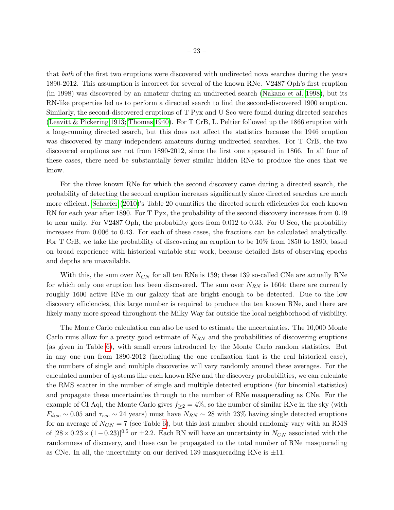that both of the first two eruptions were discovered with undirected nova searches during the years 1890-2012. This assumption is incorrect for several of the known RNe. V2487 Oph's first eruption (in 1998) was discovered by an amateur during an undirected search [\(Nakano et al. 1998\)](#page-48-6), but its RN-like properties led us to perform a directed search to find the second-discovered 1900 eruption. Similarly, the second-discovered eruptions of T Pyx and U Sco were found during directed searches [\(Leavitt & Pickering 1913;](#page-47-6) [Thomas 1940\)](#page-50-11). For T CrB, L. Peltier followed up the 1866 eruption with a long-running directed search, but this does not affect the statistics because the 1946 eruption was discovered by many independent amateurs during undirected searches. For T CrB, the two discovered eruptions are not from 1890-2012, since the first one appeared in 1866. In all four of these cases, there need be substantially fewer similar hidden RNe to produce the ones that we know.

For the three known RNe for which the second discovery came during a directed search, the probability of detecting the second eruption increases significantly since directed searches are much more efficient. [Schaefer](#page-49-2) [\(2010\)](#page-49-2)'s Table 20 quantifies the directed search efficiencies for each known RN for each year after 1890. For T Pyx, the probability of the second discovery increases from 0.19 to near unity. For V2487 Oph, the probability goes from 0.012 to 0.33. For U Sco, the probability increases from 0.006 to 0.43. For each of these cases, the fractions can be calculated analytically. For T CrB, we take the probability of discovering an eruption to be 10% from 1850 to 1890, based on broad experience with historical variable star work, because detailed lists of observing epochs and depths are unavailable.

With this, the sum over  $N_{CN}$  for all ten RNe is 139; these 139 so-called CNe are actually RNe for which only one eruption has been discovered. The sum over  $N_{RN}$  is 1604; there are currently roughly 1600 active RNe in our galaxy that are bright enough to be detected. Due to the low discovery efficiencies, this large number is required to produce the ten known RNe, and there are likely many more spread throughout the Milky Way far outside the local neighborhood of visibility.

The Monte Carlo calculation can also be used to estimate the uncertainties. The 10,000 Monte Carlo runs allow for a pretty good estimate of  $N_{RN}$  and the probabilities of discovering eruptions (as given in Table [6\)](#page-40-0), with small errors introduced by the Monte Carlo random statistics. But in any one run from 1890-2012 (including the one realization that is the real historical case), the numbers of single and multiple discoveries will vary randomly around these averages. For the calculated number of systems like each known RNe and the discovery probabilities, we can calculate the RMS scatter in the number of single and multiple detected eruptions (for binomial statistics) and propagate these uncertainties through to the number of RNe masquerading as CNe. For the example of CI Aql, the Monte Carlo gives  $f_{>2} = 4\%$ , so the number of similar RNe in the sky (with  $F_{disc} \sim 0.05$  and  $\tau_{rec} \sim 24$  years) must have  $N_{RN} \sim 28$  with 23% having single detected eruptions for an average of  $N_{CN} = 7$  (see Table [6\)](#page-40-0), but this last number should randomly vary with an RMS of  $[28 \times 0.23 \times (1-0.23)]^{0.5}$  or  $\pm 2.2$ . Each RN will have an uncertainty in  $N_{CN}$  associated with the randomness of discovery, and these can be propagated to the total number of RNe masquerading as CNe. In all, the uncertainty on our derived 139 masquerading RNe is  $\pm 11$ .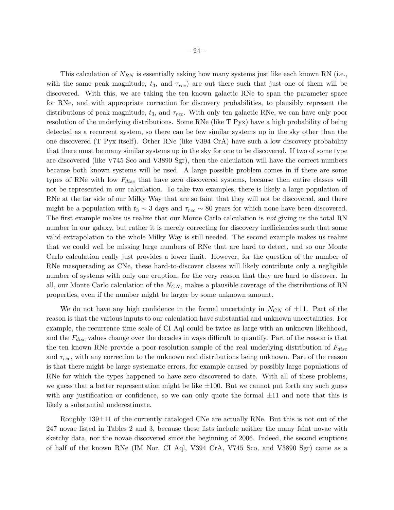This calculation of  $N_{RN}$  is essentially asking how many systems just like each known RN (i.e., with the same peak magnitude,  $t_3$ , and  $\tau_{rec}$  are out there such that just one of them will be discovered. With this, we are taking the ten known galactic RNe to span the parameter space for RNe, and with appropriate correction for discovery probabilities, to plausibly represent the distributions of peak magnitude,  $t_3$ , and  $\tau_{rec}$ . With only ten galactic RNe, we can have only poor resolution of the underlying distributions. Some RNe (like T Pyx) have a high probability of being detected as a recurrent system, so there can be few similar systems up in the sky other than the one discovered (T Pyx itself). Other RNe (like V394 CrA) have such a low discovery probability that there must be many similar systems up in the sky for one to be discovered. If two of some type are discovered (like V745 Sco and V3890 Sgr), then the calculation will have the correct numbers because both known systems will be used. A large possible problem comes in if there are some types of RNe with low  $F_{disc}$  that have zero discovered systems, because then entire classes will not be represented in our calculation. To take two examples, there is likely a large population of RNe at the far side of our Milky Way that are so faint that they will not be discovered, and there might be a population with  $t_3 \sim 3$  days and  $\tau_{rec} \sim 80$  years for which none have been discovered. The first example makes us realize that our Monte Carlo calculation is not giving us the total RN number in our galaxy, but rather it is merely correcting for discovery inefficiencies such that some valid extrapolation to the whole Milky Way is still needed. The second example makes us realize that we could well be missing large numbers of RNe that are hard to detect, and so our Monte Carlo calculation really just provides a lower limit. However, for the question of the number of RNe masquerading as CNe, these hard-to-discover classes will likely contribute only a negligible number of systems with only one eruption, for the very reason that they are hard to discover. In all, our Monte Carlo calculation of the  $N_{CN}$ , makes a plausible coverage of the distributions of RN properties, even if the number might be larger by some unknown amount.

We do not have any high confidence in the formal uncertainty in  $N_{CN}$  of  $\pm 11$ . Part of the reason is that the various inputs to our calculation have substantial and unknown uncertainties. For example, the recurrence time scale of CI Aql could be twice as large with an unknown likelihood, and the  $F_{disc}$  values change over the decades in ways difficult to quantify. Part of the reason is that the ten known RNe provide a poor-resolution sample of the real underlying distribution of  $F_{disc}$ and  $\tau_{rec}$ , with any correction to the unknown real distributions being unknown. Part of the reason is that there might be large systematic errors, for example caused by possibly large populations of RNe for which the types happened to have zero discovered to date. With all of these problems, we guess that a better representation might be like  $\pm 100$ . But we cannot put forth any such guess with any justification or confidence, so we can only quote the formal  $\pm 11$  and note that this is likely a substantial underestimate.

Roughly  $139\pm11$  of the currently cataloged CNe are actually RNe. But this is not out of the 247 novae listed in Tables 2 and 3, because these lists include neither the many faint novae with sketchy data, nor the novae discovered since the beginning of 2006. Indeed, the second eruptions of half of the known RNe (IM Nor, CI Aql, V394 CrA, V745 Sco, and V3890 Sgr) came as a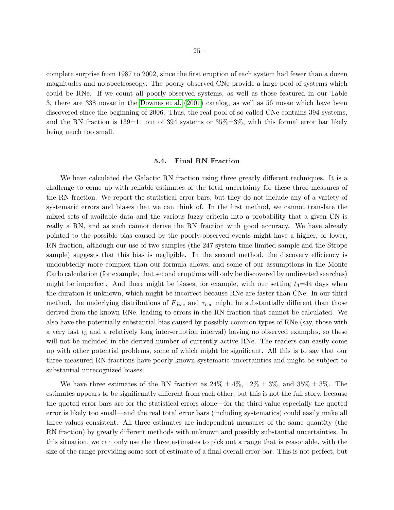complete surprise from 1987 to 2002, since the first eruption of each system had fewer than a dozen magnitudes and no spectroscopy. The poorly observed CNe provide a large pool of systems which could be RNe. If we count all poorly-observed systems, as well as those featured in our Table 3, there are 338 novae in the [Downes et al.](#page-44-4) [\(2001\)](#page-44-4) catalog, as well as 56 novae which have been discovered since the beginning of 2006. Thus, the real pool of so-called CNe contains 394 systems, and the RN fraction is  $139\pm11$  out of 394 systems or  $35\% \pm 3\%$ , with this formal error bar likely being much too small.

#### 5.4. Final RN Fraction

We have calculated the Galactic RN fraction using three greatly different techniques. It is a challenge to come up with reliable estimates of the total uncertainty for these three measures of the RN fraction. We report the statistical error bars, but they do not include any of a variety of systematic errors and biases that we can think of. In the first method, we cannot translate the mixed sets of available data and the various fuzzy criteria into a probability that a given CN is really a RN, and as such cannot derive the RN fraction with good accuracy. We have already pointed to the possible bias caused by the poorly-observed events might have a higher, or lower, RN fraction, although our use of two samples (the 247 system time-limited sample and the Strope sample) suggests that this bias is negligible. In the second method, the discovery efficiency is undoubtedly more complex than our formula allows, and some of our assumptions in the Monte Carlo calculation (for example, that second eruptions will only be discovered by undirected searches) might be imperfect. And there might be biases, for example, with our setting  $t_3=44$  days when the duration is unknown, which might be incorrect because RNe are faster than CNe. In our third method, the underlying distributions of  $F_{disc}$  and  $\tau_{rec}$  might be substantially different than those derived from the known RNe, leading to errors in the RN fraction that cannot be calculated. We also have the potentially substantial bias caused by possibly-common types of RNe (say, those with a very fast  $t_3$  and a relatively long inter-eruption interval) having no observed examples, so these will not be included in the derived number of currently active RNe. The readers can easily come up with other potential problems, some of which might be significant. All this is to say that our three measured RN fractions have poorly known systematic uncertainties and might be subject to substantial unrecognized biases.

We have three estimates of the RN fraction as  $24\% \pm 4\%$ ,  $12\% \pm 3\%$ , and  $35\% \pm 3\%$ . The estimates appears to be significantly different from each other, but this is not the full story, because the quoted error bars are for the statistical errors alone—for the third value especially the quoted error is likely too small—and the real total error bars (including systematics) could easily make all three values consistent. All three estimates are independent measures of the same quantity (the RN fraction) by greatly different methods with unknown and possibly substantial uncertainties. In this situation, we can only use the three estimates to pick out a range that is reasonable, with the size of the range providing some sort of estimate of a final overall error bar. This is not perfect, but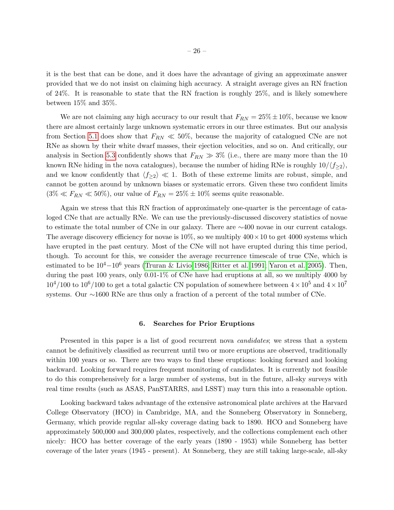it is the best that can be done, and it does have the advantage of giving an approximate answer provided that we do not insist on claiming high accuracy. A straight average gives an RN fraction of 24%. It is reasonable to state that the RN fraction is roughly 25%, and is likely somewhere between 15% and 35%.

We are not claiming any high accuracy to our result that  $F_{RN} = 25\% \pm 10\%$ , because we know there are almost certainly large unknown systematic errors in our three estimates. But our analysis from Section [5.1](#page-17-1) does show that  $F_{RN} \ll 50\%$ , because the majority of catalogued CNe are not RNe as shown by their white dwarf masses, their ejection velocities, and so on. And critically, our analysis in Section [5.3](#page-22-0) confidently shows that  $F_{RN} \gg 3\%$  (i.e., there are many more than the 10 known RNe hiding in the nova catalogues), because the number of hiding RNe is roughly  $10/\langle f_{\geq 2} \rangle$ , and we know confidently that  $\langle f_{\geq 2} \rangle \ll 1$ . Both of these extreme limits are robust, simple, and cannot be gotten around by unknown biases or systematic errors. Given these two confident limits  $(3\% \ll F_{RN} \ll 50\%)$ , our value of  $F_{RN} = 25\% \pm 10\%$  seems quite reasonable.

Again we stress that this RN fraction of approximately one-quarter is the percentage of cataloged CNe that are actually RNe. We can use the previously-discussed discovery statistics of novae to estimate the total number of CNe in our galaxy. There are ∼400 novae in our current catalogs. The average discovery efficiency for novae is  $10\%$ , so we multiply  $400 \times 10$  to get  $4000$  systems which have erupted in the past century. Most of the CNe will not have erupted during this time period, though. To account for this, we consider the average recurrence timescale of true CNe, which is estimated to be 104−10<sup>6</sup> years [\(Truran & Livio 1986;](#page-51-8) [Ritter et al. 1991;](#page-49-10) [Yaron et al. 2005\)](#page-52-0). Then, during the past 100 years, only 0.01-1% of CNe have had eruptions at all, so we multiply 4000 by  $10^4/100$  to  $10^6/100$  to get a total galactic CN population of somewhere between  $4 \times 10^5$  and  $4 \times 10^7$ systems. Our ∼1600 RNe are thus only a fraction of a percent of the total number of CNe.

#### 6. Searches for Prior Eruptions

<span id="page-26-0"></span>Presented in this paper is a list of good recurrent nova *candidates*; we stress that a system cannot be definitively classified as recurrent until two or more eruptions are observed, traditionally within 100 years or so. There are two ways to find these eruptions: looking forward and looking backward. Looking forward requires frequent monitoring of candidates. It is currently not feasible to do this comprehensively for a large number of systems, but in the future, all-sky surveys with real time results (such as ASAS, PanSTARRS, and LSST) may turn this into a reasonable option.

Looking backward takes advantage of the extensive astronomical plate archives at the Harvard College Observatory (HCO) in Cambridge, MA, and the Sonneberg Observatory in Sonneberg, Germany, which provide regular all-sky coverage dating back to 1890. HCO and Sonneberg have approximately 500,000 and 300,000 plates, respectively, and the collections complement each other nicely: HCO has better coverage of the early years (1890 - 1953) while Sonneberg has better coverage of the later years (1945 - present). At Sonneberg, they are still taking large-scale, all-sky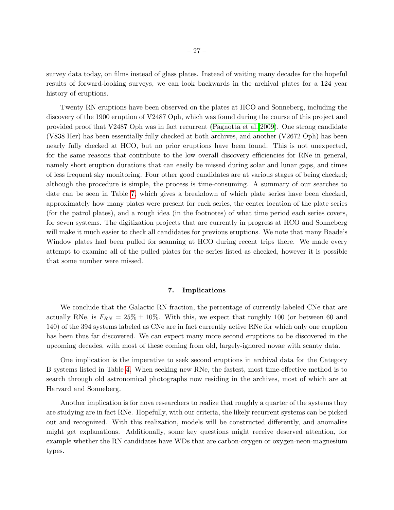survey data today, on films instead of glass plates. Instead of waiting many decades for the hopeful results of forward-looking surveys, we can look backwards in the archival plates for a 124 year history of eruptions.

Twenty RN eruptions have been observed on the plates at HCO and Sonneberg, including the discovery of the 1900 eruption of V2487 Oph, which was found during the course of this project and provided proof that V2487 Oph was in fact recurrent [\(Pagnotta et al. 2009\)](#page-48-1). One strong candidate (V838 Her) has been essentially fully checked at both archives, and another (V2672 Oph) has been nearly fully checked at HCO, but no prior eruptions have been found. This is not unexpected, for the same reasons that contribute to the low overall discovery efficiencies for RNe in general, namely short eruption durations that can easily be missed during solar and lunar gaps, and times of less frequent sky monitoring. Four other good candidates are at various stages of being checked; although the procedure is simple, the process is time-consuming. A summary of our searches to date can be seen in Table [7,](#page-1-0) which gives a breakdown of which plate series have been checked, approximately how many plates were present for each series, the center location of the plate series (for the patrol plates), and a rough idea (in the footnotes) of what time period each series covers, for seven systems. The digitization projects that are currently in progress at HCO and Sonneberg will make it much easier to check all candidates for previous eruptions. We note that many Baade's Window plates had been pulled for scanning at HCO during recent trips there. We made every attempt to examine all of the pulled plates for the series listed as checked, however it is possible that some number were missed.

## 7. Implications

<span id="page-27-0"></span>We conclude that the Galactic RN fraction, the percentage of currently-labeled CNe that are actually RNe, is  $F_{RN} = 25\% \pm 10\%$ . With this, we expect that roughly 100 (or between 60 and 140) of the 394 systems labeled as CNe are in fact currently active RNe for which only one eruption has been thus far discovered. We can expect many more second eruptions to be discovered in the upcoming decades, with most of these coming from old, largely-ignored novae with scanty data.

One implication is the imperative to seek second eruptions in archival data for the Category B systems listed in Table [4.](#page-39-0) When seeking new RNe, the fastest, most time-effective method is to search through old astronomical photographs now residing in the archives, most of which are at Harvard and Sonneberg.

Another implication is for nova researchers to realize that roughly a quarter of the systems they are studying are in fact RNe. Hopefully, with our criteria, the likely recurrent systems can be picked out and recognized. With this realization, models will be constructed differently, and anomalies might get explanations. Additionally, some key questions might receive deserved attention, for example whether the RN candidates have WDs that are carbon-oxygen or oxygen-neon-magnesium types.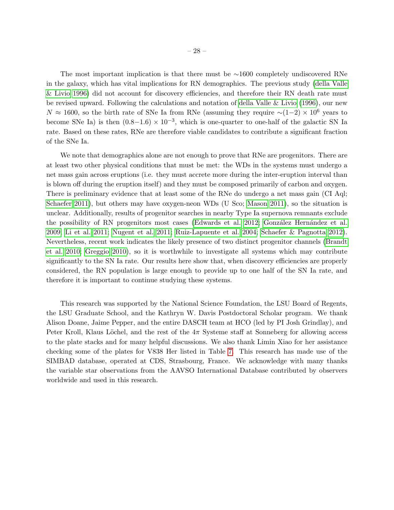The most important implication is that there must be ∼1600 completely undiscovered RNe in the galaxy, which has vital implications for RN demographics. The previous study [\(della Valle](#page-44-1) [& Livio 1996\)](#page-44-1) did not account for discovery efficiencies, and therefore their RN death rate must be revised upward. Following the calculations and notation of [della Valle & Livio](#page-44-1) [\(1996\)](#page-44-1), our new  $N \approx 1600$ , so the birth rate of SNe Ia from RNe (assuming they require ~(1−2) × 10<sup>6</sup> years to become SNe Ia) is then  $(0.8-1.6) \times 10^{-3}$ , which is one-quarter to one-half of the galactic SN Ia rate. Based on these rates, RNe are therefore viable candidates to contribute a significant fraction of the SNe Ia.

We note that demographics alone are not enough to prove that RNe are progenitors. There are at least two other physical conditions that must be met: the WDs in the systems must undergo a net mass gain across eruptions (i.e. they must accrete more during the inter-eruption interval than is blown off during the eruption itself) and they must be composed primarily of carbon and oxygen. There is preliminary evidence that at least some of the RNe do undergo a net mass gain (CI Aql; [Schaefer 2011\)](#page-49-11), but others may have oxygen-neon WDs (U Sco; [Mason 2011\)](#page-48-7), so the situation is unclear. Additionally, results of progenitor searches in nearby Type Ia supernova remnants exclude the possibility of RN progenitors most cases [\(Edwards et al. 2012;](#page-44-7) González Hernández et al. [2009;](#page-45-13) [Li et al. 2011;](#page-47-7) [Nugent et al. 2011;](#page-48-8) [Ruiz-Lapuente et al. 2004;](#page-49-12) [Schaefer & Pagnotta 2012\)](#page-49-13). Nevertheless, recent work indicates the likely presence of two distinct progenitor channels [\(Brandt](#page-37-0) [et al. 2010;](#page-37-0) [Greggio 2010\)](#page-45-14), so it is worthwhile to investigate all systems which may contribute significantly to the SN Ia rate. Our results here show that, when discovery efficiencies are properly considered, the RN population is large enough to provide up to one half of the SN Ia rate, and therefore it is important to continue studying these systems.

This research was supported by the National Science Foundation, the LSU Board of Regents, the LSU Graduate School, and the Kathryn W. Davis Postdoctoral Scholar program. We thank Alison Doane, Jaime Pepper, and the entire DASCH team at HCO (led by PI Josh Grindlay), and Peter Kroll, Klaus Löchel, and the rest of the  $4\pi$  Systeme staff at Sonneberg for allowing access to the plate stacks and for many helpful discussions. We also thank Limin Xiao for her assistance checking some of the plates for V838 Her listed in Table [7.](#page-1-0) This research has made use of the SIMBAD database, operated at CDS, Strasbourg, France. We acknowledge with many thanks the variable star observations from the AAVSO International Database contributed by observers worldwide and used in this research.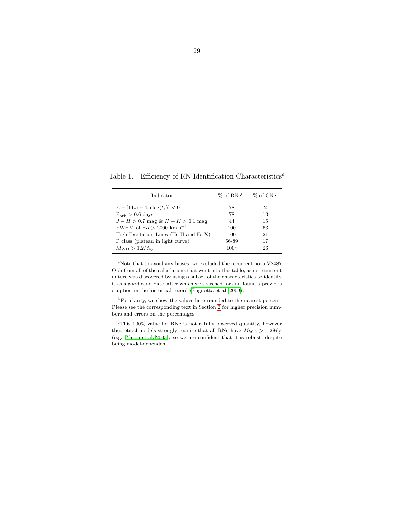| Indicator                                   | $\%$ of RNe <sup>b</sup> $\%$ of CNe |    |
|---------------------------------------------|--------------------------------------|----|
| $A - [14.5 - 4.5 \log(t_3)] < 0$            | 78                                   | 2  |
| $P_{\rm orb} > 0.6$ days                    | 78                                   | 13 |
| $J-H > 0.7$ mag & $H - K > 0.1$ mag         | 44                                   | 15 |
| FWHM of $H\alpha > 2000$ km s <sup>-1</sup> | 100                                  | 53 |
| High-Excitation Lines (He II and Fe $X$ )   | 100                                  | 21 |
| P class (plateau in light curve)            | 56-89                                | 17 |
| $M_{\rm WD} > 1.2 M_{\odot}$                | 100 <sup>c</sup>                     | 26 |

Table 1. Efficiency of RN Identification Characteristics<sup>a</sup>

<sup>a</sup>Note that to avoid any biases, we excluded the recurrent nova V2487 Oph from all of the calculations that went into this table, as its recurrent nature was discovered by using a subset of the characteristics to identify it as a good candidate, after which we searched for and found a previous eruption in the historical record [\(Pagnotta et al. 2009\)](#page-48-1).

<sup>b</sup>For clarity, we show the values here rounded to the nearest percent. Please see the corresponding text in Section [2](#page-3-0) for higher precision numbers and errors on the percentages.

<sup>c</sup>This 100% value for RNe is not a fully observed quantity, however theoretical models strongly require that all RNe have  $M_{\rm WD} > 1.2 M_{\odot}$ (e.g. [Yaron et al. 2005\)](#page-52-0), so we are confident that it is robust, despite being model-dependent.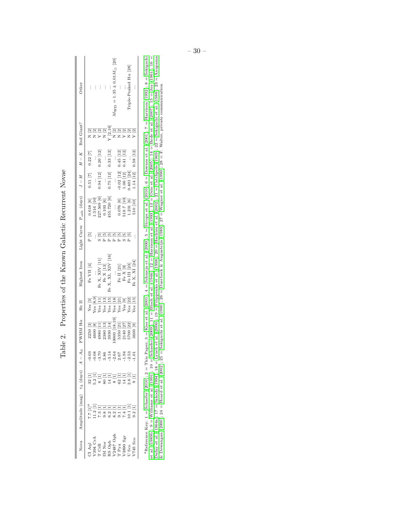<span id="page-30-0"></span>

| Nova                                                                                                                                                                                                                                                                                                                                                                                                              | Amplitude (mag) $t_3$ (days) $A - A_0$                                                                                                                                                                                                                                                                                           |                                     | $FWHM$ H $\alpha$ He II                                                                                                                                                                                                                                                                                                                                                              |                                                                                  | Highest Iron                                                                                          |                     | Light Curve $P_{orb}$ (days) $J - H$ $H - K$ Red Giant?                                                      |                                                                                         |                                                           |                                           | Other                                                |
|-------------------------------------------------------------------------------------------------------------------------------------------------------------------------------------------------------------------------------------------------------------------------------------------------------------------------------------------------------------------------------------------------------------------|----------------------------------------------------------------------------------------------------------------------------------------------------------------------------------------------------------------------------------------------------------------------------------------------------------------------------------|-------------------------------------|--------------------------------------------------------------------------------------------------------------------------------------------------------------------------------------------------------------------------------------------------------------------------------------------------------------------------------------------------------------------------------------|----------------------------------------------------------------------------------|-------------------------------------------------------------------------------------------------------|---------------------|--------------------------------------------------------------------------------------------------------------|-----------------------------------------------------------------------------------------|-----------------------------------------------------------|-------------------------------------------|------------------------------------------------------|
|                                                                                                                                                                                                                                                                                                                                                                                                                   |                                                                                                                                                                                                                                                                                                                                  |                                     |                                                                                                                                                                                                                                                                                                                                                                                      |                                                                                  | Fe VII $[4]$                                                                                          | $\frac{5}{2}$       |                                                                                                              | $0.51$ [7]                                                                              | $0.22\ [7]$                                               |                                           |                                                      |
|                                                                                                                                                                                                                                                                                                                                                                                                                   | 7.7 [1] <sup>a</sup><br>11.2 [1]                                                                                                                                                                                                                                                                                                 |                                     |                                                                                                                                                                                                                                                                                                                                                                                      |                                                                                  | $\vdots$                                                                                              | ŧ,                  |                                                                                                              | $\frac{1}{2}$                                                                           | $\vdots$                                                  |                                           |                                                      |
| $\begin{array}{l} \text{C1 Aql} \\ \text{V394 CrA} \\ \text{T CrB} \\ \text{IM Nor} \\ \text{D4 Nor} \\ \text{V394 CrA} \\ \text{V396} \\ \text{V390 Sgr} \\ \text{V390 Sgr} \\ \text{V390 Sgr} \\ \text{U} \\ \text{Sco} \\ \text{U} \\ \text{Sco} \\ \text{U} \\ \text{Sco} \\ \text{V300} \\ \text{Sgr} \\ \text{V300} \\ \text{V300} \\ \text{V300} \\ \text{V300} \\ \text{V300} \\ \text{V300} \\ \text{V3$ | $\begin{array}{ll} 1 & 0 & 0 & 0 \\ 0 & 0 & 0 & 0 \\ 0 & 0 & 0 & 0 \\ 0 & 0 & 0 & 0 \\ 0 & 0 & 0 & 0 \\ 0 & 0 & 0 & 0 \\ 0 & 0 & 0 & 0 \\ 0 & 0 & 0 & 0 \\ 0 & 0 & 0 & 0 \\ 0 & 0 & 0 & 0 \\ 0 & 0 & 0 & 0 \\ 0 & 0 & 0 & 0 \\ 0 & 0 & 0 & 0 \\ 0 & 0 & 0 & 0 \\ 0 & 0 & 0 & 0 & 0 \\ 0 & 0 & 0 & 0 & 0 \\ 0 & 0 & 0 & 0 & 0 \\$ | 크그<br>프로그크그크그<br>2012 - 2012 - 2013 |                                                                                                                                                                                                                                                                                                                                                                                      | Yes [3]<br>Yes [8,9]<br>Yes [13]<br>Yes [13]<br>Yes [21]<br>Yes [22]<br>Yes [15] | Fe X, XIV [11]                                                                                        |                     | $\begin{array}{c} 0.618 \; [6]\\ 1.516 \; [10]\\ 227.569 \; [6]\\ 0.103 \; [6]\\ 455.720 \; [6] \end{array}$ | $0.94~[12] \quad \cup$                                                                  | $0.26\ [12]$                                              | ឨ <u>ឨឨឨ</u><br>ឨឨឨឨឨ៓ឨឨឨឨឨ<br>ឨឨឨឨ៓ឨឨឨឨឨ | おおおい                                                 |
|                                                                                                                                                                                                                                                                                                                                                                                                                   |                                                                                                                                                                                                                                                                                                                                  |                                     |                                                                                                                                                                                                                                                                                                                                                                                      |                                                                                  |                                                                                                       | $\mathbf{a}$        |                                                                                                              | $\frac{1}{2}$                                                                           | $\vdots$                                                  |                                           | İ.                                                   |
|                                                                                                                                                                                                                                                                                                                                                                                                                   |                                                                                                                                                                                                                                                                                                                                  |                                     |                                                                                                                                                                                                                                                                                                                                                                                      |                                                                                  | Fe X, XI, XIV [16] $\,$ Fe X, XI, XIV [16] $\,$                                                       | д                   |                                                                                                              | $0.75\ [12]$                                                                            | 0.33 [12]                                                 |                                           | $\vdots$                                             |
|                                                                                                                                                                                                                                                                                                                                                                                                                   |                                                                                                                                                                                                                                                                                                                                  |                                     |                                                                                                                                                                                                                                                                                                                                                                                      |                                                                                  | $\vdots$                                                                                              | $\mathbf{r}$        |                                                                                                              | $\vdots$                                                                                | $\vdots$                                                  |                                           | $[20]$<br>$M_{\rm WD}$ = 1.35 $\pm$ 0.01 $M_{\odot}$ |
|                                                                                                                                                                                                                                                                                                                                                                                                                   |                                                                                                                                                                                                                                                                                                                                  |                                     |                                                                                                                                                                                                                                                                                                                                                                                      |                                                                                  |                                                                                                       | $\mathbf{a}$        |                                                                                                              |                                                                                         |                                                           |                                           | ŧ,                                                   |
|                                                                                                                                                                                                                                                                                                                                                                                                                   |                                                                                                                                                                                                                                                                                                                                  |                                     |                                                                                                                                                                                                                                                                                                                                                                                      |                                                                                  |                                                                                                       |                     |                                                                                                              |                                                                                         | $\begin{array}{c} 0.45 \ [12] \\ 0.41 \ [12] \end{array}$ |                                           |                                                      |
|                                                                                                                                                                                                                                                                                                                                                                                                                   |                                                                                                                                                                                                                                                                                                                                  |                                     |                                                                                                                                                                                                                                                                                                                                                                                      |                                                                                  |                                                                                                       | <u>eereeee</u><br>д |                                                                                                              |                                                                                         |                                                           |                                           | Triple-Peaked Ha [28]                                |
| 745 Sco                                                                                                                                                                                                                                                                                                                                                                                                           |                                                                                                                                                                                                                                                                                                                                  |                                     | $\begin{array}{l} \text{225.6}\ \text{[3]}\\ \text{230.6}\ \text{[8]}\ \text{[1]}\ \text{[1]}\ \text{[3]}\ \text{[4]}\ \text{[5]}\ \text{[6]}\ \text{[7]}\ \text{[7]}\ \text{[8]}\ \text{[9]}\ \text{[9]}\ \text{[10]}\ \text{[11]}\ \text{[12]}\ \text{[13]}\ \text{[14]}\ \text{[15]}\ \text{[16]}\ \text{[16]}\ \text{[17]}\ \text{[18]}\ \text{[18]}\ \text{[19]}\ \text{[19]}\$ |                                                                                  | $\begin{array}{c} \rm{Fe}~II~[21]\\ \rm{Fe}~X~[9]\\ \rm{Fe}~II~[23]\\ \rm{Fe}~X,~XI~[24] \end{array}$ | ፡                   | $\begin{array}{l} 0.076\ [6]\\ 519.7\ [10]\\ 1.231\ [6]\\ 510\ [10] \end{array}$                             | $\begin{array}{c} -0.02\ [12] \\ 1.06\ [12] \\ 0.401\ [24] \\ 1.14\ [12] \end{array} .$ | 0.58 [12]                                                 |                                           | $\vdots$                                             |

Properties of the Known Galactic Recurrent Novae Table 2. Properties of the Known Galactic Recurrent Novae Table 2.

<sup>8</sup>Reference Key: 1 = Schaefer (2010); 2 = This Paper; 3 = Kiss et al. (2001); 4 = Schmeja et al. (2000); 5 = Strope et al. (2010); 6 = Downes et al. (2001); 7 = Harrison (1992); 8 = Sekiguchi<br>et al. (1989b); 9 = Williams  ${}^{\rm a}$ Reference Key: 1 = [Schaefer](#page-49-2) [\(2010\)](#page-50-1); 2 = This Paper; 3 = [Kiss](#page-47-8) et al. [\(2001\)](#page-44-4); 4 = [Schmeja](#page-49-14) et al. [\(2000\)](#page-49-14); 5 = Sexiguchi (2001); 6 = [Downes](#page-44-4) et al. (2001); 7 = [Harrison](#page-45-1) [\(1992\)](#page-45-1); 8 = [Sekiguchi](#page-50-12)  $\text{Dulay of } 20, 17 = \text{Szkody (1994); } 18 = \text{Lynch et al.} (2000); 20000; 20000; 20000; 20000; 20000; 20000; 20000; 20000; 20000; 20000; 20000; 20000; 20000; 20000; 20000; 20000; 20000; 20000; 20000; 20000; 20000; 20000; 20000; 20000;$  $\text{Dulay of } 20, 17 = \text{Szkody (1994); } 18 = \text{Lynch et al.} (2000); 20000; 20000; 20000; 20000; 20000; 20000; 20000; 20000; 20000; 20000; 20000; 20000; 20000; 20000; 20000; 20000; 20000; 20000; 20000; 20000; 20000; 20000; 20000; 20000;$  $\text{Dulay of } 20, 17 = \text{Szkody (1994); } 18 = \text{Lynch et al.} (2000); 20000; 20000; 20000; 20000; 20000; 20000; 20000; 20000; 20000; 20000; 20000; 20000; 20000; 20000; 20000; 20000; 20000; 20000; 20000; 20000; 20000; 20000; 20000; 20000;$  $\text{Dulay of } 20, 17 = \text{Szkody (1994); } 18 = \text{Lynch et al.} (2000); 20000; 20000; 20000; 20000; 20000; 20000; 20000; 20000; 20000; 20000; 20000; 20000; 20000; 20000; 20000; 20000; 20000; 20000; 20000; 20000; 20000; 20000; 20000; 20000;$  $\text{Dulay of } 20, 17 = \text{Szkody (1994); } 18 = \text{Lynch et al.} (2000); 20000; 20000; 20000; 20000; 20000; 20000; 20000; 20000; 20000; 20000; 20000; 20000; 20000; 20000; 20000; 20000; 20000; 20000; 20000; 20000; 20000; 20000; 20000; 20000;$  $\text{Dulay of } 20, 17 = \text{Szkody (1994); } 18 = \text{Lynch et al.} (2000); 20000; 20000; 20000; 20000; 20000; 20000; 20000; 20000; 20000; 20000; 20000; 20000; 20000; 20000; 20000; 20000; 20000; 20000; 20000; 20000; 20000; 20000; 20000; 20000;$  $\text{Dulay of } 20, 17 = \text{Szkody (1994); } 18 = \text{Lynch et al.} (2000); 20000; 20000; 20000; 20000; 20000; 20000; 20000; 20000; 20000; 20000; 20000; 20000; 20000; 20000; 20000; 20000; 20000; 20000; 20000; 20000; 20000; 20000; 20000; 20000;$  $\text{Dulay of } 20, 17 = \text{Szkody (1994); } 18 = \text{Lynch et al.} (2000); 20000; 20000; 20000; 20000; 20000; 20000; 20000; 20000; 20000; 20000; 20000; 20000; 20000; 20000; 20000; 20000; 20000; 20000; 20000; 20000; 20000; 20000; 20000; 20000;$  $\text{Dulay of } 20, 17 = \text{Szkody (1994); } 18 = \text{Lynch et al.} (2000); 20000; 20000; 20000; 20000; 20000; 20000; 20000; 20000; 20000; 20000; 20000; 20000; 20000; 20000; 20000; 20000; 20000; 20000; 20000; 20000; 20000; 20000; 20000; 20000;$ et [al.](#page-50-12) [\(1989b\)](#page-50-12); 9 = [Williams](#page-51-9) et al. [\(1991\)](#page-51-9); 10 = [Schaefer](#page-49-15) [\(2009\)](#page-49-15); 11 = [Bloch](#page-37-8) et al. [\(1946\)](#page-37-8); 12 = [Harrison](#page-45-15) et al. [\(1993\)](#page-45-15); 13 = [Orio](#page-48-9) et al. [\(2005\)](#page-48-9); 14 = [Bode](#page-37-9) et al. [\(2007\)](#page-37-9); 15 = [Joy](#page-46-13) ([1961\)](#page-46-13); 16 = Joy (1961); 16 = Joy (1961); & [Dewangan](#page-37-11) [\(2000\)](#page-37-11); 24 = [Hoard](#page-46-7) et al. [\(2002\)](#page-46-7); 25 = [Sekiguchi](#page-50-14) et al. [\(1990\)](#page-51-10); 26 = Duerbeck & [Augusteijn](#page-44-9) ([1989\)](#page-44-9); 27 = [Wagner](#page-51-10) et al. (1990); 28 = F. Walter, private communication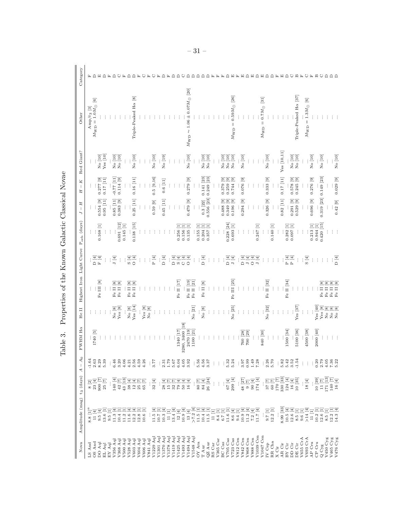| Ĭ<br>ı<br>i                           |  |
|---------------------------------------|--|
| ı<br>ć                                |  |
| <b>Search 200</b><br>l<br>I<br>ì<br>ı |  |
| $\frac{1}{2}$<br>į<br>l               |  |
| ı<br>֠<br>ſ<br>l                      |  |
| ¢                                     |  |

<span id="page-31-0"></span>

| Nova                                                                                                 | Amplitude (mag) t3 (days)                                                                                                                                                                                                                                                                                                                                                                                                                   |                                                                                                                                                                                                                                                                                                                                                                                                                                 | A <sub>0</sub><br>$\mathbb T$<br>$\blacktriangleleft$           | $\rm FWHM$ H $\alpha$                                   | He II                              |                                                              | Highest Iron Light Curve Porb (days)                                                                         |                                                           | Н<br>Н<br>$\mathbb T$<br>L | $\kappa$<br>$\mathbb T$ | Red Giant?             | Other                                          | Category |
|------------------------------------------------------------------------------------------------------|---------------------------------------------------------------------------------------------------------------------------------------------------------------------------------------------------------------------------------------------------------------------------------------------------------------------------------------------------------------------------------------------------------------------------------------------|---------------------------------------------------------------------------------------------------------------------------------------------------------------------------------------------------------------------------------------------------------------------------------------------------------------------------------------------------------------------------------------------------------------------------------|-----------------------------------------------------------------|---------------------------------------------------------|------------------------------------|--------------------------------------------------------------|--------------------------------------------------------------------------------------------------------------|-----------------------------------------------------------|----------------------------|-------------------------|------------------------|------------------------------------------------|----------|
| LS And                                                                                               |                                                                                                                                                                                                                                                                                                                                                                                                                                             |                                                                                                                                                                                                                                                                                                                                                                                                                                 |                                                                 |                                                         |                                    |                                                              |                                                                                                              |                                                           |                            |                         |                        | $Amp/t_3$ [3]                                  |          |
| OS And                                                                                               | $\begin{array}{c} 8.8 \ [1]^a \\ 11 \ [4] \end{array}$                                                                                                                                                                                                                                                                                                                                                                                      |                                                                                                                                                                                                                                                                                                                                                                                                                                 | $-1.64$<br>2.63                                                 | $1740\ [5]$                                             |                                    | ÷                                                            | D[4]                                                                                                         |                                                           |                            |                         |                        | $\boxed{6}$<br>$M_{\rm WD}$ = $1.0 M_{\odot}$  |          |
| DO Aql                                                                                               |                                                                                                                                                                                                                                                                                                                                                                                                                                             |                                                                                                                                                                                                                                                                                                                                                                                                                                 | $8.29$<br>$5.39$                                                |                                                         |                                    | Fe III [8]                                                   | $\mathbf{F}\left[4\right]$                                                                                   | $0.168$ [1]                                               | 0.554 [9]                  | $0.277$ [9]             | No [10]                |                                                |          |
| EL Aql                                                                                               | $\begin{array}{ll} \mathbf{5} & \mathbf{1} & \mathbf{1} \\ \mathbf{5} & \mathbf{1} & \mathbf{1} \\ \mathbf{6} & \mathbf{1} & \mathbf{1} \\ \mathbf{7} & \mathbf{8} & \mathbf{1} \\ \mathbf{8} & \mathbf{1} & \mathbf{1} \\ \mathbf{9} & \mathbf{1} & \mathbf{1} \\ \mathbf{1} & \mathbf{1} & \mathbf{1} \\ \mathbf{1} & \mathbf{1} & \mathbf{1} \\ \mathbf{1} & \mathbf{1} & \mathbf{1} \\ \mathbf{1} & \mathbf{1} & \mathbf{1} \\ \mathbf$ | $\begin{array}{l} 2 \\ 8 \\ 23 \\ 6 \\ 9 \\ 9 \\ 1 \\ \end{array} \begin{array}{l} \begin{array}{l} \Xi \\ \Xi \\ \Xi \\ \Xi \\ \Xi \\ \end{array} \\ \begin{array}{l} \Xi \\ \Xi \\ \Xi \\ \end{array} \end{array}$                                                                                                                                                                                                            |                                                                 |                                                         |                                    |                                                              | $\vdots$                                                                                                     | $\vdots$                                                  | $0.95$ [11]                | $0.17$ [11]             | Yes [10]               |                                                |          |
| ${\rm EY}$ Aql                                                                                       |                                                                                                                                                                                                                                                                                                                                                                                                                                             |                                                                                                                                                                                                                                                                                                                                                                                                                                 |                                                                 |                                                         |                                    | ÷                                                            |                                                                                                              | $\vdots$                                                  |                            |                         |                        |                                                |          |
| V356 Aql<br>V368 Aql                                                                                 |                                                                                                                                                                                                                                                                                                                                                                                                                                             |                                                                                                                                                                                                                                                                                                                                                                                                                                 | $\frac{1}{6}$ $\frac{46}{3}$ $\frac{3}{2}$                      |                                                         | $\rm No~[8]$                       | Fe II $\left[8\right]$ Fe II $\left[8\right]$<br>$\rm Fe~II$ | J [4]                                                                                                        |                                                           | $0.85$ [11]                | $-0.77$ [11]            | No [10]<br>No [10]     |                                                |          |
|                                                                                                      |                                                                                                                                                                                                                                                                                                                                                                                                                                             |                                                                                                                                                                                                                                                                                                                                                                                                                                 |                                                                 |                                                         | $\operatorname{Yes}\left[8\right]$ |                                                              | $\vdots$                                                                                                     | $0.691$ [12]                                              | 0.383 [9]                  | 0.114 [9]               |                        |                                                |          |
| V500 Aql<br>V528 Aql                                                                                 |                                                                                                                                                                                                                                                                                                                                                                                                                                             |                                                                                                                                                                                                                                                                                                                                                                                                                                 |                                                                 |                                                         | Ì                                  |                                                              | đ                                                                                                            | 0.145 [1]                                                 |                            |                         |                        |                                                |          |
|                                                                                                      |                                                                                                                                                                                                                                                                                                                                                                                                                                             |                                                                                                                                                                                                                                                                                                                                                                                                                                 |                                                                 |                                                         | $\rm No~[8]$                       | $\boxed{8}$<br>$_{\rm Fe}$ II                                | $\frac{1}{2}$ o o                                                                                            |                                                           |                            |                         |                        |                                                |          |
| V603 Aql<br>V604 Aql<br>V606 Aql                                                                     |                                                                                                                                                                                                                                                                                                                                                                                                                                             |                                                                                                                                                                                                                                                                                                                                                                                                                                 | $0.7898$<br>$0.7999$<br>$0.7999$<br>$0.77$<br>$0.799$<br>$0.77$ |                                                         | Yes [14]                           | $\overline{\infty}$<br>$\rm Fe~II$                           |                                                                                                              | 0.138 [15]                                                | 0.25 [11]                  | $0.16$ [11]             | No [10]                | Triple-Peaked Ha [8]                           |          |
|                                                                                                      |                                                                                                                                                                                                                                                                                                                                                                                                                                             |                                                                                                                                                                                                                                                                                                                                                                                                                                 |                                                                 |                                                         |                                    |                                                              |                                                                                                              |                                                           |                            |                         |                        |                                                |          |
|                                                                                                      |                                                                                                                                                                                                                                                                                                                                                                                                                                             |                                                                                                                                                                                                                                                                                                                                                                                                                                 |                                                                 |                                                         | $\operatorname{Yes}\left[8\right]$ |                                                              | $\vdots$                                                                                                     |                                                           | $\vdots$                   | $\vdots$                | $\vdots$               |                                                |          |
| V841 Aql                                                                                             |                                                                                                                                                                                                                                                                                                                                                                                                                                             |                                                                                                                                                                                                                                                                                                                                                                                                                                 |                                                                 |                                                         | No [8]                             |                                                              | $\vdots$                                                                                                     |                                                           |                            |                         |                        |                                                |          |
| V1229 Aq                                                                                             |                                                                                                                                                                                                                                                                                                                                                                                                                                             | 32 $[4]$                                                                                                                                                                                                                                                                                                                                                                                                                        |                                                                 |                                                         |                                    |                                                              | $\mathbf{P}$ [4]                                                                                             |                                                           | $0.59$ [9]                 | 0.5 [9, 16]             | No [10]                |                                                |          |
| V1301 Aq                                                                                             |                                                                                                                                                                                                                                                                                                                                                                                                                                             |                                                                                                                                                                                                                                                                                                                                                                                                                                 |                                                                 |                                                         |                                    |                                                              | $\vdots$                                                                                                     |                                                           |                            |                         |                        |                                                |          |
| V1370 Aq                                                                                             |                                                                                                                                                                                                                                                                                                                                                                                                                                             |                                                                                                                                                                                                                                                                                                                                                                                                                                 |                                                                 |                                                         |                                    |                                                              | $\Box$ O                                                                                                     |                                                           | 0.45 [11]                  | 0.6 [11]                | No [19]                |                                                |          |
| V1378 Aqi<br>V1419 Aqi<br>V1425 Aqi<br>V1493 Aqi<br>V1494 Aqi                                        |                                                                                                                                                                                                                                                                                                                                                                                                                                             | $: \frac{452242}{2522222} :$                                                                                                                                                                                                                                                                                                                                                                                                    |                                                                 |                                                         |                                    |                                                              |                                                                                                              |                                                           | ÷                          |                         |                        |                                                |          |
|                                                                                                      |                                                                                                                                                                                                                                                                                                                                                                                                                                             |                                                                                                                                                                                                                                                                                                                                                                                                                                 |                                                                 |                                                         |                                    |                                                              |                                                                                                              |                                                           | ÷                          | İ                       |                        |                                                |          |
|                                                                                                      |                                                                                                                                                                                                                                                                                                                                                                                                                                             |                                                                                                                                                                                                                                                                                                                                                                                                                                 |                                                                 | 1340 [17]                                               |                                    | Fe II $[17]$                                                 | $\frac{1}{2}$ or $\frac{1}{2}$                                                                               | $0.256$ [1]                                               | ÷                          | $\vdots$                | $\vdots$               |                                                |          |
|                                                                                                      |                                                                                                                                                                                                                                                                                                                                                                                                                                             |                                                                                                                                                                                                                                                                                                                                                                                                                                 |                                                                 | 280, 3400 [18]                                          |                                    |                                                              | ロ<br>ロ                                                                                                       |                                                           |                            |                         |                        |                                                |          |
|                                                                                                      |                                                                                                                                                                                                                                                                                                                                                                                                                                             |                                                                                                                                                                                                                                                                                                                                                                                                                                 |                                                                 | 2470 [19]                                               |                                    | Fe II [19]                                                   | $\overline{0}$ [4]                                                                                           | $\begin{array}{c} 0.156 \ [1] \\ 0.135 \ [1] \end{array}$ | $[6]$ 6.479 $[9]$          | $0.279$ [9]             | No [10]                | $M_{\rm WD} \sim 1.06 \pm 0.07 M_{\odot}$ [20] |          |
| V1548 Aq                                                                                             |                                                                                                                                                                                                                                                                                                                                                                                                                                             |                                                                                                                                                                                                                                                                                                                                                                                                                                 |                                                                 | 1100 [21]                                               | No [21]                            | Fe II [21]                                                   |                                                                                                              |                                                           |                            | ţ                       |                        |                                                |          |
| $OY$ Ara                                                                                             |                                                                                                                                                                                                                                                                                                                                                                                                                                             |                                                                                                                                                                                                                                                                                                                                                                                                                                 |                                                                 |                                                         |                                    |                                                              |                                                                                                              | 0.155 [1]                                                 |                            |                         |                        |                                                |          |
| $\mathbb T$ Aur                                                                                      |                                                                                                                                                                                                                                                                                                                                                                                                                                             |                                                                                                                                                                                                                                                                                                                                                                                                                                 |                                                                 |                                                         | $\rm No$ $\lbrack 8\rbrack$        | $\rm Fe~II~[8]$                                              | $D$ [4]                                                                                                      |                                                           | $0.3$ [22]                 | 0.141 [23]              |                        |                                                |          |
| $QZ$ Aur                                                                                             |                                                                                                                                                                                                                                                                                                                                                                                                                                             |                                                                                                                                                                                                                                                                                                                                                                                                                                 |                                                                 |                                                         |                                    |                                                              |                                                                                                              | $0.204$ [1]<br>$0.357$ [1]                                | $0.556$ [23]               | $0.249$ [23]            | No [10]<br>No [10]     |                                                |          |
| RS Car                                                                                               |                                                                                                                                                                                                                                                                                                                                                                                                                                             |                                                                                                                                                                                                                                                                                                                                                                                                                                 |                                                                 |                                                         |                                    | ÷                                                            | ŧ                                                                                                            | ŧ                                                         |                            |                         |                        |                                                |          |
| V365 Car                                                                                             |                                                                                                                                                                                                                                                                                                                                                                                                                                             |                                                                                                                                                                                                                                                                                                                                                                                                                                 | $\therefore$ $\therefore$ $\frac{3}{24}$                        |                                                         | $\vdots$                           |                                                              | $\vdots$                                                                                                     | $\vdots$                                                  |                            |                         |                        |                                                |          |
| BC Cas                                                                                               |                                                                                                                                                                                                                                                                                                                                                                                                                                             |                                                                                                                                                                                                                                                                                                                                                                                                                                 |                                                                 |                                                         |                                    |                                                              |                                                                                                              | Ì                                                         | $\overline{a}$<br>0.488    | $0.379$ [9]<br>0.259    | $\,$ No $\,$ [10] $\,$ |                                                |          |
| V705 Cas<br>V723 Cas                                                                                 |                                                                                                                                                                                                                                                                                                                                                                                                                                             |                                                                                                                                                                                                                                                                                                                                                                                                                                 |                                                                 |                                                         |                                    |                                                              | $D$ [4]                                                                                                      | $0.228$ [24]                                              | 0.349                      |                         | No [10]<br>No [10]     |                                                |          |
|                                                                                                      |                                                                                                                                                                                                                                                                                                                                                                                                                                             | $\vdots \;\; \vdots \;\; \vdots \;\; \vdots \; \begin{array}{c} \square \\ \square \\ \square \\ \square \end{array} \begin{bmatrix} \square \\ \square \\ \square \\ \square \end{bmatrix}$                                                                                                                                                                                                                                    |                                                                 | $\vdots$                                                | No [25]                            | Fe III [25]                                                  | ${\tt J}$ [4]                                                                                                | 0.693 [1]                                                 | ⊡<br>0.196                 | 0.744[9]                |                        | $M_{\rm WD} = 0.59 M_{\odot}$ [26]             |          |
| <b>V812 Cen</b>                                                                                      |                                                                                                                                                                                                                                                                                                                                                                                                                                             | $\frac{1}{2}$                                                                                                                                                                                                                                                                                                                                                                                                                   |                                                                 | $\vdots$                                                |                                    |                                                              | $\vdots$                                                                                                     |                                                           |                            |                         |                        |                                                |          |
| V842 Cen                                                                                             |                                                                                                                                                                                                                                                                                                                                                                                                                                             |                                                                                                                                                                                                                                                                                                                                                                                                                                 |                                                                 | $\begin{array}{c} 760 \ [28] \\ 700 \ [29] \end{array}$ |                                    |                                                              | D[4]                                                                                                         | $\vdots$                                                  | 0.294 [9]                  | $0.076$ [9]             | No [10]                |                                                |          |
| $_{\rm V868~Cen}$ $_{\rm V888~Cen}$                                                                  |                                                                                                                                                                                                                                                                                                                                                                                                                                             |                                                                                                                                                                                                                                                                                                                                                                                                                                 |                                                                 |                                                         |                                    |                                                              | ${\tt J}$ [4]                                                                                                | İ                                                         |                            |                         |                        |                                                |          |
|                                                                                                      |                                                                                                                                                                                                                                                                                                                                                                                                                                             | $\begin{array}{c} 48 \\ 9 \\ 9 \\ 174 \\ 4 \end{array} \begin{bmatrix} 27 \\ 4 \\ 4 \end{bmatrix}$                                                                                                                                                                                                                                                                                                                              |                                                                 |                                                         |                                    |                                                              | (핀)<br>이미                                                                                                    |                                                           |                            |                         |                        |                                                |          |
| $_{\mathrm{V}1039}$ Cen V1047 Cen                                                                    |                                                                                                                                                                                                                                                                                                                                                                                                                                             |                                                                                                                                                                                                                                                                                                                                                                                                                                 |                                                                 | $\vdots$                                                | ŧ                                  |                                                              |                                                                                                              | $0.247$ [1]                                               |                            | ÷                       | ŧ                      |                                                |          |
|                                                                                                      |                                                                                                                                                                                                                                                                                                                                                                                                                                             |                                                                                                                                                                                                                                                                                                                                                                                                                                 |                                                                 | 840 [30]                                                |                                    |                                                              |                                                                                                              | $\vdots$                                                  |                            |                         |                        | $0.7M_{\odot}$ [31]<br>$M_{\rm WD}$ $=$        |          |
| IV Cep                                                                                               | $\begin{array}{c} 0.7 \ [1] \\ 12.2 \ [1] \end{array}$                                                                                                                                                                                                                                                                                                                                                                                      |                                                                                                                                                                                                                                                                                                                                                                                                                                 |                                                                 | $\frac{1}{4}$                                           | $\rm No~[32]$                      | Fe II [32]                                                   | ŧ                                                                                                            |                                                           | 0.326 [9]                  | 0.333 [9]               | $\rm No~[10]$          |                                                |          |
| RR Cha                                                                                               |                                                                                                                                                                                                                                                                                                                                                                                                                                             |                                                                                                                                                                                                                                                                                                                                                                                                                                 |                                                                 | $\vdots$                                                |                                    |                                                              | $\vdots$                                                                                                     | 0.140 [1]                                                 |                            | $\vdots$                |                        |                                                |          |
| $\mathbf X$ Cir                                                                                      |                                                                                                                                                                                                                                                                                                                                                                                                                                             |                                                                                                                                                                                                                                                                                                                                                                                                                                 |                                                                 | $\vdots$                                                |                                    | ÷                                                            | $\vdots$                                                                                                     | $\vdots$                                                  |                            |                         |                        |                                                |          |
| AR Cir $_{\rm BY~Cir}$                                                                               |                                                                                                                                                                                                                                                                                                                                                                                                                                             | $\begin{array}{c} \text{1:} \\ \text{3:} \\ \text{4:} \\ \text{5:} \\ \text{5:} \\ \text{6:} \\ \text{7:} \\ \text{8:} \\ \text{9:} \\ \text{1:} \\ \text{1:} \\ \text{1:} \\ \text{1:} \\ \text{1:} \\ \text{1:} \\ \text{1:} \\ \text{1:} \\ \text{1:} \\ \text{1:} \\ \text{1:} \\ \text{1:} \\ \text{1:} \\ \text{1:} \\ \text{1:} \\ \text{1:} \\ \text{1:} \\ \text{1:} \\ \text{1:} \\ \text{1:} \\ \text{1:} \\ \text{$ | $\frac{3330}{5000}$                                             |                                                         | ÷                                  |                                                              |                                                                                                              | ÷                                                         | 0.82 [11]                  | 0.17 [11]               | Yes [10, 11]           |                                                |          |
|                                                                                                      |                                                                                                                                                                                                                                                                                                                                                                                                                                             |                                                                                                                                                                                                                                                                                                                                                                                                                                 |                                                                 | 1500 [34]                                               |                                    | Fe II [34]                                                   | $\begin{array}{l} \underline{\mathcal{H}} \\ \underline{\mathcal{H}} \\ \underline{\mathcal{H}} \end{array}$ | $\begin{array}{c} 0.282 \ [1] \\ 0.097 \ [1] \end{array}$ |                            |                         |                        |                                                |          |
| DD Cir                                                                                               |                                                                                                                                                                                                                                                                                                                                                                                                                                             |                                                                                                                                                                                                                                                                                                                                                                                                                                 |                                                                 |                                                         |                                    |                                                              |                                                                                                              |                                                           | $\boxed{9}$<br>0.291       | $[6]$ 875.0             | No [10]<br>No [10]     |                                                |          |
| DE Cir                                                                                               |                                                                                                                                                                                                                                                                                                                                                                                                                                             |                                                                                                                                                                                                                                                                                                                                                                                                                                 |                                                                 | $_{5100\ [36]}$                                         | Yes [37]                           |                                                              | $\vdots$                                                                                                     |                                                           | 0.529                      | 0.245[9]                |                        | Triple-Peaked Ha [37]                          |          |
| V655 CrA<br>V693 CrA                                                                                 |                                                                                                                                                                                                                                                                                                                                                                                                                                             | $\begin{array}{c} \dots \\ \mathbf{18} \end{array}$                                                                                                                                                                                                                                                                                                                                                                             | ŧ                                                               | $4500\;\big[38\big]$                                    | ŧ                                  |                                                              | ŧ                                                                                                            | $\vdots$                                                  |                            |                         |                        |                                                |          |
|                                                                                                      |                                                                                                                                                                                                                                                                                                                                                                                                                                             |                                                                                                                                                                                                                                                                                                                                                                                                                                 |                                                                 |                                                         | $\vdots$                           |                                                              | $\mathbf{S}$ [4]                                                                                             |                                                           |                            |                         |                        | $M_{\rm WD}$ = 1.3 $M_{\odot}$ [6]             |          |
| $AP$ $Cru$<br>CP Cru                                                                                 |                                                                                                                                                                                                                                                                                                                                                                                                                                             |                                                                                                                                                                                                                                                                                                                                                                                                                                 |                                                                 | 2000 [40]                                               |                                    | ÷                                                            |                                                                                                              | $0.213\ [1]$<br>$0.944$ [1]                               | 0.696 [9]                  | $0.276$ [9]             | No [10]                |                                                |          |
|                                                                                                      |                                                                                                                                                                                                                                                                                                                                                                                                                                             |                                                                                                                                                                                                                                                                                                                                                                                                                                 |                                                                 |                                                         | Yes [40]                           | ÷                                                            | $\vdots$                                                                                                     |                                                           |                            |                         |                        |                                                |          |
|                                                                                                      |                                                                                                                                                                                                                                                                                                                                                                                                                                             |                                                                                                                                                                                                                                                                                                                                                                                                                                 |                                                                 |                                                         | $\operatorname{Yes}\left[8\right]$ | Fe II [8]<br>$\rm Fe~II$                                     |                                                                                                              | 0.420 [15]                                                | $0.319$ [23] $0.149$ [23]  |                         | $\rm No~[10]$          |                                                |          |
|                                                                                                      |                                                                                                                                                                                                                                                                                                                                                                                                                                             |                                                                                                                                                                                                                                                                                                                                                                                                                                 |                                                                 | ÷                                                       |                                    | $\boxed{8}$                                                  |                                                                                                              |                                                           |                            |                         |                        |                                                |          |
| $\begin{array}{l} \text{Q Cyg} \\ \text{V450 Cyg} \\ \text{V465 Cyg} \\ \text{V465 Cyg} \end{array}$ | $\begin{array}{c} 33 \\ 39 \\ 20 \\ 59 \\ 61 \\ 71 \\ 83 \\ 96 \\ 11 \\ 11 \\ 12 \\ 13 \\ 14 \\ 15 \\ 16 \\ 17 \\ 18 \\ 19 \\ 13 \\ 14 \\ 13 \\ 14 \\ 13 \\ 14 \\ 15 \\ 16 \\ 17 \\ 18 \\ 19 \\ 13 \\ 14 \\ 15 \\ 16 \\ 17 \\ 18 \\ 19 \\ 13 \\ 14 \\ 15 \\ 16 \\ 17 \\ 18 \\ 19 \\ 19 \\ 13 \\ 14 \\ 15 \\ 16 \\ 17 \\ 18 \\ 19 \\ 19 \\ 19 \\ $                                                                                           | $\begin{array}{c} 10\\ 10\\ 11\\ 17\\ 140\\ 140\\ 140\\ 140\\ 140\\ 16\\ 14\\ 16\\ 1 \end{array}$                                                                                                                                                                                                                                                                                                                               |                                                                 |                                                         | .<br>මූලා<br>22 2                  | Fe II [8]<br>Fe II [8]                                       | D[4]                                                                                                         |                                                           | $0.42$ [9]                 | $0.029$ [9]             | No [10]                |                                                |          |
|                                                                                                      |                                                                                                                                                                                                                                                                                                                                                                                                                                             |                                                                                                                                                                                                                                                                                                                                                                                                                                 |                                                                 |                                                         |                                    |                                                              |                                                                                                              |                                                           |                            |                         |                        |                                                |          |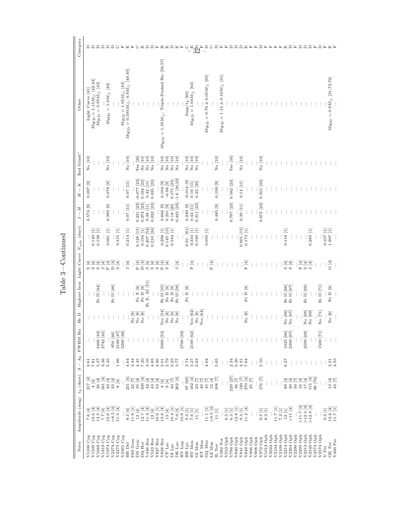| Nova | Amplitude (mag)                                                                                                                                                                                                                                                                                                                        | $t_3$ (days)                                                                        | $- A0$<br>$\prec$                                          | $\rm FWHM$ H $\alpha$                                     | le II<br>F                                                                                                       | Highest Iron Light Curve Porb (days)                                  |                                                                                                                                                                                                                                   |                                                           | $J - H$                                                     | $-$ K<br>H       | Red Giant?             | Other                                                                                                         | Category                                  |
|------|----------------------------------------------------------------------------------------------------------------------------------------------------------------------------------------------------------------------------------------------------------------------------------------------------------------------------------------|-------------------------------------------------------------------------------------|------------------------------------------------------------|-----------------------------------------------------------|------------------------------------------------------------------------------------------------------------------|-----------------------------------------------------------------------|-----------------------------------------------------------------------------------------------------------------------------------------------------------------------------------------------------------------------------------|-----------------------------------------------------------|-------------------------------------------------------------|------------------|------------------------|---------------------------------------------------------------------------------------------------------------|-------------------------------------------|
|      | $\begin{array}{c} 7.6 \ [4] \\ 19.6 \ [4] \end{array}$                                                                                                                                                                                                                                                                                 | $217[4]$<br>4[4]                                                                    |                                                            |                                                           |                                                                                                                  |                                                                       | ω ω                                                                                                                                                                                                                               |                                                           | $0.574$ [9]                                                 | $0.097$ [9]      | No [10]                | Light Curve [41]                                                                                              |                                           |
|      |                                                                                                                                                                                                                                                                                                                                        |                                                                                     | $3.51$<br>$7.57$<br>$5.56$<br>$3.56$                       |                                                           |                                                                                                                  |                                                                       | ₹                                                                                                                                                                                                                                 | $0.140$ [1]                                               |                                                             |                  |                        | $\begin{array}{c} M_{\rm WD} = 1.15 M_{\odot} ~~[42,43] \\ M_{\rm WD} \sim 0.95 M_{\odot} ~~[43] \end{array}$ | $\Box$                                    |
|      | 13.5 [4]<br>7.7 [4]                                                                                                                                                                                                                                                                                                                    |                                                                                     |                                                            | 2400 [44]                                                 |                                                                                                                  | Fe II [44]                                                            | $\overline{4}$<br>$\Omega$<br>$\overline{ }$                                                                                                                                                                                      | 0.138 [1]                                                 | $\vdots$                                                    | İ                | $\vdots$               |                                                                                                               | $\Box$<br>≏                               |
|      |                                                                                                                                                                                                                                                                                                                                        |                                                                                     | 5.45                                                       | 2742 [45]                                                 |                                                                                                                  | $\vdots$                                                              | $\overline{4}$<br>$\overline{4}$<br>$\overline{\mathbf{r}}$                                                                                                                                                                       | $0.081$ [1]                                               | 0.389 [9]<br>$\vdots$                                       | $[6]$ 870.0<br>÷ | $\rm No~[10]$          | $M_{\rm WD} \sim 1.0 M_{\odot}$ [43]                                                                          | $\Box$                                    |
|      | $\begin{array}{c} 12.6 \ [4] \\ >8.5 \ [4] \\ 11.5 \ [4] \end{array}$                                                                                                                                                                                                                                                                  |                                                                                     |                                                            | 950 [46]                                                  |                                                                                                                  | Fe II $[46]$                                                          | $\Box$                                                                                                                                                                                                                            |                                                           | $\vdots$                                                    |                  |                        |                                                                                                               | $\Box$                                    |
|      |                                                                                                                                                                                                                                                                                                                                        | $\bf 8$ [4]                                                                         | : 6                                                        |                                                           |                                                                                                                  | $\vdots$                                                              | $\mathbf{S}\left[4\right]$                                                                                                                                                                                                        | 0.315 [1]                                                 | $\vdots$                                                    | $\vdots$         | $\vdots$               |                                                                                                               |                                           |
|      |                                                                                                                                                                                                                                                                                                                                        |                                                                                     | $\pm$                                                      | $\begin{array}{c} 2100 \ [47] \\ 3200 \ [48] \end{array}$ |                                                                                                                  | $\vdots$                                                              |                                                                                                                                                                                                                                   |                                                           |                                                             |                  |                        |                                                                                                               |                                           |
|      | $\begin{array}{c} 8.5 \ [4] \\ 11.9 \ [1] \\ 12 \ [4] \end{array}$                                                                                                                                                                                                                                                                     |                                                                                     | 4.64                                                       |                                                           |                                                                                                                  | $\vdots$                                                              | J [4]                                                                                                                                                                                                                             | 0.214 [1]                                                 | 0.07 [11]                                                   | $0.07$ [11]      | $\rm No~[10]$          | $M_{\rm WD} = 1.05 M_{\odot} \ [43]$ $M_{\rm WD} = 0.595 M_{\odot}, 0.9 M_{\odot} \ [49, 50]$                 |                                           |
|      |                                                                                                                                                                                                                                                                                                                                        |                                                                                     | 3.44                                                       |                                                           | $\begin{bmatrix} 8 \\ 0 \end{bmatrix}$                                                                           |                                                                       |                                                                                                                                                                                                                                   |                                                           |                                                             |                  |                        |                                                                                                               |                                           |
|      |                                                                                                                                                                                                                                                                                                                                        |                                                                                     |                                                            |                                                           | $\begin{bmatrix} 8 \\ 9 \end{bmatrix}$<br>zzz                                                                    | $\begin{array}{l} \rm{Fe} \ X \ [8]\\ \rm{Fe} \ II \ [8] \end{array}$ | P[4]                                                                                                                                                                                                                              | $0.128$ [15]                                              | $\begin{array}{c} 0.231 \ [23] \\ 0.274 \ [23] \end{array}$ | $-0.077$ [23]    | Yes $\left[ 23\right]$ |                                                                                                               |                                           |
|      | $\begin{array}{c} 12.7\ [4]\\ 11.3\ [4]\\ 12\ [4] \end{array}$                                                                                                                                                                                                                                                                         |                                                                                     |                                                            |                                                           | $\begin{bmatrix} 8 \end{bmatrix}$                                                                                |                                                                       | D[4]                                                                                                                                                                                                                              | $0.194$ [1]                                               |                                                             | $0.194$ [23]     | $\rm No~[10]$          |                                                                                                               |                                           |
|      |                                                                                                                                                                                                                                                                                                                                        |                                                                                     |                                                            |                                                           |                                                                                                                  | Fe X, XI [51]                                                         | ₹<br>$\sigma$                                                                                                                                                                                                                     | $0.207$ [52]<br>$0.210$ [24]                              | 0.38 [11]                                                   | 0.42 [11]        | No [10]<br>No [10]     |                                                                                                               |                                           |
|      |                                                                                                                                                                                                                                                                                                                                        |                                                                                     |                                                            |                                                           |                                                                                                                  |                                                                       | $\exists$<br>$\omega$                                                                                                                                                                                                             |                                                           | $0.032$ [23]                                                | $0.035$ [23]     |                        |                                                                                                               |                                           |
|      | $\begin{array}{c} 10.6 \ [1]\\ 13.8 \ [4]\\ 13 \ [4] \end{array}$                                                                                                                                                                                                                                                                      |                                                                                     |                                                            |                                                           |                                                                                                                  |                                                                       | $\overline{4}$<br>$\omega$ $\Delta$                                                                                                                                                                                               |                                                           |                                                             |                  |                        |                                                                                                               |                                           |
|      |                                                                                                                                                                                                                                                                                                                                        |                                                                                     |                                                            | 5000 [53]                                                 | Yes [34]<br>No [8]<br>No [8]<br>No No                                                                            | $_{\rm Fe}$ II $_{[55]}$                                              | $\overline{4}$                                                                                                                                                                                                                    | $0.298$ [1]                                               | $0.666$ [9]                                                 | $[6] 80.0 -$     | $\rm No~[10]$          | $M_{\rm WD}$ = 1.35<br>$M_{\odot},$ Triple-Peaked H $\alpha$ [56,57]                                          |                                           |
|      |                                                                                                                                                                                                                                                                                                                                        |                                                                                     |                                                            |                                                           |                                                                                                                  | $\rm Fe~II~[8]$                                                       | $\mathbf{S}\left[4\right]$                                                                                                                                                                                                        | 0.145 [15]                                                | $0.291$ [9]                                                 |                  | $\rm No~[10]$          |                                                                                                               |                                           |
|      |                                                                                                                                                                                                                                                                                                                                        |                                                                                     |                                                            | $\vdots$                                                  |                                                                                                                  | Fe II [8]                                                             |                                                                                                                                                                                                                                   | 0.544 [1]                                                 | $0.18$ [23]                                                 | 0.175 [23]       | $\rm No~[10]$          |                                                                                                               |                                           |
|      |                                                                                                                                                                                                                                                                                                                                        |                                                                                     |                                                            |                                                           |                                                                                                                  | Fe II [58]                                                            | ${\bf J}$ [4]                                                                                                                                                                                                                     | $\vdots$                                                  | $0.443$ [23]                                                | $-1.6$ [16,23]   | $\rm No~[10]$          |                                                                                                               |                                           |
|      |                                                                                                                                                                                                                                                                                                                                        |                                                                                     |                                                            | 2700 [59]                                                 |                                                                                                                  |                                                                       | $\vdots$                                                                                                                                                                                                                          | ÷                                                         |                                                             |                  |                        |                                                                                                               |                                           |
|      |                                                                                                                                                                                                                                                                                                                                        |                                                                                     |                                                            |                                                           | ŧ,                                                                                                               | $\rm Fe~II~[8]$                                                       |                                                                                                                                                                                                                                   | 0.91: [61]                                                | $0.249$ [9]                                                 | $-0.014$ [9]     | $\rm No~[10]$          | $\mathrm{Amp}/t_3$ [60]                                                                                       |                                           |
|      |                                                                                                                                                                                                                                                                                                                                        |                                                                                     | $\begin{array}{c} .74 \\ .750 \\ .350 \\ .850 \end{array}$ | 2100 [62]                                                 |                                                                                                                  |                                                                       | : $\frac{1}{\mathbb{F}}$                                                                                                                                                                                                          | $0.334$ [1]                                               | $0.43$ [11]                                                 | $0.16$ [11]      | $\rm No$ $\rm [10]$    | $M_{\rm WD} = 1.04 M_{\odot}$ [63]                                                                            |                                           |
|      | $\begin{array}{ll} 1 & 1 & 1 \\ 1 & 1 & 1 \\ 1 & 1 & 1 \\ 1 & 1 & 1 \\ 1 & 1 & 1 \\ 1 & 1 & 1 \\ 1 & 1 & 1 \\ 1 & 1 & 1 \\ 1 & 1 & 1 \\ 1 & 1 & 1 \\ 1 & 1 & 1 \\ 1 & 1 & 1 \\ 1 & 1 & 1 \\ 1 & 1 & 1 \\ 1 & 1 & 1 \\ 1 & 1 & 1 \\ 1 & 1 & 1 \\ 1 & 1 & 1 \\ 1 & 1 & 1 \\ 1 & 1 & 1 \\ 1 & 1 & 1 \\ 1 & 1 & 1 \\ 1 & 1 & 1 \\ 1 & 1 &$ |                                                                                     |                                                            |                                                           |                                                                                                                  |                                                                       | $\vdots$                                                                                                                                                                                                                          | $0.180$ [1]                                               | 0.311 [23]                                                  | 0.22 [23]        | $\rm No~[10]$          | $\vdots$                                                                                                      | $\overline{3}\overline{2}^{\overline{1}}$ |
|      | $\vdots$                                                                                                                                                                                                                                                                                                                               |                                                                                     | : 34.04                                                    |                                                           | $\begin{array}{c} \mathrm{Yes} \ [\mathbf{62}] \\ \mathrm{No} \ [8] \\ \mathrm{Yes} \ [\mathbf{64}] \end{array}$ |                                                                       |                                                                                                                                                                                                                                   |                                                           |                                                             | $\vdots$         |                        |                                                                                                               |                                           |
|      | $\begin{array}{c} 11.1 \ [1]\\ >\!9.5 \ [4]\\ 11 \ [1] \end{array}$                                                                                                                                                                                                                                                                    |                                                                                     |                                                            |                                                           |                                                                                                                  |                                                                       | $\frac{1}{2}$ . $\frac{1}{2}$                                                                                                                                                                                                     | $0.059$ [1]                                               | $\vdots$                                                    | $\vdots$         | $\frac{1}{2}$          | $M_{\rm WD} = 0.70 \pm 0.05 M_{\odot}$ [65]                                                                   |                                           |
|      |                                                                                                                                                                                                                                                                                                                                        |                                                                                     | $\frac{3.65}{5.65}$                                        |                                                           |                                                                                                                  |                                                                       | $\mathbf{P}\left[4\right]$                                                                                                                                                                                                        |                                                           |                                                             |                  |                        |                                                                                                               |                                           |
|      |                                                                                                                                                                                                                                                                                                                                        |                                                                                     |                                                            |                                                           |                                                                                                                  |                                                                       | $\vdots$                                                                                                                                                                                                                          | ÷                                                         | 0.485[9]                                                    | $0.199$ [9]      | $\rm No~[10]$          |                                                                                                               |                                           |
|      | $\begin{array}{c} 0.5 \\ 0.5 \\ 6.3 \\ 12.8 \\ 1 \end{array} \begin{bmatrix} 1 \\ 1 \\ 1 \end{bmatrix} \\ 1 \end{array}$                                                                                                                                                                                                               | $\vdots$                                                                            | $\vdots$                                                   |                                                           |                                                                                                                  |                                                                       | $\vdots$                                                                                                                                                                                                                          |                                                           | $\vdots$                                                    | $\vdots$         | $\vdots$               | $M_{\rm WD} = 1.15 \pm 0.10 M_{\odot}$ [31]                                                                   |                                           |
|      |                                                                                                                                                                                                                                                                                                                                        |                                                                                     | $\cdot$ :                                                  |                                                           |                                                                                                                  |                                                                       | $\vdots$                                                                                                                                                                                                                          |                                                           |                                                             |                  |                        |                                                                                                               |                                           |
|      |                                                                                                                                                                                                                                                                                                                                        | $\begin{array}{c} 220 \\ 36 \\ 130 \\ 130 \\ 270 \\ 21 \\ 25 \\ \hline \end{array}$ | $2.34$<br>$5.30$                                           |                                                           |                                                                                                                  |                                                                       | $\pm$                                                                                                                                                                                                                             | $\vdots$                                                  | $0.797$ [23]                                                | 0.182 [23]       | Yes [10]               |                                                                                                               |                                           |
|      |                                                                                                                                                                                                                                                                                                                                        |                                                                                     |                                                            |                                                           |                                                                                                                  | ÷                                                                     | ÷                                                                                                                                                                                                                                 | ÷                                                         |                                                             |                  |                        |                                                                                                               |                                           |
|      |                                                                                                                                                                                                                                                                                                                                        |                                                                                     | $4.31$<br>7.64                                             |                                                           |                                                                                                                  |                                                                       | $\vdots$                                                                                                                                                                                                                          | $0.601$ [15]                                              | $0.39$ [11]                                                 | 0.14 [11]        | No [10]                |                                                                                                               |                                           |
|      |                                                                                                                                                                                                                                                                                                                                        |                                                                                     |                                                            |                                                           | $\frac{8}{18}$<br>z                                                                                              | Fe II [8]                                                             | $\mathbb{F}\left[4\right]$                                                                                                                                                                                                        | $0.173$ [1]                                               | $\vdots$                                                    | $\vdots$         | $\vdots$               |                                                                                                               |                                           |
|      |                                                                                                                                                                                                                                                                                                                                        |                                                                                     | $\div$                                                     |                                                           |                                                                                                                  |                                                                       | $\vdots$                                                                                                                                                                                                                          | ÷                                                         | $\vdots$                                                    | $\vdots$         | $\vdots$               |                                                                                                               |                                           |
|      |                                                                                                                                                                                                                                                                                                                                        | $\vdots$                                                                            | $\cdot$ :                                                  |                                                           |                                                                                                                  |                                                                       | ÷                                                                                                                                                                                                                                 |                                                           |                                                             |                  |                        |                                                                                                               |                                           |
|      | $\begin{array}{c} 0.5 \; [1]\\ 0.2 \; [1] \\ 8.2 \; [1] \end{array}$                                                                                                                                                                                                                                                                   | $176\ [7]$                                                                          | 5.10                                                       |                                                           |                                                                                                                  |                                                                       | ÷                                                                                                                                                                                                                                 |                                                           | 0.672 [23]                                                  | $0.315$ [23]     | No [10]                |                                                                                                               |                                           |
|      |                                                                                                                                                                                                                                                                                                                                        |                                                                                     | $\pm$                                                      |                                                           |                                                                                                                  |                                                                       | ŧ                                                                                                                                                                                                                                 |                                                           |                                                             |                  |                        |                                                                                                               |                                           |
|      |                                                                                                                                                                                                                                                                                                                                        | $\vdots$                                                                            | $\cdot$ :                                                  |                                                           |                                                                                                                  |                                                                       | ÷                                                                                                                                                                                                                                 |                                                           |                                                             |                  |                        |                                                                                                               |                                           |
|      |                                                                                                                                                                                                                                                                                                                                        | $\vdots$                                                                            | $\cdot$ :                                                  |                                                           |                                                                                                                  |                                                                       | ÷                                                                                                                                                                                                                                 |                                                           |                                                             |                  |                        |                                                                                                               |                                           |
|      | $\begin{array}{c} 11.7 \ [1] \\ 7.2 \ [1] \\ 12 \end{array}$                                                                                                                                                                                                                                                                           | $\frac{1}{2}$                                                                       | 6.27                                                       |                                                           |                                                                                                                  |                                                                       | $\frac{1}{2}$ in the set of the set of the set of the set of the set of the set of the set of the set of the set of the set of the set of the set of the set of the set of the set of the set of the set of the set of the set of | ÷                                                         |                                                             |                  |                        |                                                                                                               |                                           |
|      |                                                                                                                                                                                                                                                                                                                                        |                                                                                     |                                                            | $\frac{1025}{2300} \frac{[66]}{[67]}$                     | No $\begin{bmatrix} 66 \\ 67 \end{bmatrix}$                                                                      | Fe II [66]                                                            |                                                                                                                                                                                                                                   | $0.118$ $[1]$                                             |                                                             |                  |                        |                                                                                                               |                                           |
|      | ${>}11\,\,[4]$                                                                                                                                                                                                                                                                                                                         |                                                                                     | $\pm$                                                      |                                                           |                                                                                                                  | Fe II [67]                                                            |                                                                                                                                                                                                                                   | ÷                                                         |                                                             |                  |                        |                                                                                                               | ≏                                         |
|      |                                                                                                                                                                                                                                                                                                                                        | 02<br>898271598<br>898271                                                           | $\cdot$ :                                                  |                                                           |                                                                                                                  |                                                                       | $\vdots$                                                                                                                                                                                                                          | $\vdots$                                                  |                                                             |                  |                        |                                                                                                               | Ŀ                                         |
|      |                                                                                                                                                                                                                                                                                                                                        |                                                                                     | $\pm$ $\pm$                                                | $\vdots$                                                  | $\vdots$                                                                                                         | $_{\rm Fe}$ $_{\rm II}$ $_{[68]}$                                     | $\mathbb{F}\left[4\right]$                                                                                                                                                                                                        | $\vdots$                                                  |                                                             |                  |                        |                                                                                                               | ₽                                         |
|      | $\begin{array}{c} >\!11.7\ [4]\\ >\!12.5\ [4]\\ >\!12.9\ [4] \end{array}$                                                                                                                                                                                                                                                              |                                                                                     |                                                            | 2500 [68]                                                 | $_{\rm No}$ [68] $_{\rm No}$                                                                                     |                                                                       | ल च<br>पु<br>ज                                                                                                                                                                                                                    |                                                           |                                                             |                  |                        |                                                                                                               | ≏                                         |
|      |                                                                                                                                                                                                                                                                                                                                        |                                                                                     | d.                                                         |                                                           |                                                                                                                  | $\vdots$                                                              |                                                                                                                                                                                                                                   | 0.285 [1]                                                 |                                                             |                  |                        |                                                                                                               | $\Box$                                    |
|      |                                                                                                                                                                                                                                                                                                                                        |                                                                                     | - t                                                        |                                                           |                                                                                                                  |                                                                       | $\pm$                                                                                                                                                                                                                             | $\vdots$                                                  |                                                             |                  |                        |                                                                                                               | 匤                                         |
|      | $\begin{array}{c} \ldots \\ 9.3 \; [1] \end{array}$                                                                                                                                                                                                                                                                                    | $\vdots$                                                                            | $\cdot$ :                                                  | 1500 [71]                                                 | $\rm No$ $[71]$                                                                                                  | Fe II [71]                                                            | $\pm$                                                                                                                                                                                                                             | $\vdots$                                                  |                                                             |                  |                        |                                                                                                               | ₽                                         |
|      |                                                                                                                                                                                                                                                                                                                                        |                                                                                     | ÷                                                          |                                                           | $\lbrack 8 \rbrack$<br>ŧ<br>z                                                                                    | Fe II $[8]$                                                           | $\frac{4}{2}$<br>ŧ                                                                                                                                                                                                                | $\begin{array}{c} 0.107 \ [1] \\ 1.997 \ [1] \end{array}$ |                                                             |                  |                        | $M_{\rm WD} \sim 0.9 M_{\odot}$ [31,72,73]                                                                    |                                           |
|      | $\begin{array}{c} 12.8 \ [4]\\ 11.7 \ [1] \end{array}$                                                                                                                                                                                                                                                                                 | $\begin{array}{c} 13 \ [4]\\ 43 \ [7] \end{array}$                                  | $3.31$<br>$4.55$                                           |                                                           |                                                                                                                  |                                                                       |                                                                                                                                                                                                                                   |                                                           |                                                             |                  |                        |                                                                                                               |                                           |
|      |                                                                                                                                                                                                                                                                                                                                        |                                                                                     |                                                            |                                                           |                                                                                                                  | đ                                                                     |                                                                                                                                                                                                                                   | ÷                                                         |                                                             |                  |                        | ÷                                                                                                             |                                           |

Table  $3-$  Continued Table 3—Continued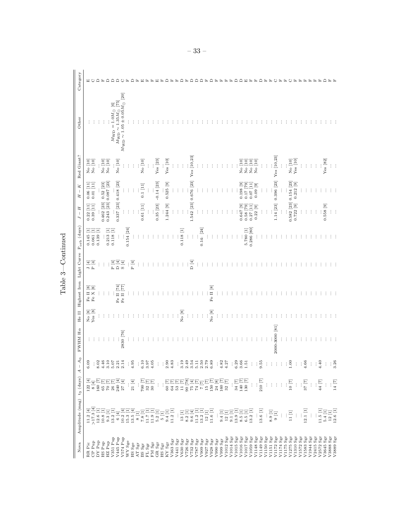| Nova                               | Amplitude (mag) t <sub>3</sub> (days)                                                                                                           |                                                                                                                                                                         | A <sub>0</sub><br>$\mathsf I$<br>4                | $\rm FWHM$ H $\alpha$ |                                               | He II Highest Iron Light Curve Porb (days)   |                            |              | Н<br>$\vert$<br>Ь                                            | K<br>$\bar{1}$<br>H                                        | Red Giant?             | Other                                                                                                                                                      | Category |
|------------------------------------|-------------------------------------------------------------------------------------------------------------------------------------------------|-------------------------------------------------------------------------------------------------------------------------------------------------------------------------|---------------------------------------------------|-----------------------|-----------------------------------------------|----------------------------------------------|----------------------------|--------------|--------------------------------------------------------------|------------------------------------------------------------|------------------------|------------------------------------------------------------------------------------------------------------------------------------------------------------|----------|
| RR Pic                             | $\begin{array}{c} 11.2 \ [4]\\ >\!17.3 \ [4] \end{array}$                                                                                       |                                                                                                                                                                         | 6.09                                              |                       |                                               |                                              |                            | $0.145$ [1]  | $\Xi$<br>0.22                                                | $0.06$ [11]                                                |                        |                                                                                                                                                            |          |
| CP Pup                             |                                                                                                                                                 | $\begin{array}{c} 122 \ [4]\\ 8 \ [4] \end{array}$                                                                                                                      | ÷                                                 |                       | $\frac{\text{No}}{\text{Yes}}\frac{[8]}{[8]}$ | Fe II $\left[8\right]$ Fe X $\left[8\right]$ | 도<br>모<br>모                | $0.061$ [1]  | $0.39$ [11]                                                  | $0.01$ [11]                                                | No [10]<br>No [10]     |                                                                                                                                                            | ○        |
| DY Pup                             | $12.6\ [1]$                                                                                                                                     |                                                                                                                                                                         | 8.02                                              |                       |                                               |                                              | ł                          | $0.139$ [1]  |                                                              |                                                            |                        |                                                                                                                                                            |          |
| HS Pup                             | 10.8 [1]                                                                                                                                        |                                                                                                                                                                         | 4.46                                              |                       | $\vdots$                                      |                                              | ŧ                          |              | $\begin{bmatrix} 0.462 & [23] \\ 0.243 & [23] \end{bmatrix}$ | $\begin{array}{c} 0.52 \ [23] \\ 0.087 \ [23] \end{array}$ | No [10]<br>No [10]     |                                                                                                                                                            |          |
| HZ Pup                             | 9.3 [1]                                                                                                                                         |                                                                                                                                                                         | 3.10                                              |                       |                                               |                                              |                            | $0.213$ [1]  |                                                              |                                                            |                        |                                                                                                                                                            | ≏        |
| V351 Pup                           | 13.2 [1]                                                                                                                                        |                                                                                                                                                                         | $5.07$<br>2.21                                    |                       |                                               |                                              | P[4]                       | $0.118$ [1]  |                                                              |                                                            |                        |                                                                                                                                                            | ≏        |
| V445 Pup                           | 6[4]                                                                                                                                            |                                                                                                                                                                         |                                                   |                       |                                               | Fe II [74]                                   | $\Box$                     | $\vdots$     | 0.337 [23] 0.418 [23]                                        |                                                            | $\rm No~[10]$          |                                                                                                                                                            |          |
| V574 Pup                           |                                                                                                                                                 | EEEEEE<br>Seeraa<br>Seeraa                                                                                                                                              | 2.14                                              | 2830 [76]             |                                               | Fe II [77]                                   | $\mathbf{S}\left[4\right]$ | $\vdots$     |                                                              |                                                            |                        | $\begin{array}{c} M_{\rm WD} = 1.0 M_{\odot} \ [6]\\ M_{\rm WD} \sim 1.35 M_{\odot} \ [75]\\ M_{\rm WD} \sim 1.05 \pm 0.05 M_{\odot} \ [20]\\ \end{array}$ |          |
| WY Sge                             |                                                                                                                                                 |                                                                                                                                                                         | ÷                                                 |                       |                                               |                                              | $\vdots$                   | $0.154$ [24] | $\vdots$                                                     |                                                            |                        |                                                                                                                                                            |          |
| HS Sge                             |                                                                                                                                                 | $21\ [4]$                                                                                                                                                               | 4.95                                              |                       |                                               |                                              | ${\bf P}$ [4]              |              | ÷                                                            |                                                            | $\vdots$               |                                                                                                                                                            |          |
| AT $\rm Sgr$                       | $\begin{array}{c} 10.2 \\ 15.3 \\ 13.5 \\ 13.6 \\ 8 \\ \end{array} \begin{array}{c} \begin{bmatrix} 4 \\ 1 \end{bmatrix} \\ 1 \\ 3 \end{array}$ |                                                                                                                                                                         | ÷                                                 |                       |                                               |                                              | $\vdots$                   |              | $\vdots$                                                     |                                                            |                        |                                                                                                                                                            |          |
| <b>BS Sgr</b>                      | $7.8\,[1]$                                                                                                                                      |                                                                                                                                                                         | 6.10                                              |                       |                                               |                                              | $\vdots$                   |              | $0.61$ [11]                                                  | 0.1 [11]                                                   | No [10]                |                                                                                                                                                            |          |
| FL Sgr                             |                                                                                                                                                 |                                                                                                                                                                         | 3.97                                              |                       |                                               |                                              |                            |              |                                                              |                                                            |                        |                                                                                                                                                            |          |
| ${\rm FM}$ ${\rm Sgr}$             | $\begin{array}{c} 11.7 \ [1] \\ 11.9 \ [1] \end{array}$                                                                                         | $\frac{56}{25}$<br>$\frac{17}{25}$<br>$\frac{17}{25}$                                                                                                                   | 4.05                                              |                       |                                               |                                              |                            |              | $\vdots$                                                     | $\vdots$                                                   |                        |                                                                                                                                                            |          |
| ${\rm GR}$ ${\rm Sgr}$             | $5.2\ [1]$                                                                                                                                      |                                                                                                                                                                         |                                                   |                       |                                               |                                              |                            |              | 0.35 [23]<br>$\vdots$                                        | $\vdots$                                                   | İ                      |                                                                                                                                                            |          |
|                                    |                                                                                                                                                 | $\vdots$                                                                                                                                                                | $\vdots$                                          |                       |                                               |                                              |                            |              |                                                              | $-0.14$ [23]                                               | Yes [23]               |                                                                                                                                                            |          |
| $_{\rm HS}$ $_{\rm Sgr}$           | $\begin{bmatrix} 1 \end{bmatrix}$                                                                                                               |                                                                                                                                                                         | ÷                                                 |                       |                                               |                                              |                            |              |                                                              |                                                            |                        |                                                                                                                                                            |          |
| $\mathrm{KY}\ \mathrm{Sgr}$        | 9.4 [1]                                                                                                                                         |                                                                                                                                                                         | 2.90                                              |                       |                                               |                                              |                            |              | 1.244 [9]                                                    | 0.525 [9]                                                  | Yes [10]               |                                                                                                                                                            |          |
| V363 Sgr                           | $11.2\ [1]$                                                                                                                                     |                                                                                                                                                                         | 4.83                                              |                       |                                               |                                              |                            |              |                                                              |                                                            |                        |                                                                                                                                                            |          |
| V441 Sgr                           |                                                                                                                                                 |                                                                                                                                                                         | $\vdots$                                          |                       | $\vdots$                                      |                                              |                            |              | $\vdots$                                                     | ÷                                                          | $\vdots$               |                                                                                                                                                            |          |
| $V630$ Sgr                         |                                                                                                                                                 |                                                                                                                                                                         | 3.19                                              |                       | $\rm No~[8]$                                  |                                              | $\vdots$                   | 0.118 [1]    | $\vdots$                                                     | $\vdots$                                                   | $\vdots$               |                                                                                                                                                            |          |
| $\rm V726~Sgr$                     |                                                                                                                                                 |                                                                                                                                                                         | 2.49                                              |                       |                                               |                                              | $\vdots$                   |              | ÷                                                            | ÷                                                          |                        |                                                                                                                                                            |          |
| $\rm V732~Sgr$                     |                                                                                                                                                 |                                                                                                                                                                         | 3.54                                              |                       | $\vdots$                                      |                                              | $\Box$                     | $\vdots$     |                                                              | 1.542 [23] 0.676 [23]                                      | Yes [10,23]            |                                                                                                                                                            |          |
| $_{\rm V787~Sgr}$                  |                                                                                                                                                 |                                                                                                                                                                         | 5.11                                              |                       | $\vdots$                                      |                                              | $\vdots$                   | $\vdots$     |                                                              |                                                            |                        |                                                                                                                                                            |          |
| $_{\rm V909~Sgr}$                  |                                                                                                                                                 |                                                                                                                                                                         |                                                   |                       | $\vdots$                                      |                                              | $\vdots$                   | 0.14: [24]   |                                                              |                                                            |                        |                                                                                                                                                            |          |
| $V927$ Sgr                         |                                                                                                                                                 |                                                                                                                                                                         |                                                   |                       | ŧ                                             |                                              |                            |              |                                                              |                                                            |                        |                                                                                                                                                            |          |
| $V928$ Sgr                         |                                                                                                                                                 |                                                                                                                                                                         | $\begin{array}{c} 50 \\ 2.59 \\ 0.89 \end{array}$ |                       | $\rm No~[8]$                                  | Fe II [8]                                    |                            |              |                                                              |                                                            |                        |                                                                                                                                                            |          |
| $_{\rm V990~Sgr}$                  |                                                                                                                                                 |                                                                                                                                                                         |                                                   |                       | ŧ                                             |                                              |                            |              |                                                              |                                                            |                        |                                                                                                                                                            |          |
| V999 $\rm Sgr$                     | 9.4 [1]                                                                                                                                         |                                                                                                                                                                         | 4.82                                              |                       | ÷                                             |                                              |                            |              |                                                              |                                                            |                        |                                                                                                                                                            |          |
| V1012 Sgr                          | $12\ [1]$                                                                                                                                       |                                                                                                                                                                         | 4.27                                              |                       |                                               |                                              |                            |              |                                                              |                                                            |                        |                                                                                                                                                            |          |
| V1014 Sgr                          |                                                                                                                                                 |                                                                                                                                                                         | $\vdots$                                          |                       |                                               |                                              |                            |              |                                                              |                                                            |                        |                                                                                                                                                            |          |
| $V1015$ Sgr                        | $\begin{array}{c} 9.1 \ [1] \\ 13.9 \ [1] \\ 8.5 \ [1] \end{array}$                                                                             |                                                                                                                                                                         |                                                   |                       |                                               |                                              |                            |              |                                                              |                                                            |                        |                                                                                                                                                            |          |
| V1016 Sgr                          |                                                                                                                                                 |                                                                                                                                                                         |                                                   |                       |                                               |                                              |                            |              | 0.647[9]                                                     | $0.198$ [9]                                                | No [10]                |                                                                                                                                                            |          |
| V1017 Sgr                          | $\begin{bmatrix} 6.5 & [1] \\ 13.2 & [1] \end{bmatrix}$                                                                                         | $\begin{array}{c} 34 \\ 140 \\ 130 \\ \hline \end{array} \begin{bmatrix} \overline{1} \\ \overline{1} \\ \overline{1} \\ \overline{1} \\ \overline{1} \\ \end{bmatrix}$ | $0.36$<br>$0.51$<br>$1.51$                        |                       |                                               |                                              |                            | 5.780 [1]    | $0.58$ [79]                                                  | $0.17$ [79]                                                | No [10]                |                                                                                                                                                            |          |
| $V1059$ Sgr                        |                                                                                                                                                 | ł                                                                                                                                                                       | $\vdots$                                          |                       |                                               |                                              |                            | 0.286 [80]   | Ξ<br>0.27                                                    | $0.07$ [11]                                                | No [10]                |                                                                                                                                                            |          |
| V1148 Sgr                          |                                                                                                                                                 |                                                                                                                                                                         |                                                   |                       |                                               |                                              |                            |              | 0.22 [9]                                                     | $0.09$ [9]                                                 | No [10]                |                                                                                                                                                            |          |
| V1149 Sgr                          | 13.6 [1]                                                                                                                                        | $\begin{array}{c} 210 \\ 210 \end{array}$                                                                                                                               | 9.55                                              |                       |                                               |                                              |                            |              |                                                              |                                                            |                        |                                                                                                                                                            |          |
| V1150 Sgr                          |                                                                                                                                                 | $\vdots$                                                                                                                                                                | $\vdots$                                          |                       |                                               |                                              |                            |              | $\vdots$                                                     | $\vdots$                                                   |                        |                                                                                                                                                            |          |
| V1151 Sgr                          | 8.9 [1]                                                                                                                                         | $\langle \rangle$                                                                                                                                                       | ŧ                                                 |                       |                                               |                                              |                            |              |                                                              |                                                            |                        |                                                                                                                                                            |          |
| V1172 Sgr                          | $\Xi$                                                                                                                                           | $\cdot$ :                                                                                                                                                               | ÷                                                 | 2000-3000 [81]        |                                               |                                              |                            |              | 1.14 [23]                                                    | $0.396$ [23]                                               | Yes [10,23]            |                                                                                                                                                            |          |
| V1174 Sgr                          | $\vdots$                                                                                                                                        | $\vdots$                                                                                                                                                                | ÷                                                 |                       |                                               |                                              |                            |              | ţ                                                            | ÷                                                          |                        |                                                                                                                                                            |          |
| V1175 Sgr                          | $\vdots$                                                                                                                                        | $\vdots$                                                                                                                                                                | ÷                                                 |                       |                                               |                                              |                            |              | $\vdots$                                                     | $\vdots$                                                   | ÷                      |                                                                                                                                                            |          |
| V1275 Sgr                          | $\frac{11}{11}$                                                                                                                                 | 10 [7]                                                                                                                                                                  | 1.00                                              |                       |                                               |                                              |                            |              | $0.582$ [23]                                                 | $0.154$ [23]                                               | $\,$ No $\,$ [10] $\,$ |                                                                                                                                                            |          |
| $V1310$ Sgr                        | $\vdots$                                                                                                                                        | $\vdots$                                                                                                                                                                | $\cdot$ :                                         |                       |                                               |                                              |                            |              | 0.722 [9]                                                    | 0.212 [9]                                                  | Yes [10]               |                                                                                                                                                            |          |
| V1572 Sgr                          | $\vdots$                                                                                                                                        | $\frac{1}{25}$                                                                                                                                                          | $\div$                                            |                       |                                               |                                              |                            |              |                                                              |                                                            |                        |                                                                                                                                                            |          |
| V1583 Sgr                          | 12.1 [1]                                                                                                                                        |                                                                                                                                                                         | 4.66                                              |                       |                                               |                                              |                            |              |                                                              |                                                            |                        |                                                                                                                                                            |          |
| V1944 Sgr                          | $\vdots$                                                                                                                                        | $\frac{1}{2}$ . $\frac{1}{2}$                                                                                                                                           | ÷                                                 |                       |                                               |                                              |                            |              | ÷                                                            |                                                            | ÷                      |                                                                                                                                                            |          |
| V2415 Sgr                          |                                                                                                                                                 |                                                                                                                                                                         | ÷.                                                |                       |                                               |                                              |                            |              | ŧ                                                            |                                                            | $\vdots$               |                                                                                                                                                            |          |
| V2572 Sgr                          | 11.5 [1]                                                                                                                                        | 44 [7]                                                                                                                                                                  | 4.40                                              |                       |                                               |                                              |                            |              | ÷                                                            |                                                            | ÷                      |                                                                                                                                                            |          |
| V3645 Sgr                          | $5.4\ [1]$                                                                                                                                      | $\vdots$                                                                                                                                                                |                                                   |                       |                                               |                                              |                            |              | [6] 855.0                                                    |                                                            | Yes [82]               |                                                                                                                                                            |          |
| $_{\rm V3889~Sgr}^{\rm X3889~Sgr}$ | $\begin{array}{c} 12 \; [1] \\ 12.6 \; [1] \end{array}$                                                                                         | $\frac{1}{2}$                                                                                                                                                           | $3.\overline{26}$                                 |                       |                                               |                                              |                            |              | $\vdots$                                                     |                                                            | ÷                      |                                                                                                                                                            |          |
|                                    |                                                                                                                                                 |                                                                                                                                                                         |                                                   |                       |                                               |                                              |                            |              | t                                                            |                                                            | t                      |                                                                                                                                                            |          |

Table 3—Continued Table 3—Continued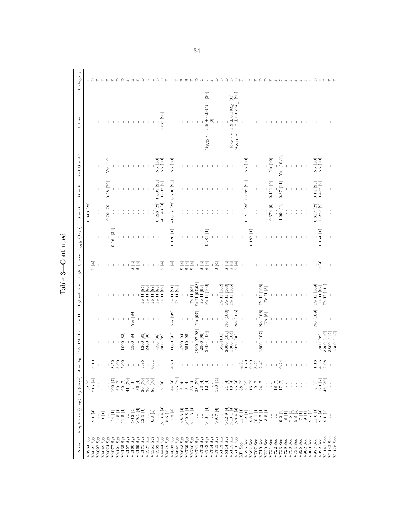| ١ |  |
|---|--|
|   |  |
| Ć |  |
|   |  |

| Nova                                      | Amplitude (mag) t <sub>3</sub> (days)                                                                                                                                                                                                                                                                                                                                                                                                |                                                                                                                                                                                                                                                                                                                                                      | $A_{0}$<br>$\bar{\rm I}$<br>4 | $\rm FWHM$ H $\alpha$                                          | He II    | Highest Iron Light Curve Porb (days) |                                               |             | $J - H$                  | $-$ K<br>Н   | Red Giant?         | Other                                                 | Category |
|-------------------------------------------|--------------------------------------------------------------------------------------------------------------------------------------------------------------------------------------------------------------------------------------------------------------------------------------------------------------------------------------------------------------------------------------------------------------------------------------|------------------------------------------------------------------------------------------------------------------------------------------------------------------------------------------------------------------------------------------------------------------------------------------------------------------------------------------------------|-------------------------------|----------------------------------------------------------------|----------|--------------------------------------|-----------------------------------------------|-------------|--------------------------|--------------|--------------------|-------------------------------------------------------|----------|
|                                           |                                                                                                                                                                                                                                                                                                                                                                                                                                      |                                                                                                                                                                                                                                                                                                                                                      |                               |                                                                |          |                                      |                                               |             |                          |              |                    |                                                       |          |
| $_{\rm sgr}$<br>V3964                     |                                                                                                                                                                                                                                                                                                                                                                                                                                      | $\frac{32}{215}\begin{bmatrix} 7 \\ 4 \end{bmatrix}$                                                                                                                                                                                                                                                                                                 |                               |                                                                |          |                                      |                                               |             | 0.343 [23]               |              |                    |                                                       |          |
| $\mathbf{S}\mathbf{g}\mathbf{r}$<br>V4021 | $9.1$ [4]                                                                                                                                                                                                                                                                                                                                                                                                                            |                                                                                                                                                                                                                                                                                                                                                      | $\frac{1}{5}$ .10             |                                                                |          |                                      | : $\frac{1}{2}$                               |             |                          |              |                    |                                                       |          |
| $\mathrm{Sgr}$<br>V4027                   |                                                                                                                                                                                                                                                                                                                                                                                                                                      |                                                                                                                                                                                                                                                                                                                                                      | ţ.                            |                                                                |          |                                      |                                               |             | $\vdots$                 |              |                    |                                                       |          |
| $\mathbf{Sgr}$<br>V4049                   | $9$ [1]                                                                                                                                                                                                                                                                                                                                                                                                                              | $\vdots$                                                                                                                                                                                                                                                                                                                                             | ŧ                             |                                                                |          |                                      |                                               | $\vdots$    |                          |              |                    |                                                       |          |
| Sgr<br>V4074                              | $\vdots$                                                                                                                                                                                                                                                                                                                                                                                                                             |                                                                                                                                                                                                                                                                                                                                                      |                               |                                                                |          |                                      |                                               |             | $0.79$ [79]              | $0.28$ [79]  | Yes [10]           |                                                       |          |
| $\mathbf{S}_{\mathrm{gr}}$<br>V4077       | $14$ $[1]$                                                                                                                                                                                                                                                                                                                                                                                                                           |                                                                                                                                                                                                                                                                                                                                                      |                               | $\vdots$                                                       |          |                                      |                                               | 0.16: [24]  |                          |              |                    |                                                       |          |
| $\mathbf{Sgr}$<br>V4121                   |                                                                                                                                                                                                                                                                                                                                                                                                                                      |                                                                                                                                                                                                                                                                                                                                                      |                               |                                                                |          |                                      | ŧ                                             |             |                          |              |                    |                                                       |          |
| $\rm Sgr$<br>V4135                        | $\begin{array}{c} 11.5 \ [1] \\ 11.5 \ [1] \end{array}$                                                                                                                                                                                                                                                                                                                                                                              | $\begin{bmatrix} 7 \\ 100 \\ 60 \\ 00 \\ 00 \\ 1 \end{bmatrix}$                                                                                                                                                                                                                                                                                      |                               | $\begin{array}{c} \ldots \\ \ldots \\ \text{[83]} \end{array}$ | ÷        |                                      | $\vdots$                                      |             |                          |              |                    |                                                       |          |
| Sgr<br>V4157                              |                                                                                                                                                                                                                                                                                                                                                                                                                                      |                                                                                                                                                                                                                                                                                                                                                      | $\vdots$                      |                                                                |          |                                      |                                               |             |                          |              |                    |                                                       |          |
| V4160 Sgr                                 |                                                                                                                                                                                                                                                                                                                                                                                                                                      |                                                                                                                                                                                                                                                                                                                                                      | $\cdot$                       | 4500 [84]                                                      | Yes [84] |                                      |                                               |             |                          |              |                    |                                                       |          |
| V4169 Sgr                                 | $>12$ [4]<br>$\geq 1.4$                                                                                                                                                                                                                                                                                                                                                                                                              |                                                                                                                                                                                                                                                                                                                                                      | $\cdot$                       |                                                                |          |                                      | $\begin{array}{c} \Xi \to \\ \Xi \end{array}$ |             |                          |              |                    |                                                       |          |
| V4171 Sgr                                 | $12.5\ [1]$                                                                                                                                                                                                                                                                                                                                                                                                                          |                                                                                                                                                                                                                                                                                                                                                      | 3.85                          | $1200\;\;[85]$                                                 | ÷        | Fe II [85                            | $\vdots$                                      |             |                          |              |                    |                                                       |          |
| V4327 Sgr                                 |                                                                                                                                                                                                                                                                                                                                                                                                                                      |                                                                                                                                                                                                                                                                                                                                                      |                               | 2400 [86]                                                      |          | Fe II                                | $\vdots$                                      |             |                          |              |                    |                                                       |          |
| V4361 Sgr                                 | $6.3\ [1]$                                                                                                                                                                                                                                                                                                                                                                                                                           | $\frac{1}{2}$<br>$\frac{1}{2}$<br>$\frac{1}{2}$<br>$\frac{1}{2}$<br>$\frac{1}{2}$<br>$\frac{1}{2}$<br>$\frac{1}{2}$<br>$\frac{1}{2}$<br>$\frac{1}{2}$<br>$\frac{1}{2}$<br>$\frac{1}{2}$<br>$\frac{1}{2}$<br>$\frac{1}{2}$<br>$\frac{1}{2}$<br>$\frac{1}{2}$<br>$\frac{1}{2}$<br>$\frac{1}{2}$<br>$\frac{1}{2}$<br>$\frac{1}{2}$<br>$\frac{1}{2}$<br> | 0.51                          |                                                                |          | $\frac{87}{5}$<br>Fe II              | $\vdots$                                      |             |                          |              |                    |                                                       |          |
| V4362 Sgr                                 |                                                                                                                                                                                                                                                                                                                                                                                                                                      |                                                                                                                                                                                                                                                                                                                                                      | $\vdots$                      |                                                                | ÷        | Fe II [88]                           | $\vdots$                                      |             | $0.426$ [23]             | $1.005$ [23] |                    |                                                       |          |
| V4444 Sgr                                 | $>13.4$ [4]                                                                                                                                                                                                                                                                                                                                                                                                                          | $9~[4]$                                                                                                                                                                                                                                                                                                                                              | ÷                             | $\begin{bmatrix} 68 \\ 80 \\ 800 \\ \end{bmatrix}$             | ÷        | Fe II [89]                           | $\mathbf{S}\left[4\right]$                    |             | $-0.143$ [9]             | $0.807$ [9]  | No [10]<br>No [10] | Dust [90]                                             |          |
|                                           |                                                                                                                                                                                                                                                                                                                                                                                                                                      |                                                                                                                                                                                                                                                                                                                                                      |                               |                                                                |          |                                      | $\vdots$                                      |             |                          |              |                    |                                                       |          |
| V4579 Sgr<br>V4633 Sgr<br>V4642 Sgr       | $\begin{array}{c} 5.5 \ [1] \\ 11.3 \ [4] \end{array}$                                                                                                                                                                                                                                                                                                                                                                               | $\begin{array}{c} 44 \\ 44 \\ 125 \\ 6 \\ 6 \\ 9 \\ 14 \\ 125 \\ 6 \\ 14 \\ 14 \\ 14 \\ 16 \\ 7 \\ 0 \\ 28 \\ \end{array}$                                                                                                                                                                                                                           | $\frac{1}{4.20}$              | 1600 [91]                                                      | Yes [92] | Fe II [91]                           | $\mathbb{P}\left[4\right]$                    | $0.126$ [1] | $-0.017$ [23] 0.706 [23] |              | $No$ [10]          |                                                       |          |
|                                           |                                                                                                                                                                                                                                                                                                                                                                                                                                      |                                                                                                                                                                                                                                                                                                                                                      | $\vdots$                      |                                                                |          | Fe II [93]                           | $\vdots$                                      |             |                          |              |                    |                                                       |          |
| V4643 Sgr                                 |                                                                                                                                                                                                                                                                                                                                                                                                                                      |                                                                                                                                                                                                                                                                                                                                                      | ÷                             | $\begin{array}{c} 4700 \ [94] \\ 5510 \ [95] \end{array}$      | ÷.       |                                      | S[4]                                          |             |                          |              |                    |                                                       |          |
| V4739 Sgr                                 |                                                                                                                                                                                                                                                                                                                                                                                                                                      |                                                                                                                                                                                                                                                                                                                                                      | ÷                             |                                                                | ÷        | $\vdots$                             |                                               |             |                          |              |                    |                                                       |          |
| V4740 Sgr                                 | $\begin{array}{r} \dots \\ \times 8.3 \\ \times 10.8 \\ \times 11.3 \\ \hline \end{array} \begin{array}{r} \begin{array}{r} \begin{array}{r} \begin{array}{r} \begin{array}{r} \begin{array}{r} \end{array} \\ \begin{array}{r} \end{array} \\ \begin{array}{r} \end{array} \\ \begin{array}{r} \end{array} \\ \begin{array}{r} \end{array} \\ \begin{array}{r} \end{array} \\ \begin{array}{r} \end{array} \end{array} \end{array}$ |                                                                                                                                                                                                                                                                                                                                                      | ŧ                             |                                                                |          | Fe II [96]                           | .(ল.<br>তি                                    |             |                          |              |                    |                                                       |          |
| V4741 Sgr                                 |                                                                                                                                                                                                                                                                                                                                                                                                                                      |                                                                                                                                                                                                                                                                                                                                                      | ÷                             |                                                                | No [97]  | Fe II [97,98]                        |                                               |             |                          |              |                    |                                                       |          |
| V4742 Sgr                                 | ÷                                                                                                                                                                                                                                                                                                                                                                                                                                    |                                                                                                                                                                                                                                                                                                                                                      | $\pm$                         | $\begin{array}{c} 2800 \ [97,98] \\ 2500 \ [99] \end{array}$   |          | Fe II [99]                           | $\frac{1}{2}$                                 |             |                          |              |                    |                                                       |          |
| V4743 Sgr                                 | $>10.1$ [4]                                                                                                                                                                                                                                                                                                                                                                                                                          | $\frac{1}{23}$ $\frac{14}{12}$                                                                                                                                                                                                                                                                                                                       | $\frac{1}{2}$                 | 2400 [100]                                                     | ÷        | Fe II [100]                          | $\frac{1}{2}$                                 | $0.281$ [1] |                          |              |                    | $M_{\rm WD} \sim 1.15 \pm 0.06 M_{\odot}$ [20]        |          |
| V4744 Sgr                                 |                                                                                                                                                                                                                                                                                                                                                                                                                                      |                                                                                                                                                                                                                                                                                                                                                      | ÷                             |                                                                | ÷        |                                      | $\vdots$                                      |             |                          |              |                    | Ξ                                                     |          |
| V4745 Sgr<br>V5113 Sgr                    | $\frac{1}{2}$ : 6<                                                                                                                                                                                                                                                                                                                                                                                                                   | 190 [4]                                                                                                                                                                                                                                                                                                                                              | $\cdot$ :                     |                                                                | İ        |                                      | J [4]                                         |             |                          |              |                    |                                                       |          |
|                                           |                                                                                                                                                                                                                                                                                                                                                                                                                                      |                                                                                                                                                                                                                                                                                                                                                      |                               | 550 [101]                                                      |          | Fe II [102]                          | $\vdots$                                      |             |                          |              |                    |                                                       |          |
| V5114 Sgr                                 | $>12.9$ [4]                                                                                                                                                                                                                                                                                                                                                                                                                          |                                                                                                                                                                                                                                                                                                                                                      | ÷                             | 2000 [103]                                                     | No [103] | Fe II [103]                          |                                               |             |                          |              |                    |                                                       |          |
| V5115 Sgr                                 | $>10.1$ [4]                                                                                                                                                                                                                                                                                                                                                                                                                          |                                                                                                                                                                                                                                                                                                                                                      | $\vdots$                      | 1300 [104]                                                     |          | Fe II [105]                          | चिचि<br>ശശശ                                   |             |                          |              |                    | $M_{\rm WD}$ $\sim$ 1.2 $\pm$ 0.1<br>$M_{\odot}$ [31] |          |
| V5116 Sgr                                 | > 8.4 [4]                                                                                                                                                                                                                                                                                                                                                                                                                            |                                                                                                                                                                                                                                                                                                                                                      | $\vdots$                      | 970 [30]                                                       | No [106] |                                      |                                               |             |                          |              |                    | $M_{\rm WD} \sim 1.07 \pm 0.07 M_{\odot}$ [20]        |          |
| KP Sco                                    | $11.6\ [1]$                                                                                                                                                                                                                                                                                                                                                                                                                          |                                                                                                                                                                                                                                                                                                                                                      |                               |                                                                |          |                                      |                                               |             |                          |              |                    |                                                       |          |
| V696 Sco                                  | $12\ [1]$                                                                                                                                                                                                                                                                                                                                                                                                                            |                                                                                                                                                                                                                                                                                                                                                      |                               | $\vdots$                                                       | $\vdots$ |                                      |                                               |             | 0.191 [23]               | $0.082$ [23] | No [10]            |                                                       |          |
| V697 Sco                                  | $9.8\ [1]$                                                                                                                                                                                                                                                                                                                                                                                                                           | 国国国内<br>19889592                                                                                                                                                                                                                                                                                                                                     | $178974$<br>$410974$          | $\vdots$                                                       | $\vdots$ |                                      |                                               | $0.187$ [1] |                          |              |                    |                                                       |          |
| V707 Sco                                  | $10.1$ [1]                                                                                                                                                                                                                                                                                                                                                                                                                           |                                                                                                                                                                                                                                                                                                                                                      |                               |                                                                |          |                                      |                                               |             | $\vdots$                 |              | $\vdots$           |                                                       |          |
| V719 Sco                                  | $10.7$ [1]<br>$13.5$ [1]                                                                                                                                                                                                                                                                                                                                                                                                             |                                                                                                                                                                                                                                                                                                                                                      |                               | 1800 [107]                                                     | No [108] | Fe II [108]                          |                                               |             | ÷                        |              |                    |                                                       |          |
| V720 Sco                                  |                                                                                                                                                                                                                                                                                                                                                                                                                                      | $\vdots$                                                                                                                                                                                                                                                                                                                                             | $\pm$                         |                                                                | No [8]   | Fe II [8]                            |                                               |             |                          |              |                    |                                                       |          |
| V721 Sco                                  |                                                                                                                                                                                                                                                                                                                                                                                                                                      | ł                                                                                                                                                                                                                                                                                                                                                    | $\vdots$                      |                                                                |          |                                      |                                               |             | $0.374$ [9]              | 0.111 [9]    | $\rm No~[10]$      |                                                       |          |
| V722 Sco                                  |                                                                                                                                                                                                                                                                                                                                                                                                                                      | $\frac{18}{17} \frac{[7]}{[81]}$                                                                                                                                                                                                                                                                                                                     | $\cdot$ :                     |                                                                |          |                                      |                                               |             |                          |              |                    |                                                       |          |
| V723 Sco                                  | $\begin{array}{c} 9.2 \\ 8 \, [1] \end{array}$                                                                                                                                                                                                                                                                                                                                                                                       |                                                                                                                                                                                                                                                                                                                                                      | 0.24                          |                                                                |          |                                      |                                               |             | $1.09$ [11]              | 0.37 [11]    | Yes [10, 11]       |                                                       |          |
| V729 Sco                                  |                                                                                                                                                                                                                                                                                                                                                                                                                                      | $\vdots$                                                                                                                                                                                                                                                                                                                                             |                               |                                                                |          |                                      |                                               |             |                          |              |                    |                                                       |          |
| V733 Sco                                  | $\begin{array}{c} 7.5 \ [1]\\ 5.3 \ [1] \end{array}$                                                                                                                                                                                                                                                                                                                                                                                 | $\frac{1}{4}$                                                                                                                                                                                                                                                                                                                                        | $\ddot{\mathrm{t}}$           |                                                                |          |                                      |                                               |             |                          |              |                    |                                                       |          |
| $V734$ Sco                                |                                                                                                                                                                                                                                                                                                                                                                                                                                      |                                                                                                                                                                                                                                                                                                                                                      | ÷                             |                                                                |          |                                      |                                               |             |                          |              |                    |                                                       |          |
| V825 Sco                                  | $7\,[1]$                                                                                                                                                                                                                                                                                                                                                                                                                             | $\vdots$                                                                                                                                                                                                                                                                                                                                             | ÷                             |                                                                |          |                                      |                                               |             |                          |              |                    |                                                       |          |
| $V902$ Sco                                | $9$ [1]                                                                                                                                                                                                                                                                                                                                                                                                                              | $\vdots$                                                                                                                                                                                                                                                                                                                                             | $\vdots$                      |                                                                | ÷        |                                      |                                               |             |                          |              |                    |                                                       |          |
| V977 Sco<br>V960 Sco                      | 9.5 [1]                                                                                                                                                                                                                                                                                                                                                                                                                              | ŧ                                                                                                                                                                                                                                                                                                                                                    |                               | $\vdots$                                                       | No [109] | Fe II [109]                          |                                               |             | $0.617$ [23]             | $0.14$ [23]  |                    |                                                       |          |
| V992 Sco                                  |                                                                                                                                                                                                                                                                                                                                                                                                                                      |                                                                                                                                                                                                                                                                                                                                                      | $1.16$<br>4.36                | $\frac{1}{800}$ [82]                                           | $\vdots$ | Fe II [82]                           | D[4]                                          | 0.154 [1]   | $0.277$ [9]              | 0.477 [9]    | No [10]<br>No [10] |                                                       |          |
| V1141 Sco                                 | $\begin{array}{c} 11.6\ [1]\\ 9.5\ [4]\\ 9.1\ [1] \end{array}$                                                                                                                                                                                                                                                                                                                                                                       | $\begin{array}{c} 8 & 7 \\ 120 & 7 \\ 46 & 70 \end{array}$                                                                                                                                                                                                                                                                                           | 2.08                          | 3200 [110]                                                     |          | Fe II [111]                          |                                               |             |                          |              |                    |                                                       |          |
| V1142 Sco                                 |                                                                                                                                                                                                                                                                                                                                                                                                                                      |                                                                                                                                                                                                                                                                                                                                                      | $\vdots$                      | 3800 [112]                                                     |          |                                      |                                               |             |                          |              |                    |                                                       |          |
| V1178 Sco                                 | Ð                                                                                                                                                                                                                                                                                                                                                                                                                                    | $\frac{1}{2}$                                                                                                                                                                                                                                                                                                                                        | $\frac{1}{2}$                 | 1300 113                                                       |          |                                      |                                               |             |                          |              |                    |                                                       |          |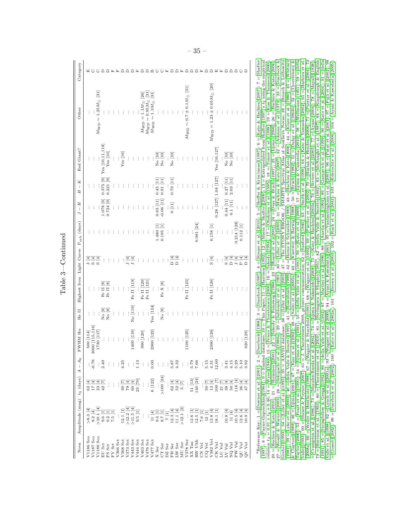| Category                                         |                                                                                                                                                                                                                                                                                                                                                                                                                                                                                                                                                        |
|--------------------------------------------------|--------------------------------------------------------------------------------------------------------------------------------------------------------------------------------------------------------------------------------------------------------------------------------------------------------------------------------------------------------------------------------------------------------------------------------------------------------------------------------------------------------------------------------------------------------|
| Other                                            | $M_{\rm WD} = 1.23 \pm 0.05 M_{\odot}$ [20]<br>$M_{\rm WD} \sim 0.7 \pm 0.1 M_{\odot}$ [31]<br>$M_{\rm WD} \sim 1.25 M_{\odot}$ [31]<br>$M_{\rm WD} \sim 0.95 M_{\odot}$<br>$M_{\rm WD} \sim 1.3 M_{\odot}$<br>$1.1 M_{\odot}$ $\,$<br>$M_{\rm WD} = 1$                                                                                                                                                                                                                                                                                                |
| Red Giant?                                       | Yes [10,11,118]<br>Yes [16, 127]<br>$Y$ es $[10]$<br>Yes [16]<br>No [10]<br>No [10]<br>No [10]<br>No [10]<br>$\vdots$                                                                                                                                                                                                                                                                                                                                                                                                                                  |
| K<br>$\overline{\phantom{a}}$<br>Н               | $0.28$ [127] 1.04 [127]<br>$0.375$ [9]<br>$0.221$ [9]<br>$0.79\ [11]$<br>2.03 [11]<br>$0.45$ [11]<br>$0.91$ [11]<br>$0.27$ [11]                                                                                                                                                                                                                                                                                                                                                                                                                        |
| $- H$                                            | $\begin{bmatrix} 0.63 & [11] \\ -0.06 & [11] \end{bmatrix}$<br>$0.724$ [9]<br>1.078 [9]<br>$\begin{array}{c} 0.44 \ [11] \\ 0.1 \ [11] \end{array}$<br>$0\ [11]$<br>$\vdots$<br>$\vdots$<br>$\vdots$                                                                                                                                                                                                                                                                                                                                                   |
|                                                  | $\begin{array}{c} 0.214 \ [128] \\ 0.112 \ [1] \end{array}$<br>$0.081$ [24]<br>$0.158\ [1]$<br>$\begin{bmatrix} 1.480 & [1] \\ 0.195 & [1] \end{bmatrix}$<br>$\vdots$<br>$\vdots$<br>$\frac{1}{2}$<br>$\vdots$<br>$\vdots$                                                                                                                                                                                                                                                                                                                             |
|                                                  | $\begin{array}{c} \boxed{4} \\ \square \\ \square \end{array}$<br>न <u>न</u><br>न न<br>$\frac{1}{2}$<br>$\vdots$<br>$\vdots$<br>$\vdots$<br>$\vdots$                                                                                                                                                                                                                                                                                                                                                                                                   |
| Highest Iron Light Curve P <sub>orb</sub> (days) | Fe II [125]<br>Fe II [126]<br>Fe II [119]<br>Fe II [120]<br>Fe II [121]<br>Fe $\mathbf{X}$ [8]<br>Fe II [8]<br>Fe II [8]                                                                                                                                                                                                                                                                                                                                                                                                                               |
| He II                                            | No [119]<br>$Yes$ [124<br>$\rm No$ $[8]$<br>$\begin{bmatrix} 8 \\ \textrm{No} \\ \textrm{No} \end{bmatrix}$<br>$\vdots$<br>$\vdots$<br>$\vdots$                                                                                                                                                                                                                                                                                                                                                                                                        |
| FWHM H $\alpha$                                  | $\begin{array}{c} 500\,\, [114] \\ 3000\,\, [115, 116] \\ 1730\,\, [117] \end{array}$<br>2900 [123]<br>1400 [119]<br>1100 [125]<br>2390 [126]<br>$990\begin{bmatrix} 120\\ \end{bmatrix}$<br>20 [129]<br>ŧ                                                                                                                                                                                                                                                                                                                                             |
|                                                  | $\vdots \; : \; : \; \mathop{3.5}_{5.3}^{5.2} \; : \; : \; \mathop{3.5}_{5.7}^{5.2} \; : \; \mathop{3.5}_{5.7}^{5.6} \; : \; \mathop{3.5}_{5.4}^{5.6} \; : \; \mathop{3.5}_{6.6}^{5.6}$                                                                                                                                                                                                                                                                                                                                                                |
|                                                  |                                                                                                                                                                                                                                                                                                                                                                                                                                                                                                                                                        |
| Amplitude (mag) t <sub>3</sub> (days) $A - A_0$  | $\begin{array}{lllllllllllll} \mathbb{E}[\Xi^{\pm}=\Xi^{\pm}]=\Xi^{\pm}[\Xi^{\pm}=\Xi^{\pm}=\Xi^{\pm}=\Xi^{\pm}=\Xi^{\pm}=\Xi^{\pm}=\Xi^{\pm}=\Xi^{\pm}=\Xi^{\pm}=\Xi^{\pm}=\Xi^{\pm}=\Xi^{\pm}=\Xi^{\pm}=\Xi^{\pm}=\Xi^{\pm}=\Xi^{\pm}=\Xi^{\pm}=\Xi^{\pm}=\Xi^{\pm}=\Xi^{\pm}=\Xi^{\pm}=\Xi^{\pm}=\Xi^{\pm}=\Xi^{\pm}=\Xi^{\pm}=\Xi^{\pm}=\Xi^{\pm}=\Xi^{\pm}=\Xi^{\pm}=\Xi^{\pm}=\Xi$                                                                                                                                                               |
| Nova                                             | V1186 Sco<br>V1187 Sco<br>V1188 Sco<br>$\begin{array}{l} \texttt{HS} \texttt{Set} \\ \texttt{IN} \texttt{Set} \\ \texttt{IN} \texttt{Set} \\ \texttt{IN} \texttt{Set} \\ \texttt{IN} \texttt{Set} \\ \texttt{IN} \texttt{Set} \\ \texttt{IN} \texttt{Set} \\ \texttt{IN} \texttt{Set} \\ \texttt{IN} \texttt{Set} \\ \texttt{IN} \texttt{Set} \\ \texttt{IN} \texttt{Set} \\ \texttt{IN} \texttt{Set} \\ \texttt{IN} \texttt{Set} \\ \texttt{IN} \texttt{Set} \\ \texttt{IN} \texttt{Set} \\ \texttt{IN} \texttt{Set} \\ \texttt{IN$<br>${\tt EU}$ Sct |

Vale (1993); 60 = Shears & Poyner (2007); 61 = J. Thorsteinsen 2009, private communication; 62 = Sanford (194); 63 = Smith et al. (1998); 64 = Kato & Yamaoka (2002); 65 = Hachisu et al. (2004); 72 = Crampton tel. (1986); 20 = Hachisu & Kato (2010); 21 = Shemmer (2001); 22 = Szkody & Peinswog (1988); 23 = Hoard et al. (2002); 24 = Diaz & Bruch (1997); 25 = Iijima (2006); 26 = Hachisu & Kato (2004);<br>27 = Woudt & Warner (2003); 28 = Sekiguch <sup>a</sup>Reference Key: 1 = Downes et al. (2001); 2 = Duerbeck (1988); 3 = Duerbeck (1987); 4 = Strope et al. (2010); 5 = Sheffer & Krisciunas (1987); 6 = Kato & Hachisu (2007); 7 = Shafter<br>(1997); 8 = Payne-Gaposchkin (1964);  $r$ elation  $t_3 = 0.91 \times t_2 + 0.46$ ;  $14 = \text{Wyse} (1940)$ ;  $15 = \text{Petes}$  & Thorstensen (2006);  $16 = \text{Szkody} (1994)$ ;  $17 = \text{Ohshima et al.} (1995)$ ;  $18 = \text{Tomov et al.} (1999)$ ;  $19 = \text{Kiss}$  & Thomson (2000); (1981); 39 = Lyke et al. (2003); 40 = della Valle & Benetti (1997); 41 = Rosenbush (1999); 42 = Horne & Schneider (1989); 43 = Hachisu & Kato (2006); 44 = Klare et al. (1980); 45 = Whitney  $\&$  Clayton (1989); 46 = Iijima (2001); 47 = Kiss et al. (2002); 48 = Naito et al. (2005a); 49 = Kuerster  $\&$  Barwig (1988); 50 = Bruch (1982); 51 = Dufay et al. (1964b); 52 = Thorstensen  $\&$ Taylor (2000); 53 = Feast et al. (1991); 54 = Iijima et al. (1991); 55 = della Valle et al. (1991); 56 = Kato et al. (2009); 57 = Iijima & Cassatella (2010); 58 = Wellmann (1951); 59 = della  ${}^{\rm a}$ Reference Key: 1 = [Downes](#page-44-4) et al. [\(2001\)](#page-44-4);  $\Im$  = [Duerbeck](#page-44-2) [\(1988\)](#page-44-3); 3 = Duerbeck [\(1987\)](#page-50-15); 4 = Sheffer & [Krisciunas](#page-50-15) (1987); 6 = Kato & [Hachisu](#page-46-2) ([2007\)](#page-46-2); 7 = [Shafter](#page-50-7)  $(1997)$ ; 8 = [Payne-Gaposchkin](#page-48-2) [\(1964\)](#page-48-2); 9 = Simbad database; 10 = This Paper; 11 = [Harrison](#page-45-1) [\(1992\)](#page-45-1); 12 = Marin & [Shafter](#page-50-7) [\(2009\)](#page-47-9); 13 = Extrapolated from Shafter ([1997\)](#page-50-7)'s t2 using the empirical relation t3 = 0.91 × t2 + 0.46; 14 = [Wyse](#page-51-11) [\(1940\)](#page-51-11); 15 = Peters & [Thorstensen](#page-48-10) [\(2006\)](#page-48-10); 16 = [Szkody](#page-50-4) [\(1994\)](#page-50-4); 17 = [Ohshima](#page-48-11) et al. ([1995\)](#page-48-11); 18 = [Tomov](#page-51-12) et al. (1996); 19 = Kiss & [Thomson](#page-47-10) [\(2000\)](#page-47-10); 19 = Companiely et al. (1994); 19 = 20 = [Hachisu](#page-45-9) & Kato [\(2010\)](#page-45-9); 21 = [Shemmer](#page-50-16) [\(2001\)](#page-50-16); 22 = Szkody & [Feinswog](#page-50-17) [\(1988\)](#page-50-17); 23 = [Hoard](#page-46-7) et al. [\(2002\)](#page-46-7); 24 = Diaz & [Bruch](#page-44-10) [\(1997\)](#page-44-10); 25 = [Iijima](#page-46-14) [\(2006\)](#page-46-14); 26 = [Hachisu](#page-45-3) & Kato [\(2004\)](#page-45-3); 27 = Woudt & [Warner](#page-51-13) [\(2003\)](#page-51-13); 28 = [Sekiguchi](#page-49-16) et al. [\(1989a\)](#page-49-16); 29 = Jabonski et al. [\(1991\)](#page-46-15); 30 = [Liller](#page-47-11) et al. [\(2005\)](#page-47-11); 31 = [Hachisu](#page-45-6) & Kato ([2007\)](#page-45-6); 32 = [Aikman](#page-37-12) et al. [\(1973\)](#page-37-12); 33 = [Duerbeck](#page-44-11) & Kato (2007); 23 = Aikman et al. (19 [Grebel](#page-44-11) (1995); 34 = [Liller](#page-47-13) et al. [\(1995\)](#page-47-12); 35 = AAVSO database; 36 = Liller et al. [\(2003\)](#page-47-13); 37 = The STONY BROOK / SMARTS Spectral Atlas of Southern Novae; 38 = Brosch & [Leibowitz](#page-37-13) [\(1981\)](#page-37-13); 39 = [Lyke](#page-47-14) et al. [\(2003\)](#page-47-14); 40 = della Valle & [Benetti](#page-44-12) [\(1997\)](#page-44-12); 41 = [Rosenbush](#page-49-4) [\(1999\)](#page-49-4); 42 = Horne & [Schneider](#page-46-16) ([1989\)](#page-46-16); 43 = [Hachisu](#page-45-5) & Kato [\(2006\)](#page-45-5); 44 = [Klare](#page-47-15) et al. [\(1980\)](#page-47-15); 45 = [Whitney](#page-51-14) & [Clayton](#page-51-14) [\(1989\)](#page-51-14); 46 = [Iijima](#page-46-17) [\(2001\)](#page-46-17); 47 = [Kiss](#page-47-16) et al. ([2002\)](#page-47-16); 48 = [Naito](#page-48-12) et al. [\(2005a\)](#page-48-12); 49 = Kuerster & [Barwig](#page-47-17) [\(1988\)](#page-47-17); 50 = [Bruch](#page-37-14) [\(1982\)](#page-37-14); 51 = [Dufay](#page-44-13) et al. ([1964b\)](#page-44-13); 52 = [Thorstensen](#page-50-18) & [Taylor](#page-50-18) [\(2000\)](#page-50-18); 53 = [Feast](#page-44-14) et al. [\(1991\)](#page-44-14); 54 = [Iijima](#page-46-18) et al. ([1991\)](#page-46-18); 55 = della [Valle](#page-44-15) et al. [\(1991\)](#page-44-15); 56 = [Kato](#page-46-3) et al. [\(2009\)](#page-46-3); 57 = Iijima & [Cassatella](#page-46-6) [\(2010\)](#page-46-6); 58 = [Wellmann](#page-51-15) ([1951\)](#page-51-15); 59 = [della](#page-44-16) [Valle](#page-44-16) [\(1993\)](#page-44-16); 60 = Shears & [Poyner](#page-50-3) [\(2007\)](#page-50-3); 61 = J. Thorstensen 2009, private communication; 62 = [Sanford](#page-49-6) ([1940\)](#page-49-6); 63 = [Smith](#page-50-9) et al. [\(1998\)](#page-50-9); 64 = Kato & [Yamaoka](#page-47-18) [\(2002\)](#page-47-18); 65 = [Hachisu](#page-45-7) et al. [\(2008a\)](#page-45-7); 66 = Weller & [Heathcote](#page-51-16) [\(1988\)](#page-51-16); 67 = Wagner & [Starrfield](#page-51-17) (1994); 68 = [Wagner](#page-51-18) & Starrfield (1902); 70 = Burlak & Henden (2008); 71 = [Puetter](#page-49-18) et al. [\(2004\)](#page-49-18); 72 = Puetter et al. (2004); 72 = Puetter et al. (2004); 72 = [Crampton](#page-37-6) et al. [\(1986\)](#page-37-6); 73 = [Morales-Rueda](#page-48-5) et al. [\(2002\)](#page-48-5); 74 = Iijima & [Nakanishi](#page-46-19) [\(2008\)](#page-46-19); 75 = Kato & [Hachisu](#page-46-0) ([2003a\)](#page-46-0); 76 = [Siviero](#page-50-19) et al. [\(2005\)](#page-50-19); 77 = [Ayani](#page-37-16) [\(2004\)](#page-37-16); 78 = [Mayall](#page-48-13) [\(1938\)](#page-48-13);  $79 = \text{Harrison et al. } (1993); 80 = \text{Thostensen et al. } (2010); 81 = \text{Strömgren & Shapley (1951); 82 = \text{dela Valle} & Smette (1992); 83 = \text{McNaught et al. } (1987); 84 = \text{Kingshurgih & English. } (1981); 86 = \text{Aragl, } (1981); 87 = \text{Aragl, } (1981); 88 = \text{Aragl, } (1981); 89 = \text{Aragl, } (1981); 89 = \text{Aragl, } (1981); 8$  $79 = \text{Harrison et al. } (1993); 80 = \text{Thostensen et al. } (2010); 81 = \text{Strömgren & Shapley (1951); 82 = \text{dela Valle} & Smette (1992); 83 = \text{McNaught et al. } (1987); 84 = \text{Kingshurgih & English. } (1981); 86 = \text{Aragl, } (1981); 87 = \text{Aragl, } (1981); 88 = \text{Aragl, } (1981); 89 = \text{Aragl, } (1981); 89 = \text{Aragl, } (1981); 8$  $79 = \text{Harrison et al. } (1993); 80 = \text{Thostensen et al. } (2010); 81 = \text{Strömgren & Shapley (1951); 82 = \text{dela Valle} & Smette (1992); 83 = \text{McNaught et al. } (1987); 84 = \text{Kingshurgih & English. } (1981); 86 = \text{Aragl, } (1981); 87 = \text{Aragl, } (1981); 88 = \text{Aragl, } (1981); 89 = \text{Aragl, } (1981); 89 = \text{Aragl, } (1981); 8$  $79 = \text{Harrison et al. } (1993); 80 = \text{Thostensen et al. } (2010); 81 = \text{Strömgren & Shapley (1951); 82 = \text{dela Valle} & Smette (1992); 83 = \text{McNaught et al. } (1987); 84 = \text{Kingshurgih & English. } (1981); 86 = \text{Aragl, } (1981); 87 = \text{Aragl, } (1981); 88 = \text{Aragl, } (1981); 89 = \text{Aragl, } (1981); 89 = \text{Aragl, } (1981); 8$  $79 = \text{Harrison et al. } (1993); 80 = \text{Thostensen et al. } (2010); 81 = \text{Strömgren & Shapley (1951); 82 = \text{dela Valle} & Smette (1992); 83 = \text{McNaught et al. } (1987); 84 = \text{Kingshurgih & English. } (1981); 86 = \text{Aragl, } (1981); 87 = \text{Aragl, } (1981); 88 = \text{Aragl, } (1981); 89 = \text{Aragl, } (1981); 89 = \text{Aragl, } (1981); 8$  $79 = \text{Harrison et al. } (1993); 80 = \text{Thostensen et al. } (2010); 81 = \text{Strömgren & Shapley (1951); 82 = \text{dela Valle} & Smette (1992); 83 = \text{McNaught et al. } (1987); 84 = \text{Kingshurgih & English. } (1981); 86 = \text{Aragl, } (1981); 87 = \text{Aragl, } (1981); 88 = \text{Aragl, } (1981); 89 = \text{Aragl, } (1981); 89 = \text{Aragl, } (1981); 8$  $79 = \text{Harrison et al. } (1993); 80 = \text{Thostensen et al. } (2010); 81 = \text{Strömgren & Shapley (1951); 82 = \text{dela Valle} & Smette (1992); 83 = \text{McNaught et al. } (1987); 84 = \text{Kingshurgih & English. } (1981); 86 = \text{Aragl, } (1981); 87 = \text{Aragl, } (1981); 88 = \text{Aragl, } (1981); 89 = \text{Aragl, } (1981); 89 = \text{Aragl, } (1981); 8$  $79 = \text{Harrison et al. } (1993); 80 = \text{Thostensen et al. } (2010); 81 = \text{Strömgren & Shapley (1951); 82 = \text{dela Valle} & Smette (1992); 83 = \text{McNaught et al. } (1987); 84 = \text{Kingshurgih & English. } (1981); 86 = \text{Aragl, } (1981); 87 = \text{Aragl, } (1981); 88 = \text{Aragl, } (1981); 89 = \text{Aragl, } (1981); 89 = \text{Aragl, } (1981); 8$  $79 = \text{Harrison et al. } (1993); 80 = \text{Thostensen et al. } (2010); 81 = \text{Strömgren & Shapley (1951); 82 = \text{dela Valle} & Smette (1992); 83 = \text{McNaught et al. } (1987); 84 = \text{Kingshurgih & English. } (1981); 86 = \text{Aragl, } (1981); 87 = \text{Aragl, } (1981); 88 = \text{Aragl, } (1981); 89 = \text{Aragl, } (1981); 89 = \text{Aragl, } (1981); 8$  $79 = \text{Harrison et al. } (1993); 80 = \text{Thostensen et al. } (2010); 81 = \text{Strömgren & Shapley (1951); 82 = \text{dela Valle} & Smette (1992); 83 = \text{McNaught et al. } (1987); 84 = \text{Kingshurgih & English. } (1981); 86 = \text{Aragl, } (1981); 87 = \text{Aragl, } (1981); 88 = \text{Aragl, } (1981); 89 = \text{Aragl, } (1981); 89 = \text{Aragl, } (1981); 8$  $79 = \text{Harrison et al. } (1993); 80 = \text{Thostensen et al. } (2010); 81 = \text{Strömgren & Shapley (1951); 82 = \text{dela Valle} & Smette (1992); 83 = \text{McNaught et al. } (1987); 84 = \text{Kingshurgih & English. } (1981); 86 = \text{Aragl, } (1981); 87 = \text{Aragl, } (1981); 88 = \text{Aragl, } (1981); 89 = \text{Aragl, } (1981); 89 = \text{Aragl, } (1981); 8$  $79 = \text{Harrison et al. } (1993); 80 = \text{Thostensen et al. } (2010); 81 = \text{Strömgren & Shapley (1951); 82 = \text{dela Valle} & Smette (1992); 83 = \text{McNaught et al. } (1987); 84 = \text{Kingshurgih & English. } (1981); 86 = \text{Aragl, } (1981); 87 = \text{Aragl, } (1981); 88 = \text{Aragl, } (1981); 89 = \text{Aragl, } (1981); 89 = \text{Aragl, } (1981); 8$  $79 = \text{Harrison et al. } (1993); 80 = \text{Thostensen et al. } (2010); 81 = \text{Strömgren & Shapley (1951); 82 = \text{dela Valle} & Smette (1992); 83 = \text{McNaught et al. } (1987); 84 = \text{Kingshurgih & English. } (1981); 86 = \text{Aragl, } (1981); 87 = \text{Aragl, } (1981); 88 = \text{Aragl, } (1981); 89 = \text{Aragl, } (1981); 89 = \text{Aragl, } (1981); 8$  $79 = \text{Harrison et al. } (1993); 80 = \text{Thostensen et al. } (2010); 81 = \text{Strömgren & Shapley (1951); 82 = \text{dela Valle} & Smette (1992); 83 = \text{McNaught et al. } (1987); 84 = \text{Kingshurgih & English. } (1981); 86 = \text{Aragl, } (1981); 87 = \text{Aragl, } (1981); 88 = \text{Aragl, } (1981); 89 = \text{Aragl, } (1981); 89 = \text{Aragl, } (1981); 8$  $79 = \text{Harrison et al. } (1993); 80 = \text{Thostensen et al. } (2010); 81 = \text{Strömgren & Shapley (1951); 82 = \text{dela Valle} & Smette (1992); 83 = \text{McNaught et al. } (1987); 84 = \text{Kingshurgih & English. } (1981); 86 = \text{Aragl, } (1981); 87 = \text{Aragl, } (1981); 88 = \text{Aragl, } (1981); 89 = \text{Aragl, } (1981); 89 = \text{Aragl, } (1981); 8$  $79 = \text{Harrison et al. } (1993); 80 = \text{Thostensen et al. } (2010); 81 = \text{Strömgren & Shapley (1951); 82 = \text{dela Valle} & Smette (1992); 83 = \text{McNaught et al. } (1987); 84 = \text{Kingshurgih & English. } (1981); 86 = \text{Aragl, } (1981); 87 = \text{Aragl, } (1981); 88 = \text{Aragl, } (1981); 89 = \text{Aragl, } (1981); 89 = \text{Aragl, } (1981); 8$  $79 = \text{Harrison et al. } (1993); 80 = \text{Thostensen et al. } (2010); 81 = \text{Strömgren & Shapley (1951); 82 = \text{dela Valle} & Smette (1992); 83 = \text{McNaught et al. } (1987); 84 = \text{Kingshurgih & English. } (1981); 86 = \text{Aragl, } (1981); 87 = \text{Aragl, } (1981); 88 = \text{Aragl, } (1981); 89 = \text{Aragl, } (1981); 89 = \text{Aragl, } (1981); 8$ [\(1991\)](#page-47-19); 85 = [Stringfellow](#page-50-21) & Gregg [\(1992\)](#page-50-21); 86 = della [Valle](#page-44-18) et al. (1995); 87 = Martini et al. [\(1993\)](#page-44-18); 87 = [Martini](#page-47-20) et al. (1993); 87 = Alella val. (1993); 87 = della et al. (2009); 90 = [Kato](#page-47-5) et al. ([2004\)](#page-47-5); 91 = [della](#page-44-19) [Valle](#page-44-19) et al. [\(1998\)](#page-44-19); 92 = [Lynch](#page-47-21) et al. [\(2001a\)](#page-47-21); 93 = [Wagner](#page-51-19) et al. [\(2000\)](#page-51-19); 94 = Ayani & [Kawabata](#page-37-18) [\(2001\)](#page-37-18); 95 = [Vanlandingham](#page-51-20) et al. [\(2001\)](#page-51-20); 96 = [Patat](#page-48-15) et al. ([2001\)](#page-48-15); 97 = [Fujii](#page-45-16) et al. [\(2002\)](#page-45-16); 98 = [Gosset](#page-45-17) [\(2002\)](#page-45-17); 99 = [Duerbeck](#page-44-20) et al. [\(2002\)](#page-44-20); 100 = [Kato](#page-46-20) et al. [\(2002a\)](#page-46-20); 101 = [Brown](#page-37-19) et al. [\(2003\)](#page-37-19); 102 = [Ruch](#page-49-19) et al. ([2003\)](#page-49-19); 103 = [Ederoclite](#page-44-21) et al. [\(2006\)](#page-44-21); 104 = Ayani & [Kawabata](#page-37-20) [\(2005\)](#page-37-20);

Table 3-Continued Table 3—Continued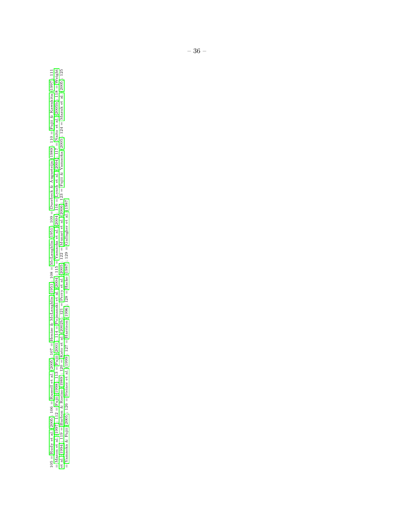105 = Rudy et al. (2005); 106 = Russell et al. (2005); 107 = Henize & McLaughlin (1951); 108 = McLaughlin (1951); 109 = Duerbeck & Augusteijn (1989); 110 = Fujii & Kawakita (1997); 111<br>= Mason et al. (1997); 112 = Fujii (1 105 = [Rudy](#page-49-20) et al. [\(2005\)](#page-49-20); 106 = [Russell](#page-49-21) et al. [\(2005\)](#page-49-21); 107 = Henize & [McLaughlin](#page-46-21) ([1951\)](#page-46-21); 108 = [McLaughlin](#page-48-16) [\(1951\)](#page-48-16); 109 = Duerbeck & [Augusteijn](#page-44-9) [\(1989\)](#page-44-9); 110 = Fujii & [Kawakita](#page-45-18) [\(1997\)](#page-45-18); 111 = [Mason](#page-48-17) et al. [\(1997\)](#page-48-17); 112 = [Fujii](#page-44-22) [\(1998\)](#page-44-22); 113 = [Fujii](#page-44-23) [\(2001\)](#page-44-23); 114 = [Pojmanski](#page-48-18) et al. [\(2004\)](#page-48-18); 115 = [Yamaoka](#page-51-21) et al. [\(2004\)](#page-51-21); 116 = [Lynch](#page-47-22) et al. [\(2004\)](#page-47-22); 117 = [Naito](#page-48-19) et al. [\(2005b\)](#page-48-19); 118 = [Weight](#page-51-3) et [al.](#page-51-3) [\(1994\)](#page-51-3); 119 = [Barbon](#page-37-21) & Rosino [\(1989\)](#page-37-21); 120 = [Kato](#page-46-22) et al. [\(2002b\)](#page-46-22); 121 = [Perry](#page-48-20) et al. [\(2005\)](#page-48-20); 122 = [Munari](#page-48-21) et al. [\(2006\)](#page-48-21); 123 = Fujii & [Yamaoka](#page-45-19) [\(2005\)](#page-45-19); 124 = [Mazuk](#page-48-22) et al. [\(2005\)](#page-48-22); 125 = [Yamaoka](#page-51-22) & Fujii [\(2005\)](#page-51-22); 126 = [Steiner](#page-50-22) et al. [\(1999\)](#page-50-22); 127 = [Harrison](#page-45-11) [\(1996\)](#page-45-11); 128 = [Hacke](#page-45-20) [\(1987\)](#page-45-20); 129 = [Gallagher](#page-45-21) et al. [\(1987\)](#page-45-21)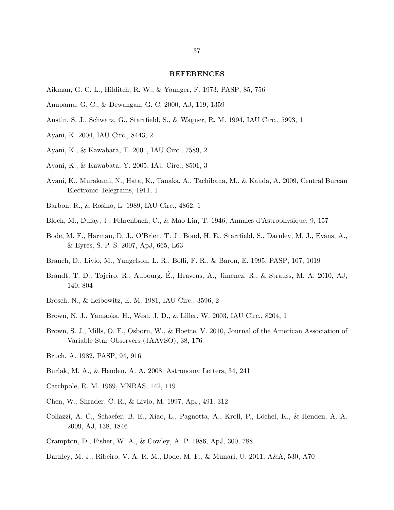#### REFERENCES

- <span id="page-37-12"></span>Aikman, G. C. L., Hilditch, R. W., & Younger, F. 1973, PASP, 85, 756
- <span id="page-37-11"></span>Anupama, G. C., & Dewangan, G. C. 2000, AJ, 119, 1359
- <span id="page-37-17"></span>Austin, S. J., Schwarz, G., Starrfield, S., & Wagner, R. M. 1994, IAU Circ., 5993, 1
- <span id="page-37-16"></span>Ayani, K. 2004, IAU Circ., 8443, 2
- <span id="page-37-18"></span>Ayani, K., & Kawabata, T. 2001, IAU Circ., 7589, 2
- <span id="page-37-20"></span>Ayani, K., & Kawabata, Y. 2005, IAU Circ., 8501, 3
- <span id="page-37-5"></span>Ayani, K., Murakami, N., Hata, K., Tanaka, A., Tachibana, M., & Kanda, A. 2009, Central Bureau Electronic Telegrams, 1911, 1
- <span id="page-37-21"></span>Barbon, R., & Rosino, L. 1989, IAU Circ., 4862, 1
- <span id="page-37-8"></span>Bloch, M., Dufay, J., Fehrenbach, C., & Mao Lin, T. 1946, Annales d'Astrophysique, 9, 157
- <span id="page-37-9"></span>Bode, M. F., Harman, D. J., O'Brien, T. J., Bond, H. E., Starrfield, S., Darnley, M. J., Evans, A., & Eyres, S. P. S. 2007, ApJ, 665, L63
- <span id="page-37-1"></span>Branch, D., Livio, M., Yungelson, L. R., Boffi, F. R., & Baron, E. 1995, PASP, 107, 1019
- <span id="page-37-0"></span>Brandt, T. D., Tojeiro, R., Aubourg, É., Heavens, A., Jimenez, R., & Strauss, M. A. 2010, AJ, 140, 804
- <span id="page-37-13"></span>Brosch, N., & Leibowitz, E. M. 1981, IAU Circ., 3596, 2
- <span id="page-37-19"></span>Brown, N. J., Yamaoka, H., West, J. D., & Liller, W. 2003, IAU Circ., 8204, 1
- <span id="page-37-7"></span>Brown, S. J., Mills, O. F., Osborn, W., & Hoette, V. 2010, Journal of the American Association of Variable Star Observers (JAAVSO), 38, 176
- <span id="page-37-14"></span>Bruch, A. 1982, PASP, 94, 916
- <span id="page-37-15"></span>Burlak, M. A., & Henden, A. A. 2008, Astronomy Letters, 34, 241
- <span id="page-37-10"></span>Catchpole, R. M. 1969, MNRAS, 142, 119
- <span id="page-37-2"></span>Chen, W., Shrader, C. R., & Livio, M. 1997, ApJ, 491, 312
- <span id="page-37-4"></span>Collazzi, A. C., Schaefer, B. E., Xiao, L., Pagnotta, A., Kroll, P., L¨ochel, K., & Henden, A. A. 2009, AJ, 138, 1846
- <span id="page-37-6"></span>Crampton, D., Fisher, W. A., & Cowley, A. P. 1986, ApJ, 300, 788
- <span id="page-37-3"></span>Darnley, M. J., Ribeiro, V. A. R. M., Bode, M. F., & Munari, U. 2011, A&A, 530, A70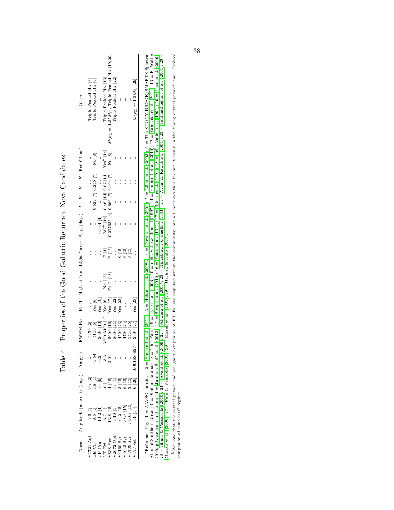<span id="page-38-0"></span>

|                                                                                            | Nova Amplitude (mag) t <sub>3</sub> (days) Amp/t <sub>3</sub>                                                                                      |                                                                                      |                                                                                    |                                                                                                                                                                                                       |                      | FWHM H $\alpha$ He II Highest Iron Light Curve P <sub>orb</sub> (days) $J - H$ $H - K$ Red Giant? |                                                                                                              |                                                                                                                                                                 |          |                     |                                                                           | Other                                                            |
|--------------------------------------------------------------------------------------------|----------------------------------------------------------------------------------------------------------------------------------------------------|--------------------------------------------------------------------------------------|------------------------------------------------------------------------------------|-------------------------------------------------------------------------------------------------------------------------------------------------------------------------------------------------------|----------------------|---------------------------------------------------------------------------------------------------|--------------------------------------------------------------------------------------------------------------|-----------------------------------------------------------------------------------------------------------------------------------------------------------------|----------|---------------------|---------------------------------------------------------------------------|------------------------------------------------------------------|
| $1721$ Aql                                                                                 |                                                                                                                                                    |                                                                                      |                                                                                    |                                                                                                                                                                                                       |                      | $\vdots$                                                                                          |                                                                                                              | $\vdots$                                                                                                                                                        |          | $\vdots$            |                                                                           | Triple-Peaked Ha [3]                                             |
|                                                                                            |                                                                                                                                                    |                                                                                      |                                                                                    |                                                                                                                                                                                                       | Yes [6]              | $\vdots$                                                                                          | $\vdots$                                                                                                     | $\vdots$                                                                                                                                                        |          | 0.529 [7] 0.245 [7] | $N$ o $[8]$                                                               | Triple-Peaked Ha [6]                                             |
|                                                                                            |                                                                                                                                                    |                                                                                      |                                                                                    | 6450 [2]<br>5100 [5]<br>2000 [10]                                                                                                                                                                     | $\mathrm{Yes}\ [10]$ | $\vdots$                                                                                          | $\vdots$                                                                                                     |                                                                                                                                                                 |          |                     |                                                                           | $\frac{1}{2}$                                                    |
|                                                                                            |                                                                                                                                                    |                                                                                      |                                                                                    |                                                                                                                                                                                                       |                      |                                                                                                   |                                                                                                              |                                                                                                                                                                 |          |                     |                                                                           | Triple-Peaked H $\alpha$ [13]                                    |
| DE Cir<br>CP Cru<br>KT Eri<br>W388 Her<br>V3672 Oph<br>V4643 Sgr<br>V4643 Sgr<br>V4739 Sgr | 26 (11)<br>8.5 (41) 11:52 (11) 2013<br>8.2 (11) 2013 (11) 2013<br>8.2 (11) 2013 (11) 2014<br>8.2 (11) 2014 (11) 2014 (11) 2014 (11) 2014 (11) 2014 | ල<br>මූ පුලු පු පු පු පු පු පු<br>දු දී පු පු පු පු පු පු පු<br>දු දී පු ද ම ග ග ග ල | $\frac{1}{1}$ .<br>$\frac{54}{9}$ , $\frac{3}{9}$ , $\frac{3}{10}$ , $\frac{1}{2}$ | $\begin{tabular}{ c   c} 3200-3400 [12] Yes [6] \\ 5000 [16] Yes [17] \\ 8000 [21] Yes [22] \\ 4500 [23] Yes [23] \\ 4500 [23] Yes [23] \\ 5510 [25] \\ \dots \\ 2900 [27] Yes [28] \\ \end{tabular}$ |                      | $_{\rm Fe~II~[18]}^{\rm No~[13]}$<br>Fe $\rm II~[18]$                                             | $\begin{array}{c} \mathbf{P} \text{ } \left[ 1 \right] \\ \mathbf{P} \text{ } \left[ 15 \right] \end{array}$ | $\begin{array}{ll} 0.944\ [4] \qquad \quad \  \, \ldots \\ 737^b\ [14] \quad \  0.46\ [14] \ 0.07\ [14] \\ 0.297635\ [4] \ 0.666\ [7] \ 0.104\ [7] \end{array}$ |          |                     | $\begin{bmatrix} Y_{\text{es}}^b & [14] \\ \text{No} & [8] \end{bmatrix}$ | $M_{\rm WD}$ = $1.35M_{\odot},$ Triple-Peaked H $\alpha$ [19,20] |
|                                                                                            |                                                                                                                                                    |                                                                                      | $\vdots$                                                                           |                                                                                                                                                                                                       |                      | ł                                                                                                 |                                                                                                              | $\vdots$                                                                                                                                                        | $\vdots$ | $\vdots$            | $\vdots$                                                                  | Triple-Peaked H $\alpha$ [22]                                    |
|                                                                                            |                                                                                                                                                    |                                                                                      | ŧ,                                                                                 |                                                                                                                                                                                                       |                      | $\vdots$                                                                                          |                                                                                                              | $\vdots$                                                                                                                                                        | $\vdots$ | $\vdots$            | $\vdots$                                                                  | $\vdots$                                                         |
|                                                                                            |                                                                                                                                                    |                                                                                      | $\vdots$                                                                           |                                                                                                                                                                                                       |                      | $\vdots$                                                                                          |                                                                                                              | $\vdots$                                                                                                                                                        | $\vdots$ | $\vdots$            | $\vdots$                                                                  | $\vdots$                                                         |
|                                                                                            |                                                                                                                                                    |                                                                                      |                                                                                    |                                                                                                                                                                                                       |                      | $\vdots$                                                                                          | ច<br>ក្នុង<br>១ ក្នុង                                                                                        | $\vdots$                                                                                                                                                        | $\vdots$ | $\vdots$            | $\vdots$                                                                  |                                                                  |
| $477$ Sct                                                                                  |                                                                                                                                                    |                                                                                      |                                                                                    |                                                                                                                                                                                                       |                      | $\vdots$                                                                                          |                                                                                                              | $\vdots$                                                                                                                                                        | $\vdots$ | $\vdots$            | $\vdots$                                                                  | $M_{\rm WD} \sim 1.3 M_{\odot}$ [29]                             |

Properties of the Good Galactic Recurrent Nova Candidates Table 4. Properties of the Good Galactic Recurrent Nova Candidates Table 4.

"Reference Key:  $1 = \text{ANYSO}$  database;  $2 = \text{Hounsell et al. (2011); } 3 = \text{Helton et al. (2008a); } 4 = \text{Downes et al. (2001); } 5 = \text{Lilier et al. (2003); } 6 = \text{The STONY BROOK/SMATIS Spectral Atlas of Southern Noves}; 7 = \text{Simbad}$  database;  $2 = \text{This Paper: } 9 = \text{Lyke et al. (2003); } 10 = \text{dela Value}$  Valle & Benetti (1  ${}^{\text{P}}$ Reference Key: 1 = AAVSO database; 2 = [Hounsell](#page-46-8) et al. [\(2011\)](#page-46-8); 3 = [Helton](#page-46-5) et al. [\(2008a\)](#page-46-5); 4 = [Downes](#page-44-4) et al. [\(2001\)](#page-44-4); 5 = [Liller](#page-47-13) et al. [\(2003\)](#page-47-13); 6 = The STONY BROOK/SMARTS Spectral Atlas of Southern Novae;  $7 =$  Simbad database;  $8 =$  This Paper; 9 = This Paper; 9 = [Lyke](#page-47-14) et al. [\(2003\)](#page-47-14); 11 = [Hounsell](#page-46-10) et al. ([2010\)](#page-46-10); 12 = [Yamaoka](#page-51-4) et al. [\(2009\)](#page-51-4); 13 = F. Walter Šepić et al. ([2012\)](#page-46-11); 15 = [Strope](#page-50-1) et al. [\(2010\)](#page-50-1); 16 = [Feast](#page-44-14) et al. [\(1991\)](#page-44-15); 17 = [Iijima](#page-46-18) et al. (1991); 18 = della [Valle](#page-44-15) et al. (1991); 19 = [Kato](#page-46-3) et al. [\(2009\)](#page-46-3); 20 = Iijima & [Cassatella](#page-46-6) [\(2010\)](#page-46-6); 21 = [Ayani](#page-37-5) et al. [\(2009\)](#page-49-8); 22 = [Schwarz](#page-49-8) et al. (2009); 23 = [Kingsburgh](#page-47-19) & English [\(1991\)](#page-47-19); 24 = Ayani & [Kawabata](#page-37-18) [\(2001\)](#page-51-20); 25 = [Vanlandingham](#page-51-20) et al. (2004); 26 = [Munari](#page-48-21) et al. [\(2006\)](#page-48-21); 27 = Fujii & [Yamaoka](#page-45-19) [\(2005\)](#page-45-19); 28 = [Mazuk](#page-48-22) et al. [\(2005\)](#page-48-22); 29 = [Hachisu](#page-45-6) & Kato [\(2007\)](#page-45-6); 2010, private communication; 14 = [Jurdana-](#page-46-11)

<sup>b</sup>We note that the orbital period and red giant companion of KT Eri are disputed within the community, but all measures thus far put it easily in the "Long orbital period" and "Evolved bWe note that the orbital period and red giant companion of KT Eri are disputed within the community, but all measures thus far put it easily in the "Long orbital period" and "Evolved companion of some sort" regime. companion of some sort" regime.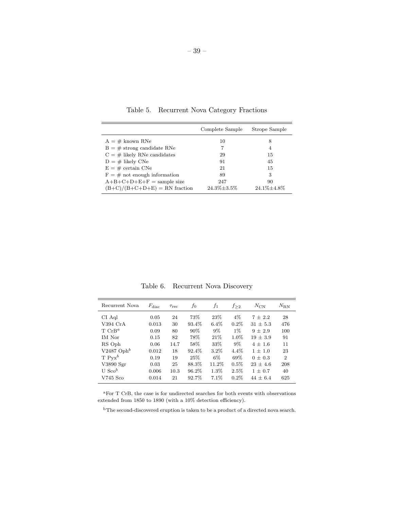|                                 | Complete Sample    | Strope Sample      |
|---------------------------------|--------------------|--------------------|
| $A = #$ known RNe               | 10                 | 8                  |
| $B = #$ strong candidate RNe    | 7                  | 4                  |
| $C = #$ likely RNe candidates   | 29                 | 15                 |
| $D = #$ likely CNe              | 91                 | 45                 |
| $E = #$ certain CNe             | 21                 | 15                 |
| $F = #$ not enough information  | 89                 | 3                  |
| $A+B+C+D+E+F =$ sample size     | 247                | 90                 |
| $(B+C)/(B+C+D+E)$ = RN fraction | $24.3\% \pm 3.5\%$ | $24.1\% \pm 4.8\%$ |

<span id="page-39-0"></span>Table 5. Recurrent Nova Category Fractions

<span id="page-39-1"></span>Table 6. Recurrent Nova Discovery

| Recurrent Nova           | $F_{\rm disc}$ | Trec | fо     | f1      | f > 2   | $N_{\rm CN}$ | $N_{\rm RN}$   |
|--------------------------|----------------|------|--------|---------|---------|--------------|----------------|
| CI Aql                   | 0.05           | 24   | 73%    | 23\%    | $4\%$   | $7 + 2.2$    | 28             |
| $V394$ CrA               | 0.013          | 30   | 93.4%  | $6.4\%$ | $0.2\%$ | $31 + 5.3$   | 476            |
| $T^c$ CrB <sup>a</sup>   | 0.09           | 80   | $90\%$ | $9\%$   | $1\%$   | $9 + 2.9$    | 100            |
| <b>IM</b> Nor            | 0.15           | 82   | 78%    | 21\%    | $1.0\%$ | $19 + 3.9$   | 91             |
| RS Oph                   | 0.06           | 14.7 | 58%    | 33%     | $9\%$   | $4 + 1.6$    | 11             |
| $V2487$ Oph <sup>b</sup> | 0.012          | 18   | 92.4%  | $3.2\%$ | $4.4\%$ | $1 + 1.0$    | 23             |
| $T Pvx^b$                | 0.19           | 19   | 25%    | $6\%$   | 69%     | $0 + 0.3$    | $\overline{2}$ |
| V3890 Sgr                | 0.03           | 25   | 88.3%  | 11.2%   | $0.5\%$ | $23 + 4.6$   | 208            |
| U Sco $^b$               | 0.006          | 10.3 | 96.2%  | 1.3%    | $2.5\%$ | $1 + 0.7$    | 40             |
| V745 Sco                 | 0.014          | 21   | 92.7%  | $7.1\%$ | $0.2\%$ | $44 + 6.4$   | 625            |

<sup>a</sup>For T CrB, the case is for undirected searches for both events with observations extended from 1850 to 1890 (with a 10% detection efficiency).

 $^{\rm b}{\rm The}$  second-discovered eruption is taken to be a product of a directed nova search.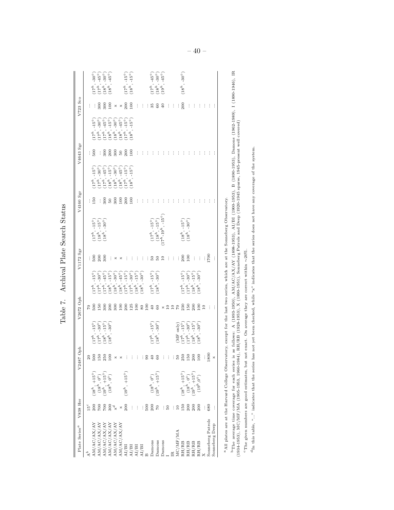<span id="page-40-0"></span>

| × 200<br>$\frac{1}{200}$<br>100<br>$\frac{1}{2}$<br>300<br>$\vdots$<br>Ì.<br>$\vdots$<br>Ì<br>$\vdots$<br>×<br>÷<br>Ì<br>İ<br>ŧ.<br>$40$<br>$\vdots$<br>೫<br>÷<br><u>င</u><br>$-45^{\circ}$<br>$-15^{\circ}$<br>$-15^{\circ}$<br>$-15^{\circ}$<br>$-45^{\circ}$ )<br>$-15^{\circ}$ )<br>$-30^{\circ}$ )<br>$-30^{\circ}$<br>100<br>$\frac{1}{5}$<br>300<br>200<br>300<br>$rac{50}{200}$<br>$\frac{1}{3}$<br>$\vdots$<br>ŧ<br>$\vdots$<br>$\vdots$<br>$\vdots$<br>$\vdots$<br>$\vdots$<br>ŧ<br>$\vdots$<br>$\vdots$<br>$\vdots$<br>$\vdots$<br>÷<br>$\begin{bmatrix} 15^{\circ} \\ -30^{\circ} \\ 45^{\circ} \\ 15^{\circ} \\ -15^{\circ} \\ 10^{\circ} \\ 15^{\circ} \\ 15^{\circ} \\ 115^{\circ} \\ 115^{\circ} \\ 1 \end{bmatrix}$<br>COCOCOCO<br>Cocococo<br>Cocococo<br>$\frac{50}{100}$<br>$\frac{200}{100}$<br>$\frac{150}{150}$<br>$\frac{1}{3}$<br>$50\,$<br>$\cdot$<br>$\vdots$<br>$\vdots$<br>$\vdots$<br>$\vdots$<br>$\vdots$<br>$\vdots$<br>ŧ<br>$\vdots$<br>$\vdots$<br>$\vdots$<br>÷<br>İ<br>İ<br>ŧ<br>$\begin{array}{c} (17^h,\,-15^\circ)\\ (18^h,\,-15^\circ)\\ (17^h\text{-}19^h,\,-15^\circ) \end{array}$<br>$\genfrac{(}{)}{0pt}{}{(18^h,\,-15^{\circ})}{(18^h,\,-30^{\circ})}$<br>$\begin{array}{c}(17^h,-15^{\circ})\\(18^h,-15^{\circ})\\(18^h,-30^{\circ})\end{array}$<br>001<br>500<br>$\frac{50}{300}$<br>200<br>100<br>$\vdots$<br>$\vdots$<br>$\vdots$<br>ŧ.<br>$\vdots$<br>$\frac{1}{2}$ $\frac{5}{2}$ $\frac{5}{2}$<br>$\overline{10}$<br>$\vdots$<br>$\vdots$<br>$\frac{1}{2}$<br>$\vdots$<br>$\vdots$<br>$\vdots$<br>ŧ,<br>×<br>×<br>$-15^{\circ}$ )<br>$-30^{\circ}$ )<br>$\begin{pmatrix} 0 & 0 & 0 \\ 1 & 0 & 0 \\ 0 & 1 & 0 \\ 0 & 0 & 0 \\ 0 & 0 & 0 \\ 0 & 0 & 0 \\ 0 & 0 & 0 \\ 0 & 0 & 0 \\ 0 & 0 & 0 \\ 0 & 0 & 0 \\ 0 & 0 & 0 \\ 0 & 0 & 0 \\ 0 & 0 & 0 \\ 0 & 0 & 0 \\ 0 & 0 & 0 \\ 0 & 0 & 0 \\ 0 & 0 & 0 \\ 0 & 0 & 0 & 0 \\ 0 & 0 & 0 & 0 \\ 0 & 0 & 0 & 0 \\ 0 & 0 & 0 & 0 \\ 0 & 0 & 0 & 0 \\ $<br>$-15^{\circ}$<br>erererererererererererer<br>EEEEEEEEEEE<br>$\begin{array}{l} (17^h,\\ (18^h,\\ \end{array}$<br>$\begin{array}{c} \mathbf{17}^{\mathbf{1}} \\ \mathbf{17}^{\mathbf{2}} \\ \mathbf{18}^{\mathbf{3}} \\ \mathbf{28} \end{array}$<br>230<br>300<br>200<br>300<br><b>E g g a e s e s e s</b><br>$\begin{array}{c} \times \mathop{\mathbb{C}} \mathop{\mathbb{C}} \end{array} \begin{array}{c} \times \mathop{\mathbb{C}} \end{array}$<br>500<br>$\frac{50}{2}$<br>$\mathcal{C}$<br>ŧ<br>$(17^h,\, -15^{\circ})\,(18^h,\, -30^{\circ})$<br>$\begin{array}{l} \textbf{(MF only)}\\ (17^h,-15^{\circ})\\ (17^h,-30^{\circ})\\ (18^h,-15^{\circ})\\ (18^h,-15^{\circ})\\ (18^h,-30^{\circ}) \end{array}$<br>$\begin{array}{l} (17^h,\,-15^{\rm o})\\ (17^h,\,-30^{\rm o})\\ (18^h,\,-15^{\rm o})\\ (18^h,\,-30^{\rm o}) \end{array}$<br>$\frac{1}{8}$<br>ះនិងទីខ្លួ<br>888880<br>$3.3.58 \div 3.5$<br>$\times$ $\times$<br>Đ,<br>ŧ.<br>÷.<br>$(19^h,\,+15^{\circ})$<br>$\begin{array}{l} (18^h,\, +15^{\circ})\\ (18^h,\, 0^{\circ})\\ (19^h,\, +15^{\circ})\\ (19^h, 0^{\circ}) \end{array}$<br>$\begin{array}{c}(18^h,+15^\circ)\\(18^h, \ 0^\circ)\\(19^h, \ +15^\circ)\\(18^h, \ 0^\circ)\end{array}$<br>$\genfrac{(}{)}{0pt}{}{(18^h,\ 0^{\circ})}{(19^h,\ +15^{\circ})}$<br>200<br>$\frac{1}{2}$<br>: ទី ខ្លី ៩<br>200<br>15 <sup>c</sup><br>007<br>150<br>680<br>$_{200}$<br>$\boldsymbol{\times}$<br>ŧ,<br>$\frac{1}{2}$<br>: $\frac{6}{5}$<br>200<br>200<br>Sonneberg Patrols<br>$\begin{array}{l} \mathrm{AM/AG/AX/AY} \\ \mathrm{AM/AG/AX/AY} \\ \mathrm{AM/AG/AX/AY} \end{array}$<br>$\begin{array}{lcl} \mathrm{AM}/\mathrm{A}\mathrm{C}/\mathrm{AX}/\mathrm{AY}\\ \mathrm{AM}/\mathrm{A}\mathrm{C}/\mathrm{AX}/\mathrm{AY}\\ \mathrm{AM}/\mathrm{AC}/\mathrm{AX}/\mathrm{AY}\\ \mathrm{AM}/\mathrm{BL}\\ \mathrm{AL}/\mathrm{BI}\\ \mathrm{AL}/\mathrm{BI}\\ \mathrm{AL}/\mathrm{BI}\\ \mathrm{AL}/\mathrm{BI}\\ \mathrm{AL}/\mathrm{BI}\\ \mathrm{AL}/\mathrm{BI}\\ \mathrm{AL}/\mathrm{BI}\\ \end{array}$<br>$\rm MC/MF/MA$<br>Damons<br>Damons<br>Damons<br>$\frac{\mathrm{RH}/\mathrm{RB}}{\mathrm{RH}/\mathrm{RB}}$<br>$\begin{array}{l} \mathrm{RH}/\mathrm{RB} \\ \mathrm{RH}/\mathrm{RB} \\ \mathrm{X} \end{array}$ | Plate Series <sup>a</sup> | V838 Her | V2487 Oph | V2672 Oph | V1172 Sgr | V4160 Sgr | V4643 Sgr | V723 Sco |                                    |
|------------------------------------------------------------------------------------------------------------------------------------------------------------------------------------------------------------------------------------------------------------------------------------------------------------------------------------------------------------------------------------------------------------------------------------------------------------------------------------------------------------------------------------------------------------------------------------------------------------------------------------------------------------------------------------------------------------------------------------------------------------------------------------------------------------------------------------------------------------------------------------------------------------------------------------------------------------------------------------------------------------------------------------------------------------------------------------------------------------------------------------------------------------------------------------------------------------------------------------------------------------------------------------------------------------------------------------------------------------------------------------------------------------------------------------------------------------------------------------------------------------------------------------------------------------------------------------------------------------------------------------------------------------------------------------------------------------------------------------------------------------------------------------------------------------------------------------------------------------------------------------------------------------------------------------------------------------------------------------------------------------------------------------------------------------------------------------------------------------------------------------------------------------------------------------------------------------------------------------------------------------------------------------------------------------------------------------------------------------------------------------------------------------------------------------------------------------------------------------------------------------------------------------------------------------------------------------------------------------------------------------------------------------------------------------------------------------------------------------------------------------------------------------------------------------------------------------------------------------------------------------------------------------------------------------------------------------------------------------------------------------------------------------------------------------------------------------------------------------------------------------------------------------------------------------------------------------------------------------------------------------------------------------------------------------------------------------------------------------------------------------------------------------------------------------------------------------------------------------------------------------------------------------------------------------------------------------------------------------------------------------------------------------------------------------------------------------------------------------------------------------------------------------------------------------------------------------------------------------------------------------------------------------------------------------------------------------------------------------------------------------------------------------------------------------------------------------------------------------------------------------------------------------------------------------------------------|---------------------------|----------|-----------|-----------|-----------|-----------|-----------|----------|------------------------------------|
|                                                                                                                                                                                                                                                                                                                                                                                                                                                                                                                                                                                                                                                                                                                                                                                                                                                                                                                                                                                                                                                                                                                                                                                                                                                                                                                                                                                                                                                                                                                                                                                                                                                                                                                                                                                                                                                                                                                                                                                                                                                                                                                                                                                                                                                                                                                                                                                                                                                                                                                                                                                                                                                                                                                                                                                                                                                                                                                                                                                                                                                                                                                                                                                                                                                                                                                                                                                                                                                                                                                                                                                                                                                                                                                                                                                                                                                                                                                                                                                                                                                                                                                                                                                                      |                           |          |           |           |           |           |           |          |                                    |
|                                                                                                                                                                                                                                                                                                                                                                                                                                                                                                                                                                                                                                                                                                                                                                                                                                                                                                                                                                                                                                                                                                                                                                                                                                                                                                                                                                                                                                                                                                                                                                                                                                                                                                                                                                                                                                                                                                                                                                                                                                                                                                                                                                                                                                                                                                                                                                                                                                                                                                                                                                                                                                                                                                                                                                                                                                                                                                                                                                                                                                                                                                                                                                                                                                                                                                                                                                                                                                                                                                                                                                                                                                                                                                                                                                                                                                                                                                                                                                                                                                                                                                                                                                                                      |                           |          |           |           |           |           |           |          |                                    |
|                                                                                                                                                                                                                                                                                                                                                                                                                                                                                                                                                                                                                                                                                                                                                                                                                                                                                                                                                                                                                                                                                                                                                                                                                                                                                                                                                                                                                                                                                                                                                                                                                                                                                                                                                                                                                                                                                                                                                                                                                                                                                                                                                                                                                                                                                                                                                                                                                                                                                                                                                                                                                                                                                                                                                                                                                                                                                                                                                                                                                                                                                                                                                                                                                                                                                                                                                                                                                                                                                                                                                                                                                                                                                                                                                                                                                                                                                                                                                                                                                                                                                                                                                                                                      |                           |          |           |           |           |           |           |          |                                    |
|                                                                                                                                                                                                                                                                                                                                                                                                                                                                                                                                                                                                                                                                                                                                                                                                                                                                                                                                                                                                                                                                                                                                                                                                                                                                                                                                                                                                                                                                                                                                                                                                                                                                                                                                                                                                                                                                                                                                                                                                                                                                                                                                                                                                                                                                                                                                                                                                                                                                                                                                                                                                                                                                                                                                                                                                                                                                                                                                                                                                                                                                                                                                                                                                                                                                                                                                                                                                                                                                                                                                                                                                                                                                                                                                                                                                                                                                                                                                                                                                                                                                                                                                                                                                      |                           |          |           |           |           |           |           |          |                                    |
|                                                                                                                                                                                                                                                                                                                                                                                                                                                                                                                                                                                                                                                                                                                                                                                                                                                                                                                                                                                                                                                                                                                                                                                                                                                                                                                                                                                                                                                                                                                                                                                                                                                                                                                                                                                                                                                                                                                                                                                                                                                                                                                                                                                                                                                                                                                                                                                                                                                                                                                                                                                                                                                                                                                                                                                                                                                                                                                                                                                                                                                                                                                                                                                                                                                                                                                                                                                                                                                                                                                                                                                                                                                                                                                                                                                                                                                                                                                                                                                                                                                                                                                                                                                                      |                           |          |           |           |           |           |           |          |                                    |
|                                                                                                                                                                                                                                                                                                                                                                                                                                                                                                                                                                                                                                                                                                                                                                                                                                                                                                                                                                                                                                                                                                                                                                                                                                                                                                                                                                                                                                                                                                                                                                                                                                                                                                                                                                                                                                                                                                                                                                                                                                                                                                                                                                                                                                                                                                                                                                                                                                                                                                                                                                                                                                                                                                                                                                                                                                                                                                                                                                                                                                                                                                                                                                                                                                                                                                                                                                                                                                                                                                                                                                                                                                                                                                                                                                                                                                                                                                                                                                                                                                                                                                                                                                                                      |                           |          |           |           |           |           |           |          |                                    |
|                                                                                                                                                                                                                                                                                                                                                                                                                                                                                                                                                                                                                                                                                                                                                                                                                                                                                                                                                                                                                                                                                                                                                                                                                                                                                                                                                                                                                                                                                                                                                                                                                                                                                                                                                                                                                                                                                                                                                                                                                                                                                                                                                                                                                                                                                                                                                                                                                                                                                                                                                                                                                                                                                                                                                                                                                                                                                                                                                                                                                                                                                                                                                                                                                                                                                                                                                                                                                                                                                                                                                                                                                                                                                                                                                                                                                                                                                                                                                                                                                                                                                                                                                                                                      |                           |          |           |           |           |           |           |          |                                    |
|                                                                                                                                                                                                                                                                                                                                                                                                                                                                                                                                                                                                                                                                                                                                                                                                                                                                                                                                                                                                                                                                                                                                                                                                                                                                                                                                                                                                                                                                                                                                                                                                                                                                                                                                                                                                                                                                                                                                                                                                                                                                                                                                                                                                                                                                                                                                                                                                                                                                                                                                                                                                                                                                                                                                                                                                                                                                                                                                                                                                                                                                                                                                                                                                                                                                                                                                                                                                                                                                                                                                                                                                                                                                                                                                                                                                                                                                                                                                                                                                                                                                                                                                                                                                      |                           |          |           |           |           |           |           |          | $-15^{\circ}$ )<br>$-15^{\circ}$   |
|                                                                                                                                                                                                                                                                                                                                                                                                                                                                                                                                                                                                                                                                                                                                                                                                                                                                                                                                                                                                                                                                                                                                                                                                                                                                                                                                                                                                                                                                                                                                                                                                                                                                                                                                                                                                                                                                                                                                                                                                                                                                                                                                                                                                                                                                                                                                                                                                                                                                                                                                                                                                                                                                                                                                                                                                                                                                                                                                                                                                                                                                                                                                                                                                                                                                                                                                                                                                                                                                                                                                                                                                                                                                                                                                                                                                                                                                                                                                                                                                                                                                                                                                                                                                      |                           |          |           |           |           |           |           |          | $(17^h,$ $(18^h,$                  |
|                                                                                                                                                                                                                                                                                                                                                                                                                                                                                                                                                                                                                                                                                                                                                                                                                                                                                                                                                                                                                                                                                                                                                                                                                                                                                                                                                                                                                                                                                                                                                                                                                                                                                                                                                                                                                                                                                                                                                                                                                                                                                                                                                                                                                                                                                                                                                                                                                                                                                                                                                                                                                                                                                                                                                                                                                                                                                                                                                                                                                                                                                                                                                                                                                                                                                                                                                                                                                                                                                                                                                                                                                                                                                                                                                                                                                                                                                                                                                                                                                                                                                                                                                                                                      |                           |          |           |           |           |           |           |          |                                    |
|                                                                                                                                                                                                                                                                                                                                                                                                                                                                                                                                                                                                                                                                                                                                                                                                                                                                                                                                                                                                                                                                                                                                                                                                                                                                                                                                                                                                                                                                                                                                                                                                                                                                                                                                                                                                                                                                                                                                                                                                                                                                                                                                                                                                                                                                                                                                                                                                                                                                                                                                                                                                                                                                                                                                                                                                                                                                                                                                                                                                                                                                                                                                                                                                                                                                                                                                                                                                                                                                                                                                                                                                                                                                                                                                                                                                                                                                                                                                                                                                                                                                                                                                                                                                      |                           |          |           |           |           |           |           |          |                                    |
|                                                                                                                                                                                                                                                                                                                                                                                                                                                                                                                                                                                                                                                                                                                                                                                                                                                                                                                                                                                                                                                                                                                                                                                                                                                                                                                                                                                                                                                                                                                                                                                                                                                                                                                                                                                                                                                                                                                                                                                                                                                                                                                                                                                                                                                                                                                                                                                                                                                                                                                                                                                                                                                                                                                                                                                                                                                                                                                                                                                                                                                                                                                                                                                                                                                                                                                                                                                                                                                                                                                                                                                                                                                                                                                                                                                                                                                                                                                                                                                                                                                                                                                                                                                                      |                           |          |           |           |           |           |           |          |                                    |
|                                                                                                                                                                                                                                                                                                                                                                                                                                                                                                                                                                                                                                                                                                                                                                                                                                                                                                                                                                                                                                                                                                                                                                                                                                                                                                                                                                                                                                                                                                                                                                                                                                                                                                                                                                                                                                                                                                                                                                                                                                                                                                                                                                                                                                                                                                                                                                                                                                                                                                                                                                                                                                                                                                                                                                                                                                                                                                                                                                                                                                                                                                                                                                                                                                                                                                                                                                                                                                                                                                                                                                                                                                                                                                                                                                                                                                                                                                                                                                                                                                                                                                                                                                                                      |                           |          |           |           |           |           |           |          |                                    |
|                                                                                                                                                                                                                                                                                                                                                                                                                                                                                                                                                                                                                                                                                                                                                                                                                                                                                                                                                                                                                                                                                                                                                                                                                                                                                                                                                                                                                                                                                                                                                                                                                                                                                                                                                                                                                                                                                                                                                                                                                                                                                                                                                                                                                                                                                                                                                                                                                                                                                                                                                                                                                                                                                                                                                                                                                                                                                                                                                                                                                                                                                                                                                                                                                                                                                                                                                                                                                                                                                                                                                                                                                                                                                                                                                                                                                                                                                                                                                                                                                                                                                                                                                                                                      |                           |          |           |           |           |           |           |          | $-45^{\circ}$ )<br>$-30^{\circ}$ ) |
|                                                                                                                                                                                                                                                                                                                                                                                                                                                                                                                                                                                                                                                                                                                                                                                                                                                                                                                                                                                                                                                                                                                                                                                                                                                                                                                                                                                                                                                                                                                                                                                                                                                                                                                                                                                                                                                                                                                                                                                                                                                                                                                                                                                                                                                                                                                                                                                                                                                                                                                                                                                                                                                                                                                                                                                                                                                                                                                                                                                                                                                                                                                                                                                                                                                                                                                                                                                                                                                                                                                                                                                                                                                                                                                                                                                                                                                                                                                                                                                                                                                                                                                                                                                                      |                           |          |           |           |           |           |           |          | $-45^{\circ}$                      |
|                                                                                                                                                                                                                                                                                                                                                                                                                                                                                                                                                                                                                                                                                                                                                                                                                                                                                                                                                                                                                                                                                                                                                                                                                                                                                                                                                                                                                                                                                                                                                                                                                                                                                                                                                                                                                                                                                                                                                                                                                                                                                                                                                                                                                                                                                                                                                                                                                                                                                                                                                                                                                                                                                                                                                                                                                                                                                                                                                                                                                                                                                                                                                                                                                                                                                                                                                                                                                                                                                                                                                                                                                                                                                                                                                                                                                                                                                                                                                                                                                                                                                                                                                                                                      |                           |          |           |           |           |           |           |          |                                    |
|                                                                                                                                                                                                                                                                                                                                                                                                                                                                                                                                                                                                                                                                                                                                                                                                                                                                                                                                                                                                                                                                                                                                                                                                                                                                                                                                                                                                                                                                                                                                                                                                                                                                                                                                                                                                                                                                                                                                                                                                                                                                                                                                                                                                                                                                                                                                                                                                                                                                                                                                                                                                                                                                                                                                                                                                                                                                                                                                                                                                                                                                                                                                                                                                                                                                                                                                                                                                                                                                                                                                                                                                                                                                                                                                                                                                                                                                                                                                                                                                                                                                                                                                                                                                      |                           |          |           |           |           |           |           |          |                                    |
|                                                                                                                                                                                                                                                                                                                                                                                                                                                                                                                                                                                                                                                                                                                                                                                                                                                                                                                                                                                                                                                                                                                                                                                                                                                                                                                                                                                                                                                                                                                                                                                                                                                                                                                                                                                                                                                                                                                                                                                                                                                                                                                                                                                                                                                                                                                                                                                                                                                                                                                                                                                                                                                                                                                                                                                                                                                                                                                                                                                                                                                                                                                                                                                                                                                                                                                                                                                                                                                                                                                                                                                                                                                                                                                                                                                                                                                                                                                                                                                                                                                                                                                                                                                                      |                           |          |           |           |           |           |           |          |                                    |
|                                                                                                                                                                                                                                                                                                                                                                                                                                                                                                                                                                                                                                                                                                                                                                                                                                                                                                                                                                                                                                                                                                                                                                                                                                                                                                                                                                                                                                                                                                                                                                                                                                                                                                                                                                                                                                                                                                                                                                                                                                                                                                                                                                                                                                                                                                                                                                                                                                                                                                                                                                                                                                                                                                                                                                                                                                                                                                                                                                                                                                                                                                                                                                                                                                                                                                                                                                                                                                                                                                                                                                                                                                                                                                                                                                                                                                                                                                                                                                                                                                                                                                                                                                                                      |                           |          |           |           |           |           |           |          | $(18^h,\,-30^\circ)$               |
|                                                                                                                                                                                                                                                                                                                                                                                                                                                                                                                                                                                                                                                                                                                                                                                                                                                                                                                                                                                                                                                                                                                                                                                                                                                                                                                                                                                                                                                                                                                                                                                                                                                                                                                                                                                                                                                                                                                                                                                                                                                                                                                                                                                                                                                                                                                                                                                                                                                                                                                                                                                                                                                                                                                                                                                                                                                                                                                                                                                                                                                                                                                                                                                                                                                                                                                                                                                                                                                                                                                                                                                                                                                                                                                                                                                                                                                                                                                                                                                                                                                                                                                                                                                                      |                           |          |           |           |           |           |           |          |                                    |
|                                                                                                                                                                                                                                                                                                                                                                                                                                                                                                                                                                                                                                                                                                                                                                                                                                                                                                                                                                                                                                                                                                                                                                                                                                                                                                                                                                                                                                                                                                                                                                                                                                                                                                                                                                                                                                                                                                                                                                                                                                                                                                                                                                                                                                                                                                                                                                                                                                                                                                                                                                                                                                                                                                                                                                                                                                                                                                                                                                                                                                                                                                                                                                                                                                                                                                                                                                                                                                                                                                                                                                                                                                                                                                                                                                                                                                                                                                                                                                                                                                                                                                                                                                                                      |                           |          |           |           |           |           |           |          |                                    |
|                                                                                                                                                                                                                                                                                                                                                                                                                                                                                                                                                                                                                                                                                                                                                                                                                                                                                                                                                                                                                                                                                                                                                                                                                                                                                                                                                                                                                                                                                                                                                                                                                                                                                                                                                                                                                                                                                                                                                                                                                                                                                                                                                                                                                                                                                                                                                                                                                                                                                                                                                                                                                                                                                                                                                                                                                                                                                                                                                                                                                                                                                                                                                                                                                                                                                                                                                                                                                                                                                                                                                                                                                                                                                                                                                                                                                                                                                                                                                                                                                                                                                                                                                                                                      |                           |          |           |           |           |           |           |          |                                    |
|                                                                                                                                                                                                                                                                                                                                                                                                                                                                                                                                                                                                                                                                                                                                                                                                                                                                                                                                                                                                                                                                                                                                                                                                                                                                                                                                                                                                                                                                                                                                                                                                                                                                                                                                                                                                                                                                                                                                                                                                                                                                                                                                                                                                                                                                                                                                                                                                                                                                                                                                                                                                                                                                                                                                                                                                                                                                                                                                                                                                                                                                                                                                                                                                                                                                                                                                                                                                                                                                                                                                                                                                                                                                                                                                                                                                                                                                                                                                                                                                                                                                                                                                                                                                      |                           |          |           |           |           |           |           |          |                                    |
|                                                                                                                                                                                                                                                                                                                                                                                                                                                                                                                                                                                                                                                                                                                                                                                                                                                                                                                                                                                                                                                                                                                                                                                                                                                                                                                                                                                                                                                                                                                                                                                                                                                                                                                                                                                                                                                                                                                                                                                                                                                                                                                                                                                                                                                                                                                                                                                                                                                                                                                                                                                                                                                                                                                                                                                                                                                                                                                                                                                                                                                                                                                                                                                                                                                                                                                                                                                                                                                                                                                                                                                                                                                                                                                                                                                                                                                                                                                                                                                                                                                                                                                                                                                                      |                           |          |           |           |           |           |           |          |                                    |
|                                                                                                                                                                                                                                                                                                                                                                                                                                                                                                                                                                                                                                                                                                                                                                                                                                                                                                                                                                                                                                                                                                                                                                                                                                                                                                                                                                                                                                                                                                                                                                                                                                                                                                                                                                                                                                                                                                                                                                                                                                                                                                                                                                                                                                                                                                                                                                                                                                                                                                                                                                                                                                                                                                                                                                                                                                                                                                                                                                                                                                                                                                                                                                                                                                                                                                                                                                                                                                                                                                                                                                                                                                                                                                                                                                                                                                                                                                                                                                                                                                                                                                                                                                                                      | Sonneberg Deep            |          | ×         | ÷         | $\vdots$  | ÷         |           | $\vdots$ |                                    |

Table 7. Archival Plate Search Status

Table 7. Archival Plate Search Status

<sup>a</sup>All plates are at the Harvard College Observatory, except for the last two series, which are at the Sonneberg Observatory. <sup>a</sup>All plates are at the Harvard College Observatory, except for the last two series, which are at the Sonneberg Observatory.

<sup>b</sup>The average time coverage for each series is as follows: A (1893-1950), AM/AC/AX/AY (1898-1953), AI/BI (1900-1953), B (1890-1953), Damons (1962-1989), I (1890-1946), IR (1934-1953), MC/MF/MA (1905-1983, 1964-1984), RH/ bThe average time coverage for each series is as follows: A (1893-1950), AM/AC/AX/AY (1898-1953), AI/BI (1900-1953), B (1890-1953), Damons (1962-1989), I (1890-1946), IR (1934-1953), MC/MF/MA (1905-1953, 1960-1984), RH/RB (1928-1953), X (1890-1951), Sonneberg Patrols and Deep (1920-1945 sparse, 1945-present well covered)

°The given numbers are good estimates, but not exact. On average they are correct within  $\sim\!20\%.$ cThe given numbers are good estimates, but not exact. On average they are correct within ∼20%.

<sup>d</sup>In this table, "..." indicates that the series has not yet been checked, while "x" indicates that the series does not have any coverage of the system.  ${}^{\rm d}{\rm In}$  this table, "..." indicates that the series has not yet been checked, while "x" indicates that the series does not have any coverage of the system.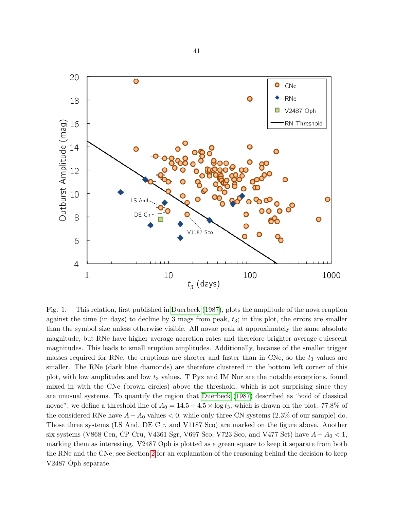

<span id="page-41-0"></span>Fig. 1.— This relation, first published in [Duerbeck](#page-44-2) [\(1987\)](#page-44-2), plots the amplitude of the nova eruption against the time (in days) to decline by 3 mags from peak,  $t_3$ ; in this plot, the errors are smaller than the symbol size unless otherwise visible. All novae peak at approximately the same absolute magnitude, but RNe have higher average accretion rates and therefore brighter average quiescent magnitudes. This leads to small eruption amplitudes. Additionally, because of the smaller trigger masses required for RNe, the eruptions are shorter and faster than in CNe, so the  $t_3$  values are smaller. The RNe (dark blue diamonds) are therefore clustered in the bottom left corner of this plot, with low amplitudes and low  $t_3$  values. T Pyx and IM Nor are the notable exceptions, found mixed in with the CNe (brown circles) above the threshold, which is not surprising since they are unusual systems. To quantify the region that [Duerbeck](#page-44-2) [\(1987\)](#page-44-2) described as "void of classical novae", we define a threshold line of  $A_0 = 14.5 - 4.5 \times \log t_3$ , which is drawn on the plot. 77.8% of the considered RNe have  $A - A_0$  values  $\lt 0$ , while only three CN systems (2.3% of our sample) do. Those three systems (LS And, DE Cir, and V1187 Sco) are marked on the figure above. Another six systems (V868 Cen, CP Cru, V4361 Sgr, V697 Sco, V723 Sco, and V477 Sct) have  $A - A_0 < 1$ , marking them as interesting. V2487 Oph is plotted as a green square to keep it separate from both the RNe and the CNe; see Section [2](#page-3-0) for an explanation of the reasoning behind the decision to keep V2487 Oph separate.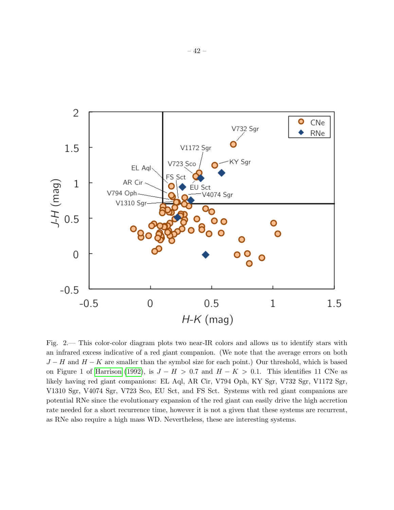

<span id="page-42-0"></span>Fig. 2.— This color-color diagram plots two near-IR colors and allows us to identify stars with an infrared excess indicative of a red giant companion. (We note that the average errors on both  $J-H$  and  $H-K$  are smaller than the symbol size for each point.) Our threshold, which is based on Figure 1 of [Harrison](#page-45-1) [\(1992\)](#page-45-1), is  $J - H > 0.7$  and  $H - K > 0.1$ . This identifies 11 CNe as likely having red giant companions: EL Aql, AR Cir, V794 Oph, KY Sgr, V732 Sgr, V1172 Sgr, V1310 Sgr, V4074 Sgr, V723 Sco, EU Sct, and FS Sct. Systems with red giant companions are potential RNe since the evolutionary expansion of the red giant can easily drive the high accretion rate needed for a short recurrence time, however it is not a given that these systems are recurrent, as RNe also require a high mass WD. Nevertheless, these are interesting systems.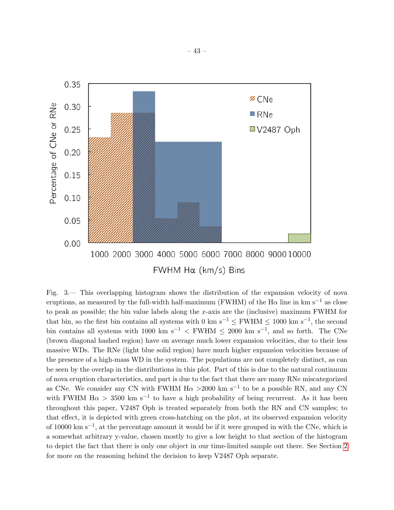

<span id="page-43-0"></span>Fig. 3.— This overlapping histogram shows the distribution of the expansion velocity of nova eruptions, as measured by the full-width half-maximum (FWHM) of the H $\alpha$  line in km s<sup>−1</sup> as close to peak as possible; the bin value labels along the  $x$ -axis are the (inclusive) maximum FWHM for that bin, so the first bin contains all systems with 0 km s<sup>-1</sup>  $\leq$  FWHM  $\leq$  1000 km s<sup>-1</sup>, the second bin contains all systems with 1000 km s<sup>-1</sup> < FWHM  $\leq$  2000 km s<sup>-1</sup>, and so forth. The CNe (brown diagonal hashed region) have on average much lower expansion velocities, due to their less massive WDs. The RNe (light blue solid region) have much higher expansion velocities because of the presence of a high-mass WD in the system. The populations are not completely distinct, as can be seen by the overlap in the distributions in this plot. Part of this is due to the natural continuum of nova eruption characteristics, and part is due to the fact that there are many RNe miscategorized as CNe. We consider any CN with FWHM  $H\alpha > 2000$  km s<sup>-1</sup> to be a possible RN, and any CN with FWHM  $H\alpha > 3500$  km s<sup>-1</sup> to have a high probability of being recurrent. As it has been throughout this paper, V2487 Oph is treated separately from both the RN and CN samples; to that effect, it is depicted with green cross-hatching on the plot, at its observed expansion velocity of 10000 km s<sup>-1</sup>, at the percentage amount it would be if it were grouped in with the CNe, which is a somewhat arbitrary y-value, chosen mostly to give a low height to that section of the histogram to depict the fact that there is only one object in our time-limited sample out there. See Section [2](#page-3-0) for more on the reasoning behind the decision to keep V2487 Oph separate.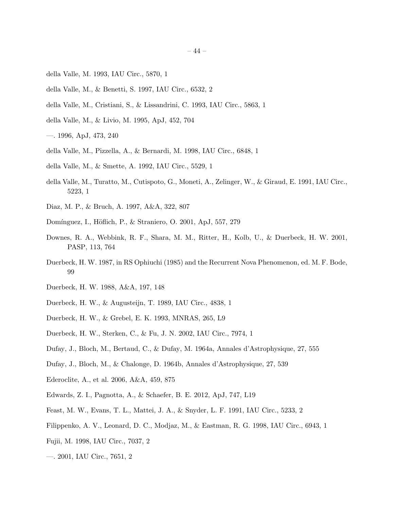- <span id="page-44-16"></span>della Valle, M. 1993, IAU Circ., 5870, 1
- <span id="page-44-12"></span>della Valle, M., & Benetti, S. 1997, IAU Circ., 6532, 2
- <span id="page-44-18"></span>della Valle, M., Cristiani, S., & Lissandrini, C. 1993, IAU Circ., 5863, 1
- <span id="page-44-6"></span>della Valle, M., & Livio, M. 1995, ApJ, 452, 704
- <span id="page-44-1"></span>—. 1996, ApJ, 473, 240
- <span id="page-44-19"></span>della Valle, M., Pizzella, A., & Bernardi, M. 1998, IAU Circ., 6848, 1
- <span id="page-44-17"></span>della Valle, M., & Smette, A. 1992, IAU Circ., 5529, 1
- <span id="page-44-15"></span>della Valle, M., Turatto, M., Cutispoto, G., Moneti, A., Zelinger, W., & Giraud, E. 1991, IAU Circ., 5223, 1
- <span id="page-44-10"></span>Diaz, M. P., & Bruch, A. 1997, A&A, 322, 807
- <span id="page-44-0"></span>Domínguez, I., Höflich, P., & Straniero, O. 2001, ApJ, 557, 279
- <span id="page-44-4"></span>Downes, R. A., Webbink, R. F., Shara, M. M., Ritter, H., Kolb, U., & Duerbeck, H. W. 2001, PASP, 113, 764
- <span id="page-44-2"></span>Duerbeck, H. W. 1987, in RS Ophiuchi (1985) and the Recurrent Nova Phenomenon, ed. M. F. Bode, 99
- <span id="page-44-3"></span>Duerbeck, H. W. 1988, A&A, 197, 148
- <span id="page-44-9"></span>Duerbeck, H. W., & Augusteijn, T. 1989, IAU Circ., 4838, 1
- <span id="page-44-11"></span>Duerbeck, H. W., & Grebel, E. K. 1993, MNRAS, 265, L9
- <span id="page-44-20"></span>Duerbeck, H. W., Sterken, C., & Fu, J. N. 2002, IAU Circ., 7974, 1
- <span id="page-44-8"></span>Dufay, J., Bloch, M., Bertaud, C., & Dufay, M. 1964a, Annales d'Astrophysique, 27, 555
- <span id="page-44-13"></span>Dufay, J., Bloch, M., & Chalonge, D. 1964b, Annales d'Astrophysique, 27, 539
- <span id="page-44-21"></span>Ederoclite, A., et al. 2006, A&A, 459, 875
- <span id="page-44-7"></span>Edwards, Z. I., Pagnotta, A., & Schaefer, B. E. 2012, ApJ, 747, L19
- <span id="page-44-14"></span>Feast, M. W., Evans, T. L., Mattei, J. A., & Snyder, L. F. 1991, IAU Circ., 5233, 2
- <span id="page-44-5"></span>Filippenko, A. V., Leonard, D. C., Modjaz, M., & Eastman, R. G. 1998, IAU Circ., 6943, 1
- <span id="page-44-22"></span>Fujii, M. 1998, IAU Circ., 7037, 2
- <span id="page-44-23"></span>—. 2001, IAU Circ., 7651, 2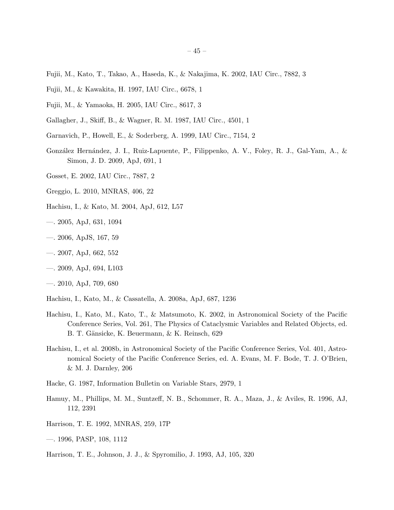- <span id="page-45-16"></span>Fujii, M., Kato, T., Takao, A., Haseda, K., & Nakajima, K. 2002, IAU Circ., 7882, 3
- <span id="page-45-18"></span>Fujii, M., & Kawakita, H. 1997, IAU Circ., 6678, 1
- <span id="page-45-19"></span>Fujii, M., & Yamaoka, H. 2005, IAU Circ., 8617, 3
- <span id="page-45-21"></span>Gallagher, J., Skiff, B., & Wagner, R. M. 1987, IAU Circ., 4501, 1
- <span id="page-45-12"></span>Garnavich, P., Howell, E., & Soderberg, A. 1999, IAU Circ., 7154, 2
- <span id="page-45-13"></span>Gonz´alez Hern´andez, J. I., Ruiz-Lapuente, P., Filippenko, A. V., Foley, R. J., Gal-Yam, A., & Simon, J. D. 2009, ApJ, 691, 1
- <span id="page-45-17"></span>Gosset, E. 2002, IAU Circ., 7887, 2
- <span id="page-45-14"></span>Greggio, L. 2010, MNRAS, 406, 22
- <span id="page-45-3"></span>Hachisu, I., & Kato, M. 2004, ApJ, 612, L57
- <span id="page-45-4"></span>—. 2005, ApJ, 631, 1094
- <span id="page-45-5"></span>—. 2006, ApJS, 167, 59
- <span id="page-45-6"></span>—. 2007, ApJ, 662, 552
- <span id="page-45-8"></span>—. 2009, ApJ, 694, L103
- <span id="page-45-9"></span>—. 2010, ApJ, 709, 680
- <span id="page-45-7"></span>Hachisu, I., Kato, M., & Cassatella, A. 2008a, ApJ, 687, 1236
- <span id="page-45-10"></span>Hachisu, I., Kato, M., Kato, T., & Matsumoto, K. 2002, in Astronomical Society of the Pacific Conference Series, Vol. 261, The Physics of Cataclysmic Variables and Related Objects, ed. B. T. Gänsicke, K. Beuermann, & K. Reinsch, 629
- <span id="page-45-2"></span>Hachisu, I., et al. 2008b, in Astronomical Society of the Pacific Conference Series, Vol. 401, Astronomical Society of the Pacific Conference Series, ed. A. Evans, M. F. Bode, T. J. O'Brien, & M. J. Darnley, 206
- <span id="page-45-20"></span>Hacke, G. 1987, Information Bulletin on Variable Stars, 2979, 1
- <span id="page-45-0"></span>Hamuy, M., Phillips, M. M., Suntzeff, N. B., Schommer, R. A., Maza, J., & Aviles, R. 1996, AJ, 112, 2391
- <span id="page-45-1"></span>Harrison, T. E. 1992, MNRAS, 259, 17P
- <span id="page-45-11"></span>—. 1996, PASP, 108, 1112
- <span id="page-45-15"></span>Harrison, T. E., Johnson, J. J., & Spyromilio, J. 1993, AJ, 105, 320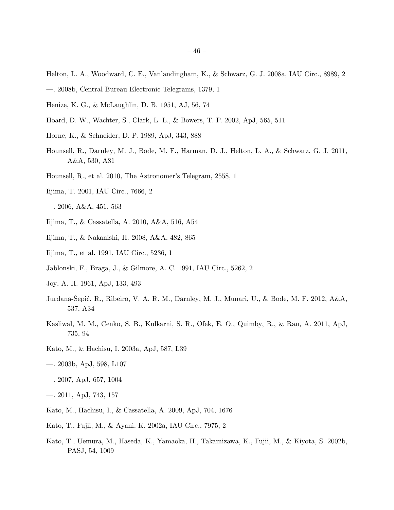- <span id="page-46-5"></span>Helton, L. A., Woodward, C. E., Vanlandingham, K., & Schwarz, G. J. 2008a, IAU Circ., 8989, 2
- <span id="page-46-9"></span>—. 2008b, Central Bureau Electronic Telegrams, 1379, 1
- <span id="page-46-21"></span>Henize, K. G., & McLaughlin, D. B. 1951, AJ, 56, 74
- <span id="page-46-7"></span>Hoard, D. W., Wachter, S., Clark, L. L., & Bowers, T. P. 2002, ApJ, 565, 511
- <span id="page-46-16"></span>Horne, K., & Schneider, D. P. 1989, ApJ, 343, 888
- <span id="page-46-8"></span>Hounsell, R., Darnley, M. J., Bode, M. F., Harman, D. J., Helton, L. A., & Schwarz, G. J. 2011, A&A, 530, A81
- <span id="page-46-10"></span>Hounsell, R., et al. 2010, The Astronomer's Telegram, 2558, 1
- <span id="page-46-17"></span>Iijima, T. 2001, IAU Circ., 7666, 2
- <span id="page-46-14"></span>—. 2006, A&A, 451, 563
- <span id="page-46-6"></span>Iijima, T., & Cassatella, A. 2010, A&A, 516, A54
- <span id="page-46-19"></span>Iijima, T., & Nakanishi, H. 2008, A&A, 482, 865
- <span id="page-46-18"></span>Iijima, T., et al. 1991, IAU Circ., 5236, 1
- <span id="page-46-15"></span>Jablonski, F., Braga, J., & Gilmore, A. C. 1991, IAU Circ., 5262, 2
- <span id="page-46-13"></span>Joy, A. H. 1961, ApJ, 133, 493
- <span id="page-46-11"></span>Jurdana-Sepić, R., Ribeiro, V. A. R. M., Darnley, M. J., Munari, U., & Bode, M. F. 2012, A&A, 537, A34
- <span id="page-46-12"></span>Kasliwal, M. M., Cenko, S. B., Kulkarni, S. R., Ofek, E. O., Quimby, R., & Rau, A. 2011, ApJ, 735, 94
- <span id="page-46-0"></span>Kato, M., & Hachisu, I. 2003a, ApJ, 587, L39
- <span id="page-46-1"></span>—. 2003b, ApJ, 598, L107
- <span id="page-46-2"></span>—. 2007, ApJ, 657, 1004
- <span id="page-46-4"></span>—. 2011, ApJ, 743, 157
- <span id="page-46-3"></span>Kato, M., Hachisu, I., & Cassatella, A. 2009, ApJ, 704, 1676
- <span id="page-46-20"></span>Kato, T., Fujii, M., & Ayani, K. 2002a, IAU Circ., 7975, 2
- <span id="page-46-22"></span>Kato, T., Uemura, M., Haseda, K., Yamaoka, H., Takamizawa, K., Fujii, M., & Kiyota, S. 2002b, PASJ, 54, 1009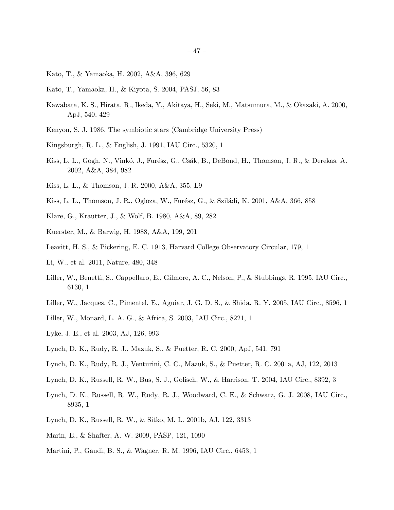- <span id="page-47-18"></span>Kato, T., & Yamaoka, H. 2002, A&A, 396, 629
- <span id="page-47-5"></span>Kato, T., Yamaoka, H., & Kiyota, S. 2004, PASJ, 56, 83
- <span id="page-47-1"></span>Kawabata, K. S., Hirata, R., Ikeda, Y., Akitaya, H., Seki, M., Matsumura, M., & Okazaki, A. 2000, ApJ, 540, 429
- <span id="page-47-0"></span>Kenyon, S. J. 1986, The symbiotic stars (Cambridge University Press)
- <span id="page-47-19"></span>Kingsburgh, R. L., & English, J. 1991, IAU Circ., 5320, 1
- <span id="page-47-16"></span>Kiss, L. L., Gogh, N., Vinkó, J., Furész, G., Csák, B., DeBond, H., Thomson, J. R., & Derekas, A. 2002, A&A, 384, 982
- <span id="page-47-10"></span>Kiss, L. L., & Thomson, J. R. 2000, A&A, 355, L9
- <span id="page-47-8"></span>Kiss, L. L., Thomson, J. R., Ogloza, W., Furész, G., & Sziládi, K. 2001, A&A, 366, 858
- <span id="page-47-15"></span>Klare, G., Krautter, J., & Wolf, B. 1980, A&A, 89, 282
- <span id="page-47-17"></span>Kuerster, M., & Barwig, H. 1988, A&A, 199, 201
- <span id="page-47-6"></span>Leavitt, H. S., & Pickering, E. C. 1913, Harvard College Observatory Circular, 179, 1
- <span id="page-47-7"></span>Li, W., et al. 2011, Nature, 480, 348
- <span id="page-47-12"></span>Liller, W., Benetti, S., Cappellaro, E., Gilmore, A. C., Nelson, P., & Stubbings, R. 1995, IAU Circ., 6130, 1
- <span id="page-47-11"></span>Liller, W., Jacques, C., Pimentel, E., Aguiar, J. G. D. S., & Shida, R. Y. 2005, IAU Circ., 8596, 1
- <span id="page-47-13"></span>Liller, W., Monard, L. A. G., & Africa, S. 2003, IAU Circ., 8221, 1
- <span id="page-47-14"></span>Lyke, J. E., et al. 2003, AJ, 126, 993
- <span id="page-47-3"></span>Lynch, D. K., Rudy, R. J., Mazuk, S., & Puetter, R. C. 2000, ApJ, 541, 791
- <span id="page-47-21"></span>Lynch, D. K., Rudy, R. J., Venturini, C. C., Mazuk, S., & Puetter, R. C. 2001a, AJ, 122, 2013
- <span id="page-47-22"></span>Lynch, D. K., Russell, R. W., Bus, S. J., Golisch, W., & Harrison, T. 2004, IAU Circ., 8392, 3
- <span id="page-47-2"></span>Lynch, D. K., Russell, R. W., Rudy, R. J., Woodward, C. E., & Schwarz, G. J. 2008, IAU Circ., 8935, 1
- <span id="page-47-4"></span>Lynch, D. K., Russell, R. W., & Sitko, M. L. 2001b, AJ, 122, 3313
- <span id="page-47-9"></span>Marin, E., & Shafter, A. W. 2009, PASP, 121, 1090
- <span id="page-47-20"></span>Martini, P., Gaudi, B. S., & Wagner, R. M. 1996, IAU Circ., 6453, 1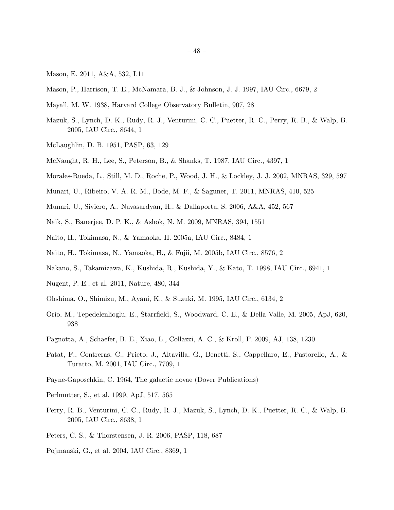- <span id="page-48-7"></span>Mason, E. 2011, A&A, 532, L11
- <span id="page-48-17"></span>Mason, P., Harrison, T. E., McNamara, B. J., & Johnson, J. J. 1997, IAU Circ., 6679, 2
- <span id="page-48-13"></span>Mayall, M. W. 1938, Harvard College Observatory Bulletin, 907, 28
- <span id="page-48-22"></span>Mazuk, S., Lynch, D. K., Rudy, R. J., Venturini, C. C., Puetter, R. C., Perry, R. B., & Walp, B. 2005, IAU Circ., 8644, 1
- <span id="page-48-16"></span>McLaughlin, D. B. 1951, PASP, 63, 129
- <span id="page-48-14"></span>McNaught, R. H., Lee, S., Peterson, B., & Shanks, T. 1987, IAU Circ., 4397, 1
- <span id="page-48-5"></span>Morales-Rueda, L., Still, M. D., Roche, P., Wood, J. H., & Lockley, J. J. 2002, MNRAS, 329, 597
- <span id="page-48-4"></span>Munari, U., Ribeiro, V. A. R. M., Bode, M. F., & Saguner, T. 2011, MNRAS, 410, 525
- <span id="page-48-21"></span>Munari, U., Siviero, A., Navasardyan, H., & Dallaporta, S. 2006, A&A, 452, 567
- <span id="page-48-3"></span>Naik, S., Banerjee, D. P. K., & Ashok, N. M. 2009, MNRAS, 394, 1551
- <span id="page-48-12"></span>Naito, H., Tokimasa, N., & Yamaoka, H. 2005a, IAU Circ., 8484, 1
- <span id="page-48-19"></span>Naito, H., Tokimasa, N., Yamaoka, H., & Fujii, M. 2005b, IAU Circ., 8576, 2
- <span id="page-48-6"></span>Nakano, S., Takamizawa, K., Kushida, R., Kushida, Y., & Kato, T. 1998, IAU Circ., 6941, 1
- <span id="page-48-8"></span>Nugent, P. E., et al. 2011, Nature, 480, 344
- <span id="page-48-11"></span>Ohshima, O., Shimizu, M., Ayani, K., & Suzuki, M. 1995, IAU Circ., 6134, 2
- <span id="page-48-9"></span>Orio, M., Tepedelenlioglu, E., Starrfield, S., Woodward, C. E., & Della Valle, M. 2005, ApJ, 620, 938
- <span id="page-48-1"></span>Pagnotta, A., Schaefer, B. E., Xiao, L., Collazzi, A. C., & Kroll, P. 2009, AJ, 138, 1230
- <span id="page-48-15"></span>Patat, F., Contreras, C., Prieto, J., Altavilla, G., Benetti, S., Cappellaro, E., Pastorello, A., & Turatto, M. 2001, IAU Circ., 7709, 1
- <span id="page-48-2"></span>Payne-Gaposchkin, C. 1964, The galactic novae (Dover Publications)
- <span id="page-48-0"></span>Perlmutter, S., et al. 1999, ApJ, 517, 565
- <span id="page-48-20"></span>Perry, R. B., Venturini, C. C., Rudy, R. J., Mazuk, S., Lynch, D. K., Puetter, R. C., & Walp, B. 2005, IAU Circ., 8638, 1
- <span id="page-48-10"></span>Peters, C. S., & Thorstensen, J. R. 2006, PASP, 118, 687
- <span id="page-48-18"></span>Pojmanski, G., et al. 2004, IAU Circ., 8369, 1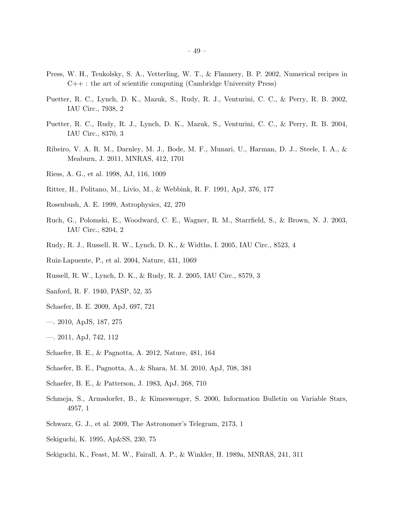- <span id="page-49-3"></span>Press, W. H., Teukolsky, S. A., Vetterling, W. T., & Flannery, B. P. 2002, Numerical recipes in  $C_{++}$ : the art of scientific computing (Cambridge University Press)
- <span id="page-49-17"></span>Puetter, R. C., Lynch, D. K., Mazuk, S., Rudy, R. J., Venturini, C. C., & Perry, R. B. 2002, IAU Circ., 7938, 2
- <span id="page-49-18"></span>Puetter, R. C., Rudy, R. J., Lynch, D. K., Mazuk, S., Venturini, C. C., & Perry, R. B. 2004, IAU Circ., 8370, 3
- <span id="page-49-5"></span>Ribeiro, V. A. R. M., Darnley, M. J., Bode, M. F., Munari, U., Harman, D. J., Steele, I. A., & Meaburn, J. 2011, MNRAS, 412, 1701
- <span id="page-49-1"></span>Riess, A. G., et al. 1998, AJ, 116, 1009
- <span id="page-49-10"></span>Ritter, H., Politano, M., Livio, M., & Webbink, R. F. 1991, ApJ, 376, 177
- <span id="page-49-4"></span>Rosenbush, A. E. 1999, Astrophysics, 42, 270
- <span id="page-49-19"></span>Ruch, G., Polomski, E., Woodward, C. E., Wagner, R. M., Starrfield, S., & Brown, N. J. 2003, IAU Circ., 8204, 2
- <span id="page-49-20"></span>Rudy, R. J., Russell, R. W., Lynch, D. K., & Widths, I. 2005, IAU Circ., 8523, 4
- <span id="page-49-12"></span>Ruiz-Lapuente, P., et al. 2004, Nature, 431, 1069
- <span id="page-49-21"></span>Russell, R. W., Lynch, D. K., & Rudy, R. J. 2005, IAU Circ., 8579, 3
- <span id="page-49-6"></span>Sanford, R. F. 1940, PASP, 52, 35
- <span id="page-49-15"></span>Schaefer, B. E. 2009, ApJ, 697, 721
- <span id="page-49-2"></span>—. 2010, ApJS, 187, 275
- <span id="page-49-11"></span>—. 2011, ApJ, 742, 112
- <span id="page-49-13"></span>Schaefer, B. E., & Pagnotta, A. 2012, Nature, 481, 164
- <span id="page-49-9"></span>Schaefer, B. E., Pagnotta, A., & Shara, M. M. 2010, ApJ, 708, 381
- <span id="page-49-7"></span>Schaefer, B. E., & Patterson, J. 1983, ApJ, 268, 710
- <span id="page-49-14"></span>Schmeja, S., Armsdorfer, B., & Kimeswenger, S. 2000, Information Bulletin on Variable Stars, 4957, 1
- <span id="page-49-8"></span>Schwarz, G. J., et al. 2009, The Astronomer's Telegram, 2173, 1
- <span id="page-49-0"></span>Sekiguchi, K. 1995, Ap&SS, 230, 75
- <span id="page-49-16"></span>Sekiguchi, K., Feast, M. W., Fairall, A. P., & Winkler, H. 1989a, MNRAS, 241, 311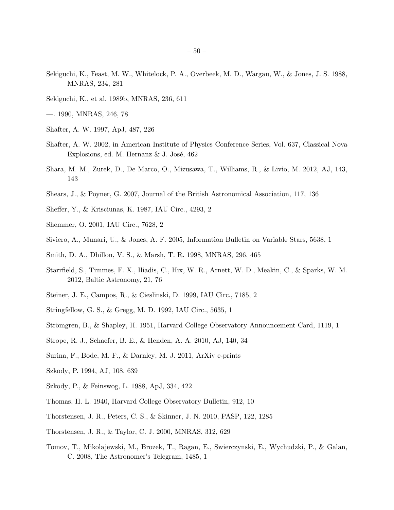- <span id="page-50-13"></span>Sekiguchi, K., Feast, M. W., Whitelock, P. A., Overbeek, M. D., Wargau, W., & Jones, J. S. 1988, MNRAS, 234, 281
- <span id="page-50-12"></span>Sekiguchi, K., et al. 1989b, MNRAS, 236, 611
- <span id="page-50-14"></span>—. 1990, MNRAS, 246, 78
- <span id="page-50-7"></span>Shafter, A. W. 1997, ApJ, 487, 226
- <span id="page-50-0"></span>Shafter, A. W. 2002, in American Institute of Physics Conference Series, Vol. 637, Classical Nova Explosions, ed. M. Hernanz  $&$  J. José, 462
- <span id="page-50-10"></span>Shara, M. M., Zurek, D., De Marco, O., Mizusawa, T., Williams, R., & Livio, M. 2012, AJ, 143, 143
- <span id="page-50-3"></span>Shears, J., & Poyner, G. 2007, Journal of the British Astronomical Association, 117, 136
- <span id="page-50-15"></span>Sheffer, Y., & Krisciunas, K. 1987, IAU Circ., 4293, 2
- <span id="page-50-16"></span>Shemmer, O. 2001, IAU Circ., 7628, 2
- <span id="page-50-19"></span>Siviero, A., Munari, U., & Jones, A. F. 2005, Information Bulletin on Variable Stars, 5638, 1
- <span id="page-50-9"></span>Smith, D. A., Dhillon, V. S., & Marsh, T. R. 1998, MNRAS, 296, 465
- <span id="page-50-2"></span>Starrfield, S., Timmes, F. X., Iliadis, C., Hix, W. R., Arnett, W. D., Meakin, C., & Sparks, W. M. 2012, Baltic Astronomy, 21, 76
- <span id="page-50-22"></span>Steiner, J. E., Campos, R., & Cieslinski, D. 1999, IAU Circ., 7185, 2
- <span id="page-50-21"></span>Stringfellow, G. S., & Gregg, M. D. 1992, IAU Circ., 5635, 1
- <span id="page-50-6"></span>Strömgren, B., & Shapley, H. 1951, Harvard College Observatory Announcement Card, 1119, 1
- <span id="page-50-1"></span>Strope, R. J., Schaefer, B. E., & Henden, A. A. 2010, AJ, 140, 34
- <span id="page-50-5"></span>Surina, F., Bode, M. F., & Darnley, M. J. 2011, ArXiv e-prints
- <span id="page-50-4"></span>Szkody, P. 1994, AJ, 108, 639
- <span id="page-50-17"></span>Szkody, P., & Feinswog, L. 1988, ApJ, 334, 422
- <span id="page-50-11"></span>Thomas, H. L. 1940, Harvard College Observatory Bulletin, 912, 10
- <span id="page-50-20"></span>Thorstensen, J. R., Peters, C. S., & Skinner, J. N. 2010, PASP, 122, 1285
- <span id="page-50-18"></span>Thorstensen, J. R., & Taylor, C. J. 2000, MNRAS, 312, 629
- <span id="page-50-8"></span>Tomov, T., Mikolajewski, M., Brozek, T., Ragan, E., Swierczynski, E., Wychudzki, P., & Galan, C. 2008, The Astronomer's Telegram, 1485, 1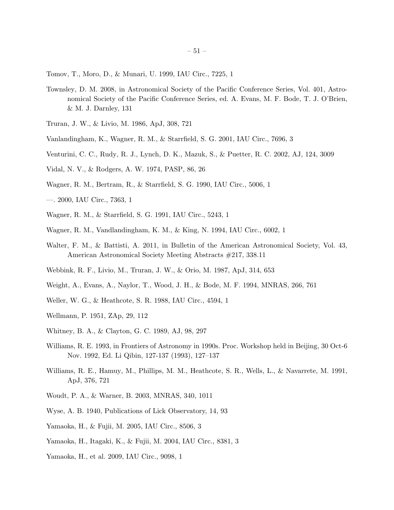<span id="page-51-12"></span>Tomov, T., Moro, D., & Munari, U. 1999, IAU Circ., 7225, 1

- <span id="page-51-0"></span>Townsley, D. M. 2008, in Astronomical Society of the Pacific Conference Series, Vol. 401, Astronomical Society of the Pacific Conference Series, ed. A. Evans, M. F. Bode, T. J. O'Brien, & M. J. Darnley, 131
- <span id="page-51-8"></span>Truran, J. W., & Livio, M. 1986, ApJ, 308, 721
- <span id="page-51-20"></span>Vanlandingham, K., Wagner, R. M., & Starrfield, S. G. 2001, IAU Circ., 7696, 3
- <span id="page-51-7"></span>Venturini, C. C., Rudy, R. J., Lynch, D. K., Mazuk, S., & Puetter, R. C. 2002, AJ, 124, 3009
- <span id="page-51-5"></span>Vidal, N. V., & Rodgers, A. W. 1974, PASP, 86, 26
- <span id="page-51-10"></span>Wagner, R. M., Bertram, R., & Starrfield, S. G. 1990, IAU Circ., 5006, 1
- <span id="page-51-19"></span>—. 2000, IAU Circ., 7363, 1
- <span id="page-51-17"></span>Wagner, R. M., & Starrfield, S. G. 1991, IAU Circ., 5243, 1
- <span id="page-51-18"></span>Wagner, R. M., Vandlandingham, K. M., & King, N. 1994, IAU Circ., 6002, 1
- <span id="page-51-2"></span>Walter, F. M., & Battisti, A. 2011, in Bulletin of the American Astronomical Society, Vol. 43, American Astronomical Society Meeting Abstracts #217, 338.11
- <span id="page-51-6"></span>Webbink, R. F., Livio, M., Truran, J. W., & Orio, M. 1987, ApJ, 314, 653
- <span id="page-51-3"></span>Weight, A., Evans, A., Naylor, T., Wood, J. H., & Bode, M. F. 1994, MNRAS, 266, 761
- <span id="page-51-16"></span>Weller, W. G., & Heathcote, S. R. 1988, IAU Circ., 4594, 1
- <span id="page-51-15"></span>Wellmann, P. 1951, ZAp, 29, 112
- <span id="page-51-14"></span>Whitney, B. A., & Clayton, G. C. 1989, AJ, 98, 297
- <span id="page-51-1"></span>Williams, R. E. 1993, in Frontiers of Astronomy in 1990s. Proc. Workshop held in Beijing, 30 Oct-6 Nov. 1992, Ed. Li Qibin, 127-137 (1993), 127–137
- <span id="page-51-9"></span>Williams, R. E., Hamuy, M., Phillips, M. M., Heathcote, S. R., Wells, L., & Navarrete, M. 1991, ApJ, 376, 721
- <span id="page-51-13"></span>Woudt, P. A., & Warner, B. 2003, MNRAS, 340, 1011
- <span id="page-51-11"></span>Wyse, A. B. 1940, Publications of Lick Observatory, 14, 93
- <span id="page-51-22"></span>Yamaoka, H., & Fujii, M. 2005, IAU Circ., 8506, 3
- <span id="page-51-21"></span>Yamaoka, H., Itagaki, K., & Fujii, M. 2004, IAU Circ., 8381, 3
- <span id="page-51-4"></span>Yamaoka, H., et al. 2009, IAU Circ., 9098, 1